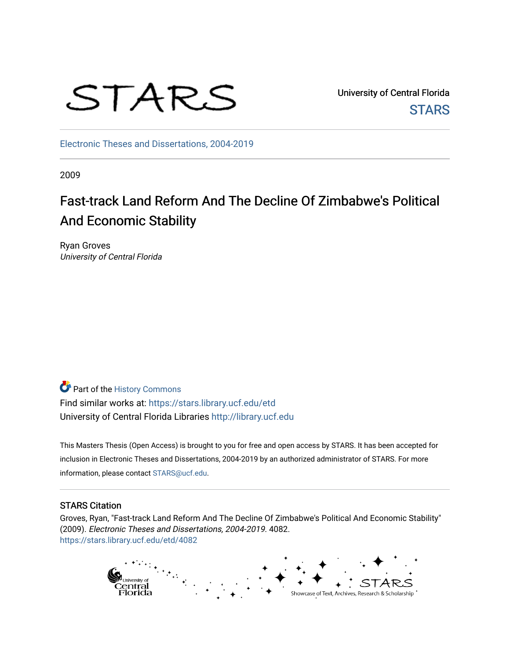

University of Central Florida **STARS** 

[Electronic Theses and Dissertations, 2004-2019](https://stars.library.ucf.edu/etd) 

2009

# Fast-track Land Reform And The Decline Of Zimbabwe's Political And Economic Stability

Ryan Groves University of Central Florida

Part of the [History Commons](http://network.bepress.com/hgg/discipline/489?utm_source=stars.library.ucf.edu%2Fetd%2F4082&utm_medium=PDF&utm_campaign=PDFCoverPages)  Find similar works at: <https://stars.library.ucf.edu/etd> University of Central Florida Libraries [http://library.ucf.edu](http://library.ucf.edu/) 

This Masters Thesis (Open Access) is brought to you for free and open access by STARS. It has been accepted for inclusion in Electronic Theses and Dissertations, 2004-2019 by an authorized administrator of STARS. For more information, please contact [STARS@ucf.edu.](mailto:STARS@ucf.edu)

#### STARS Citation

Groves, Ryan, "Fast-track Land Reform And The Decline Of Zimbabwe's Political And Economic Stability" (2009). Electronic Theses and Dissertations, 2004-2019. 4082. [https://stars.library.ucf.edu/etd/4082](https://stars.library.ucf.edu/etd/4082?utm_source=stars.library.ucf.edu%2Fetd%2F4082&utm_medium=PDF&utm_campaign=PDFCoverPages) 

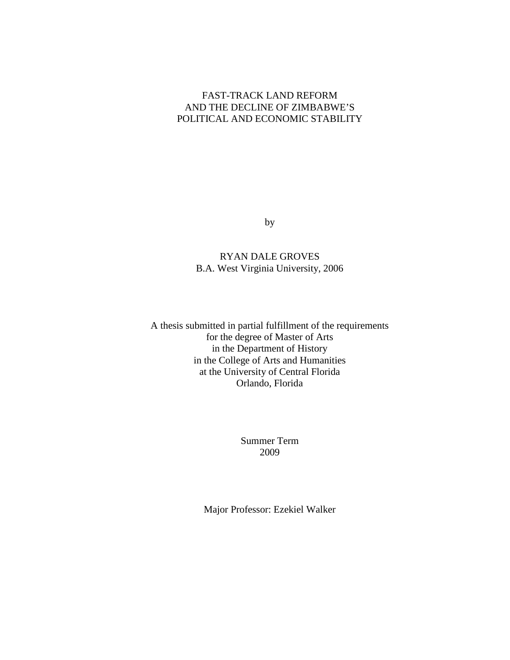### FAST-TRACK LAND REFORM AND THE DECLINE OF ZIMBABWE'S POLITICAL AND ECONOMIC STABILITY

by

### RYAN DALE GROVES B.A. West Virginia University, 2006

A thesis submitted in partial fulfillment of the requirements for the degree of Master of Arts in the Department of History in the College of Arts and Humanities at the University of Central Florida Orlando, Florida

> Summer Term 2009

Major Professor: Ezekiel Walker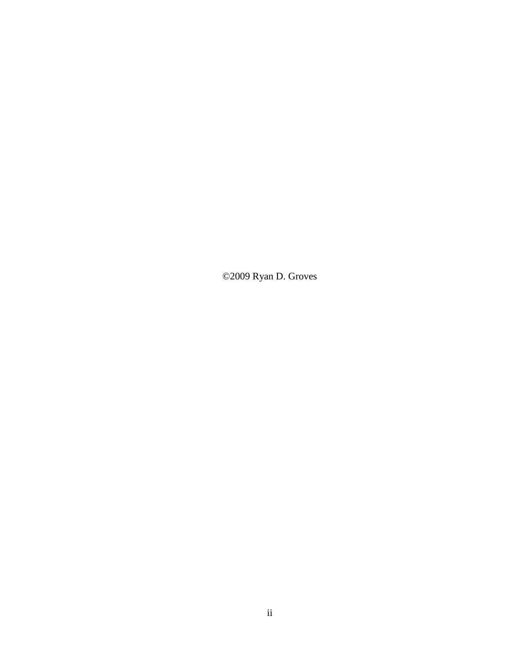©2009 Ryan D. Groves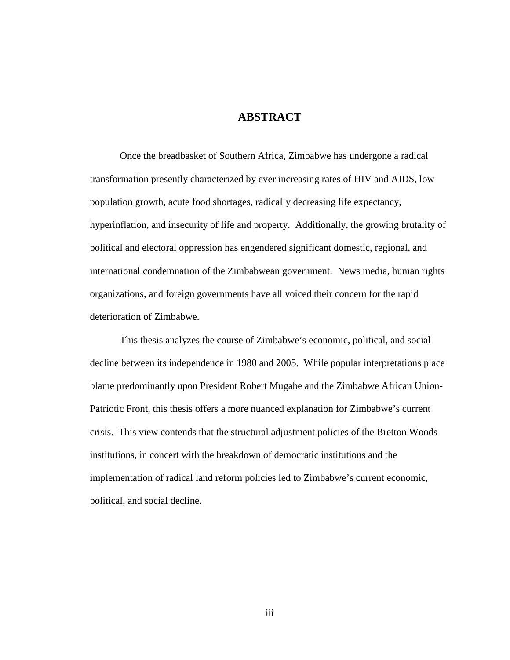### **ABSTRACT**

Once the breadbasket of Southern Africa, Zimbabwe has undergone a radical transformation presently characterized by ever increasing rates of HIV and AIDS, low population growth, acute food shortages, radically decreasing life expectancy, hyperinflation, and insecurity of life and property. Additionally, the growing brutality of political and electoral oppression has engendered significant domestic, regional, and international condemnation of the Zimbabwean government. News media, human rights organizations, and foreign governments have all voiced their concern for the rapid deterioration of Zimbabwe.

This thesis analyzes the course of Zimbabwe's economic, political, and social decline between its independence in 1980 and 2005. While popular interpretations place blame predominantly upon President Robert Mugabe and the Zimbabwe African Union-Patriotic Front, this thesis offers a more nuanced explanation for Zimbabwe's current crisis. This view contends that the structural adjustment policies of the Bretton Woods institutions, in concert with the breakdown of democratic institutions and the implementation of radical land reform policies led to Zimbabwe's current economic, political, and social decline.

iii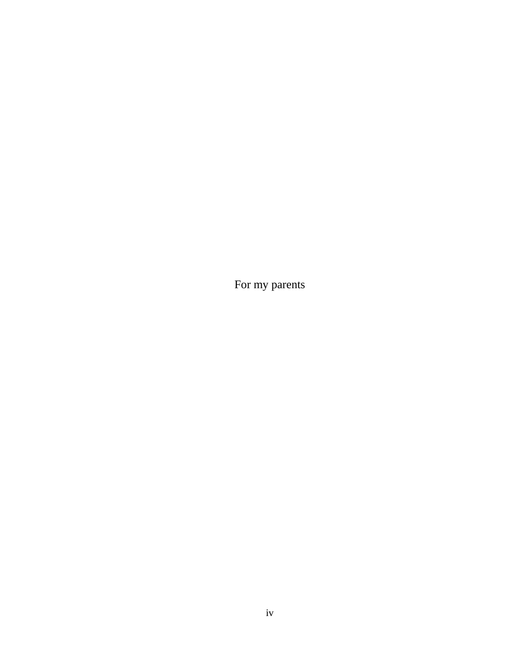For my parents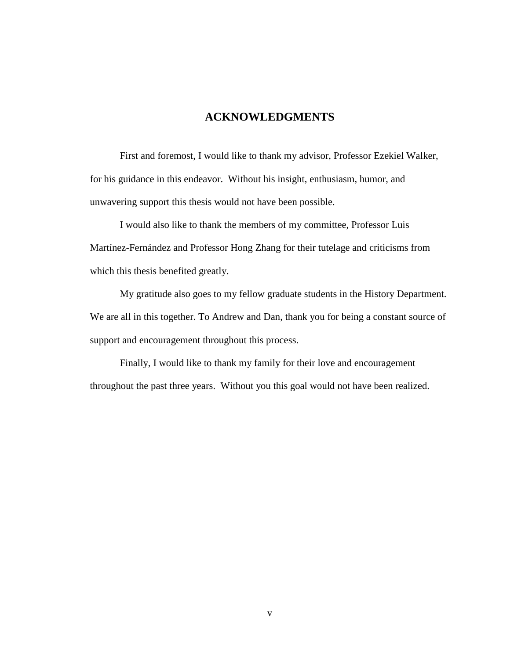### **ACKNOWLEDGMENTS**

First and foremost, I would like to thank my advisor, Professor Ezekiel Walker, for his guidance in this endeavor. Without his insight, enthusiasm, humor, and unwavering support this thesis would not have been possible.

I would also like to thank the members of my committee, Professor Luis Martínez-Fernández and Professor Hong Zhang for their tutelage and criticisms from which this thesis benefited greatly.

My gratitude also goes to my fellow graduate students in the History Department. We are all in this together. To Andrew and Dan, thank you for being a constant source of support and encouragement throughout this process.

Finally, I would like to thank my family for their love and encouragement throughout the past three years. Without you this goal would not have been realized.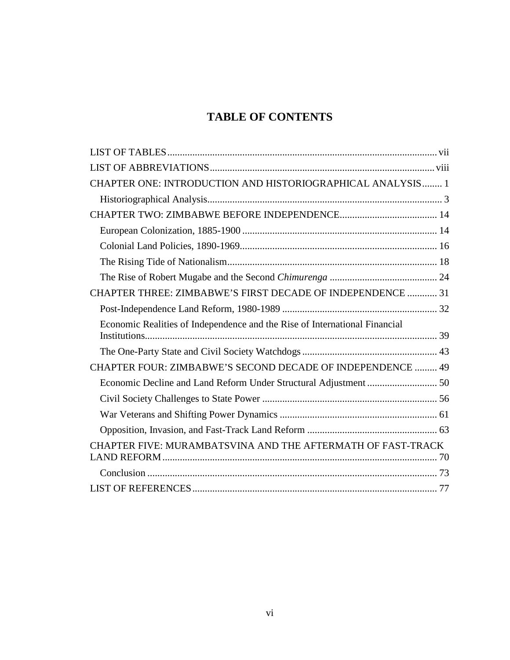# **TABLE OF CONTENTS**

| CHAPTER ONE: INTRODUCTION AND HISTORIOGRAPHICAL ANALYSIS 1                 |  |
|----------------------------------------------------------------------------|--|
|                                                                            |  |
|                                                                            |  |
|                                                                            |  |
|                                                                            |  |
|                                                                            |  |
|                                                                            |  |
| CHAPTER THREE: ZIMBABWE'S FIRST DECADE OF INDEPENDENCE  31                 |  |
|                                                                            |  |
| Economic Realities of Independence and the Rise of International Financial |  |
|                                                                            |  |
| CHAPTER FOUR: ZIMBABWE'S SECOND DECADE OF INDEPENDENCE  49                 |  |
|                                                                            |  |
|                                                                            |  |
|                                                                            |  |
|                                                                            |  |
| CHAPTER FIVE: MURAMBATSVINA AND THE AFTERMATH OF FAST-TRACK                |  |
|                                                                            |  |
|                                                                            |  |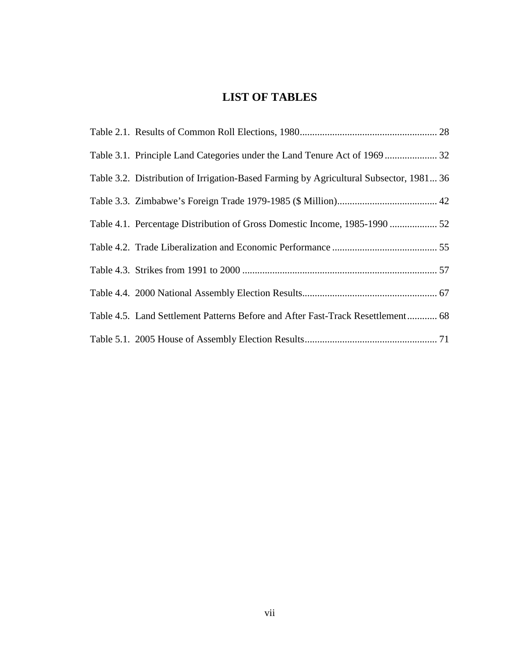## **LIST OF TABLES**

<span id="page-7-0"></span>

| Table 3.2. Distribution of Irrigation-Based Farming by Agricultural Subsector, 1981 36 |  |
|----------------------------------------------------------------------------------------|--|
|                                                                                        |  |
|                                                                                        |  |
|                                                                                        |  |
|                                                                                        |  |
|                                                                                        |  |
| Table 4.5. Land Settlement Patterns Before and After Fast-Track Resettlement 68        |  |
|                                                                                        |  |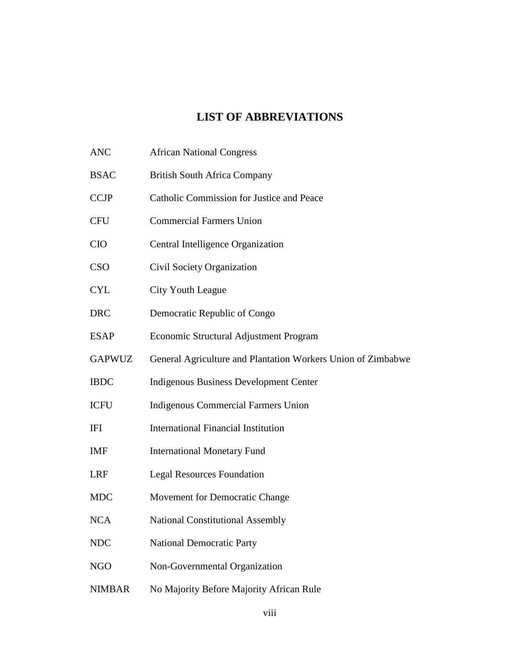### **LIST OF ABBREVIATIONS**

- <span id="page-8-0"></span>ANC African National Congress BSAC British South Africa Company CCJP Catholic Commission for Justice and Peace CFU Commercial Farmers Union CIO Central Intelligence Organization CSO Civil Society Organization CYL City Youth League DRC Democratic Republic of Congo ESAP Economic Structural Adjustment Program GAPWUZ General Agriculture and Plantation Workers Union of Zimbabwe IBDC Indigenous Business Development Center ICFU Indigenous Commercial Farmers Union IFI International Financial Institution IMF International Monetary Fund LRF Legal Resources Foundation MDC Movement for Democratic Change NCA National Constitutional Assembly NDC National Democratic Party NGO Non-Governmental Organization
- NIMBAR No Majority Before Majority African Rule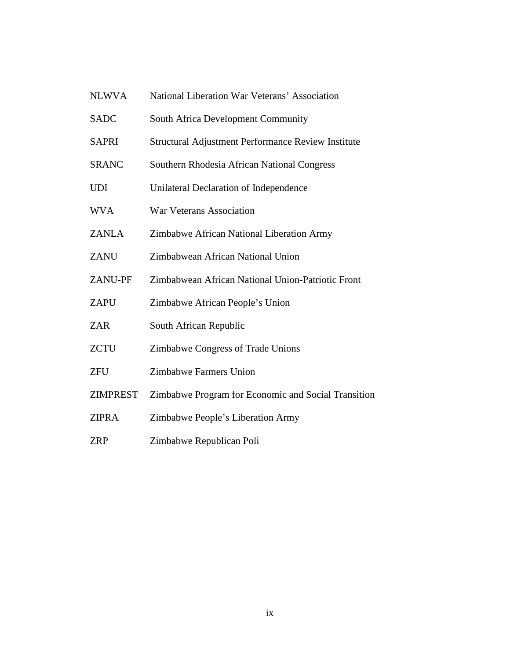| <b>NLWVA</b>    | National Liberation War Veterans' Association       |
|-----------------|-----------------------------------------------------|
| <b>SADC</b>     | South Africa Development Community                  |
| <b>SAPRI</b>    | Structural Adjustment Performance Review Institute  |
| <b>SRANC</b>    | Southern Rhodesia African National Congress         |
| <b>UDI</b>      | Unilateral Declaration of Independence              |
| <b>WVA</b>      | <b>War Veterans Association</b>                     |
| <b>ZANLA</b>    | Zimbabwe African National Liberation Army           |
| <b>ZANU</b>     | Zimbabwean African National Union                   |
| <b>ZANU-PF</b>  | Zimbabwean African National Union-Patriotic Front   |
| <b>ZAPU</b>     | Zimbabwe African People's Union                     |
| <b>ZAR</b>      | South African Republic                              |
| <b>ZCTU</b>     | Zimbabwe Congress of Trade Unions                   |
| <b>ZFU</b>      | Zimbabwe Farmers Union                              |
| <b>ZIMPREST</b> | Zimbabwe Program for Economic and Social Transition |
| <b>ZIPRA</b>    | Zimbabwe People's Liberation Army                   |
|                 |                                                     |

ZRP Zimbabwe Republican Poli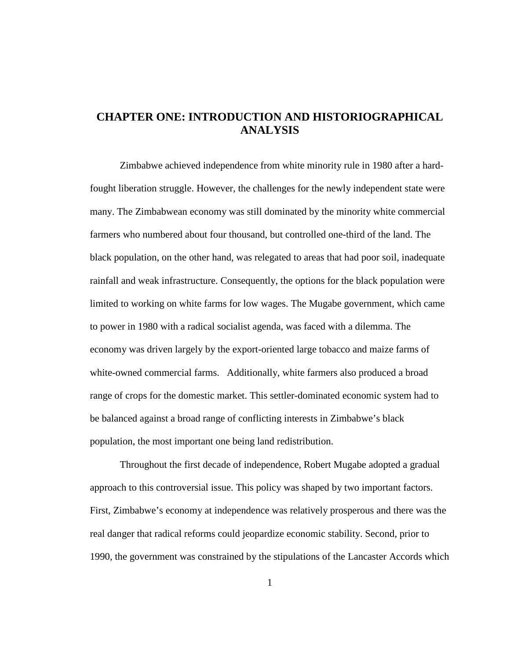### <span id="page-10-0"></span>**CHAPTER ONE: INTRODUCTION AND HISTORIOGRAPHICAL ANALYSIS**

Zimbabwe achieved independence from white minority rule in 1980 after a hardfought liberation struggle. However, the challenges for the newly independent state were many. The Zimbabwean economy was still dominated by the minority white commercial farmers who numbered about four thousand, but controlled one-third of the land. The black population, on the other hand, was relegated to areas that had poor soil, inadequate rainfall and weak infrastructure. Consequently, the options for the black population were limited to working on white farms for low wages. The Mugabe government, which came to power in 1980 with a radical socialist agenda, was faced with a dilemma. The economy was driven largely by the export-oriented large tobacco and maize farms of white-owned commercial farms. Additionally, white farmers also produced a broad range of crops for the domestic market. This settler-dominated economic system had to be balanced against a broad range of conflicting interests in Zimbabwe's black population, the most important one being land redistribution.

Throughout the first decade of independence, Robert Mugabe adopted a gradual approach to this controversial issue. This policy was shaped by two important factors. First, Zimbabwe's economy at independence was relatively prosperous and there was the real danger that radical reforms could jeopardize economic stability. Second, prior to 1990, the government was constrained by the stipulations of the Lancaster Accords which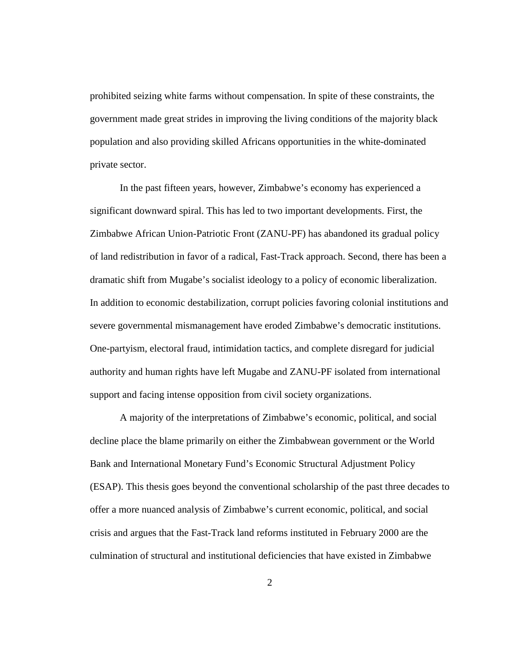prohibited seizing white farms without compensation. In spite of these constraints, the government made great strides in improving the living conditions of the majority black population and also providing skilled Africans opportunities in the white-dominated private sector.

In the past fifteen years, however, Zimbabwe's economy has experienced a significant downward spiral. This has led to two important developments. First, the Zimbabwe African Union-Patriotic Front (ZANU-PF) has abandoned its gradual policy of land redistribution in favor of a radical, Fast-Track approach. Second, there has been a dramatic shift from Mugabe's socialist ideology to a policy of economic liberalization. In addition to economic destabilization, corrupt policies favoring colonial institutions and severe governmental mismanagement have eroded Zimbabwe's democratic institutions. One-partyism, electoral fraud, intimidation tactics, and complete disregard for judicial authority and human rights have left Mugabe and ZANU-PF isolated from international support and facing intense opposition from civil society organizations.

A majority of the interpretations of Zimbabwe's economic, political, and social decline place the blame primarily on either the Zimbabwean government or the World Bank and International Monetary Fund's Economic Structural Adjustment Policy (ESAP). This thesis goes beyond the conventional scholarship of the past three decades to offer a more nuanced analysis of Zimbabwe's current economic, political, and social crisis and argues that the Fast-Track land reforms instituted in February 2000 are the culmination of structural and institutional deficiencies that have existed in Zimbabwe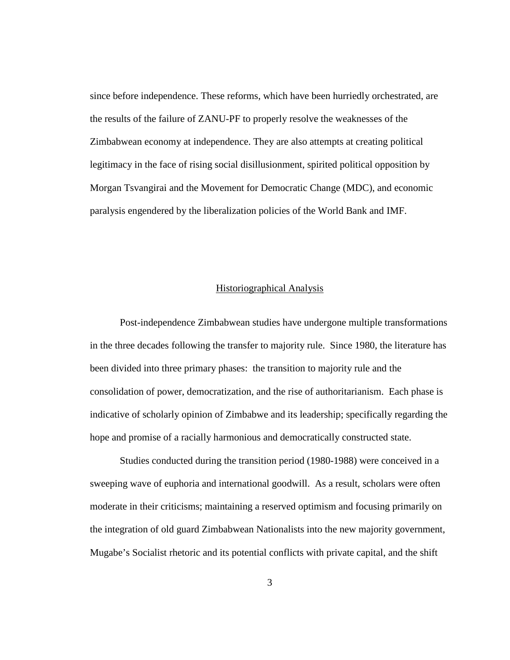since before independence. These reforms, which have been hurriedly orchestrated, are the results of the failure of ZANU-PF to properly resolve the weaknesses of the Zimbabwean economy at independence. They are also attempts at creating political legitimacy in the face of rising social disillusionment, spirited political opposition by Morgan Tsvangirai and the Movement for Democratic Change (MDC), and economic paralysis engendered by the liberalization policies of the World Bank and IMF.

#### Historiographical Analysis

<span id="page-12-0"></span>Post-independence Zimbabwean studies have undergone multiple transformations in the three decades following the transfer to majority rule. Since 1980, the literature has been divided into three primary phases: the transition to majority rule and the consolidation of power, democratization, and the rise of authoritarianism. Each phase is indicative of scholarly opinion of Zimbabwe and its leadership; specifically regarding the hope and promise of a racially harmonious and democratically constructed state.

Studies conducted during the transition period (1980-1988) were conceived in a sweeping wave of euphoria and international goodwill. As a result, scholars were often moderate in their criticisms; maintaining a reserved optimism and focusing primarily on the integration of old guard Zimbabwean Nationalists into the new majority government, Mugabe's Socialist rhetoric and its potential conflicts with private capital, and the shift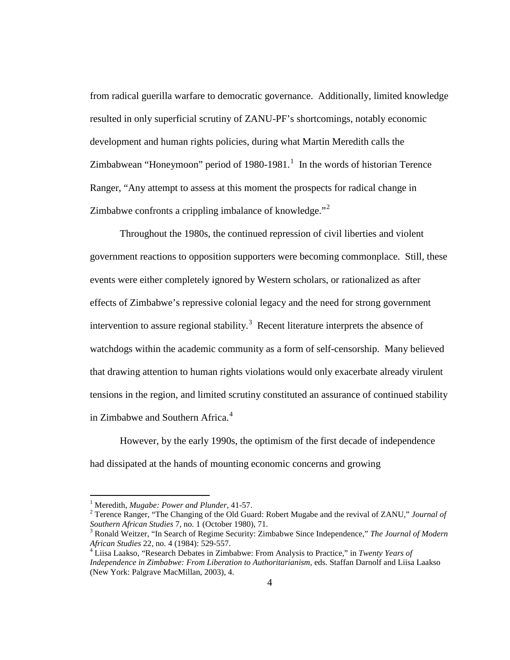from radical guerilla warfare to democratic governance. Additionally, limited knowledge resulted in only superficial scrutiny of ZANU-PF's shortcomings, notably economic development and human rights policies, during what Martin Meredith calls the Zimbabwean "Honeymoon" period of  $1980-1981$  $1980-1981$ .<sup>1</sup> In the words of historian Terence Ranger, "Any attempt to assess at this moment the prospects for radical change in Zimbabwe confronts a crippling imbalance of knowledge."<sup>[2](#page-13-1)</sup>

Throughout the 1980s, the continued repression of civil liberties and violent government reactions to opposition supporters were becoming commonplace. Still, these events were either completely ignored by Western scholars, or rationalized as after effects of Zimbabwe's repressive colonial legacy and the need for strong government intervention to assure regional stability.<sup>[3](#page-13-2)</sup> Recent literature interprets the absence of watchdogs within the academic community as a form of self-censorship. Many believed that drawing attention to human rights violations would only exacerbate already virulent tensions in the region, and limited scrutiny constituted an assurance of continued stability in Zimbabwe and Southern Africa.<sup>[4](#page-13-3)</sup>

However, by the early 1990s, the optimism of the first decade of independence had dissipated at the hands of mounting economic concerns and growing

<span id="page-13-1"></span><span id="page-13-0"></span><sup>&</sup>lt;sup>1</sup> Meredith, *Mugabe: Power and Plunder*, 41-57.<br><sup>2</sup> Terence Ranger, "The Changing of the Old Guard: Robert Mugabe and the revival of ZANU," *Journal of Southern African Studies* 7, no. 1 (October 1980), 71.<br><sup>3</sup> Ronald Weitzer, "In Search of Regime Security: Zimbabwe Since Independence," *The Journal of Modern* 

<span id="page-13-2"></span>*African Studies* 22, no. 4 (1984): 529-557. <sup>4</sup> Liisa Laakso, "Research Debates in Zimbabwe: From Analysis to Practice," in *Twenty Years of* 

<span id="page-13-3"></span>*Independence in Zimbabwe: From Liberation to Authoritarianism*, eds. Staffan Darnolf and Liisa Laakso (New York: Palgrave MacMillan, 2003), 4.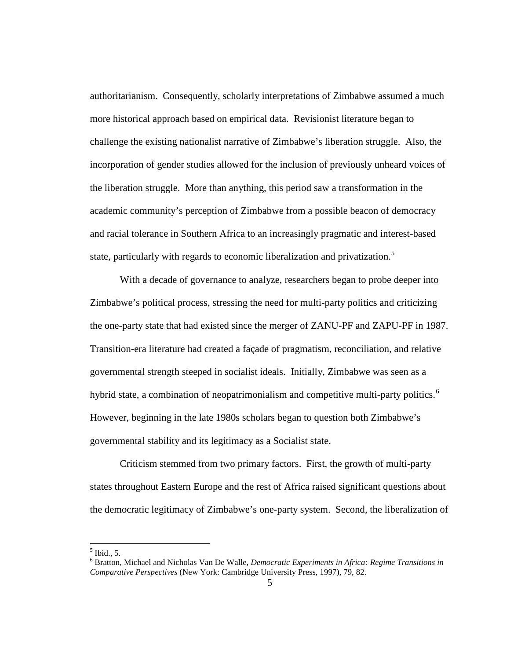authoritarianism. Consequently, scholarly interpretations of Zimbabwe assumed a much more historical approach based on empirical data. Revisionist literature began to challenge the existing nationalist narrative of Zimbabwe's liberation struggle. Also, the incorporation of gender studies allowed for the inclusion of previously unheard voices of the liberation struggle. More than anything, this period saw a transformation in the academic community's perception of Zimbabwe from a possible beacon of democracy and racial tolerance in Southern Africa to an increasingly pragmatic and interest-based state, particularly with regards to economic liberalization and privatization.<sup>[5](#page-14-0)</sup>

With a decade of governance to analyze, researchers began to probe deeper into Zimbabwe's political process, stressing the need for multi-party politics and criticizing the one-party state that had existed since the merger of ZANU-PF and ZAPU-PF in 1987. Transition-era literature had created a façade of pragmatism, reconciliation, and relative governmental strength steeped in socialist ideals. Initially, Zimbabwe was seen as a hybrid state, a combination of neopatrimonialism and competitive multi-party politics.<sup>[6](#page-14-1)</sup> However, beginning in the late 1980s scholars began to question both Zimbabwe's governmental stability and its legitimacy as a Socialist state.

Criticism stemmed from two primary factors. First, the growth of multi-party states throughout Eastern Europe and the rest of Africa raised significant questions about the democratic legitimacy of Zimbabwe's one-party system. Second, the liberalization of

 $<sup>5</sup>$  Ibid., 5.</sup>

<span id="page-14-1"></span><span id="page-14-0"></span><sup>6</sup> Bratton, Michael and Nicholas Van De Walle, *Democratic Experiments in Africa: Regime Transitions in Comparative Perspectives* (New York: Cambridge University Press, 1997), 79, 82.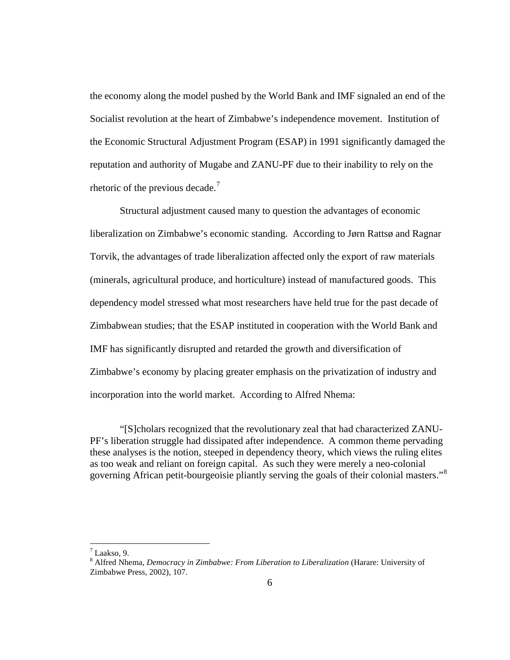the economy along the model pushed by the World Bank and IMF signaled an end of the Socialist revolution at the heart of Zimbabwe's independence movement. Institution of the Economic Structural Adjustment Program (ESAP) in 1991 significantly damaged the reputation and authority of Mugabe and ZANU-PF due to their inability to rely on the rhetoric of the previous decade.<sup>[7](#page-15-0)</sup>

Structural adjustment caused many to question the advantages of economic liberalization on Zimbabwe's economic standing. According to Jørn Rattsø and Ragnar Torvik, the advantages of trade liberalization affected only the export of raw materials (minerals, agricultural produce, and horticulture) instead of manufactured goods. This dependency model stressed what most researchers have held true for the past decade of Zimbabwean studies; that the ESAP instituted in cooperation with the World Bank and IMF has significantly disrupted and retarded the growth and diversification of Zimbabwe's economy by placing greater emphasis on the privatization of industry and incorporation into the world market. According to Alfred Nhema:

"[S]cholars recognized that the revolutionary zeal that had characterized ZANU-PF's liberation struggle had dissipated after independence. A common theme pervading these analyses is the notion, steeped in dependency theory, which views the ruling elites as too weak and reliant on foreign capital. As such they were merely a neo-colonial governing African petit-bourgeoisie pliantly serving the goals of their colonial masters."<sup>[8](#page-15-1)</sup>

 $^7$  Laakso, 9.

<span id="page-15-1"></span><span id="page-15-0"></span><sup>8</sup> Alfred Nhema, *Democracy in Zimbabwe: From Liberation to Liberalization* (Harare: University of Zimbabwe Press, 2002), 107.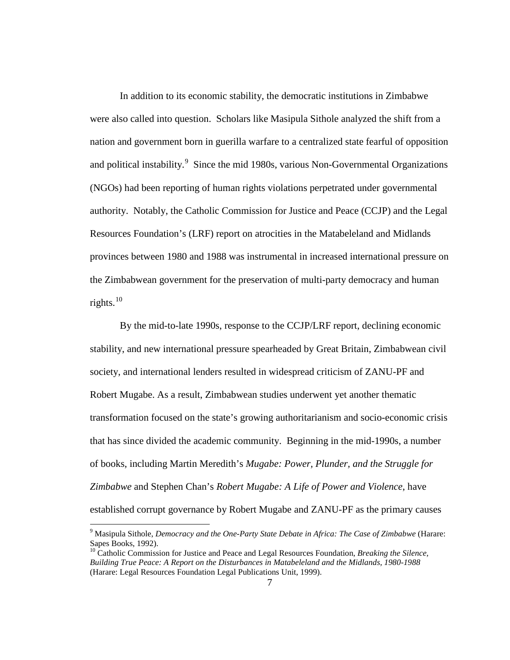In addition to its economic stability, the democratic institutions in Zimbabwe were also called into question. Scholars like Masipula Sithole analyzed the shift from a nation and government born in guerilla warfare to a centralized state fearful of opposition and political instability.<sup>[9](#page-16-0)</sup> Since the mid 1980s, various Non-Governmental Organizations (NGOs) had been reporting of human rights violations perpetrated under governmental authority. Notably, the Catholic Commission for Justice and Peace (CCJP) and the Legal Resources Foundation's (LRF) report on atrocities in the Matabeleland and Midlands provinces between 1980 and 1988 was instrumental in increased international pressure on the Zimbabwean government for the preservation of multi-party democracy and human rights. $^{10}$  $^{10}$  $^{10}$ 

By the mid-to-late 1990s, response to the CCJP/LRF report, declining economic stability, and new international pressure spearheaded by Great Britain, Zimbabwean civil society, and international lenders resulted in widespread criticism of ZANU-PF and Robert Mugabe. As a result, Zimbabwean studies underwent yet another thematic transformation focused on the state's growing authoritarianism and socio-economic crisis that has since divided the academic community. Beginning in the mid-1990s, a number of books, including Martin Meredith's *Mugabe: Power, Plunder, and the Struggle for Zimbabwe* and Stephen Chan's *Robert Mugabe: A Life of Power and Violence*, have established corrupt governance by Robert Mugabe and ZANU-PF as the primary causes

<span id="page-16-0"></span> <sup>9</sup> Masipula Sithole, *Democracy and the One-Party State Debate in Africa: The Case of Zimbabwe* (Harare: Sapes Books, 1992).

<span id="page-16-1"></span><sup>&</sup>lt;sup>10</sup> Catholic Commission for Justice and Peace and Legal Resources Foundation, *Breaking the Silence*, *Building True Peace: A Report on the Disturbances in Matabeleland and the Midlands, 1980-1988* (Harare: Legal Resources Foundation Legal Publications Unit, 1999).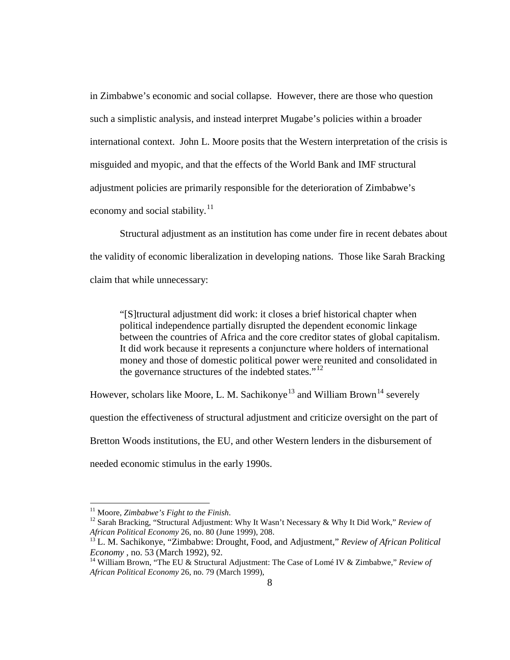in Zimbabwe's economic and social collapse. However, there are those who question such a simplistic analysis, and instead interpret Mugabe's policies within a broader international context. John L. Moore posits that the Western interpretation of the crisis is misguided and myopic, and that the effects of the World Bank and IMF structural adjustment policies are primarily responsible for the deterioration of Zimbabwe's economy and social stability. $11$ 

Structural adjustment as an institution has come under fire in recent debates about the validity of economic liberalization in developing nations. Those like Sarah Bracking claim that while unnecessary:

"[S]tructural adjustment did work: it closes a brief historical chapter when political independence partially disrupted the dependent economic linkage between the countries of Africa and the core creditor states of global capitalism. It did work because it represents a conjuncture where holders of international money and those of domestic political power were reunited and consolidated in the governance structures of the indebted states."<sup>[12](#page-17-1)</sup>

However, scholars like Moore, L. M. Sachikonye<sup>[13](#page-17-2)</sup> and William Brown<sup>[14](#page-17-3)</sup> severely question the effectiveness of structural adjustment and criticize oversight on the part of Bretton Woods institutions, the EU, and other Western lenders in the disbursement of needed economic stimulus in the early 1990s.

<span id="page-17-1"></span><span id="page-17-0"></span><sup>&</sup>lt;sup>11</sup> Moore, *Zimbabwe's Fight to the Finish*.<br><sup>12</sup> Sarah Bracking, "Structural Adjustment: Why It Wasn't Necessary & Why It Did Work," *Review of African Political Economy* 26, no. 80 (June 1999), 208.

<span id="page-17-2"></span><sup>&</sup>lt;sup>13</sup> L. M. Sachikonye, "Zimbabwe: Drought, Food, and Adjustment," *Review of African Political Economy*, no. 53 (March 1992), 92.

<span id="page-17-3"></span><sup>&</sup>lt;sup>14</sup> William Brown, "The EU & Structural Adjustment: The Case of Lomé IV & Zimbabwe," *Review of African Political Economy* 26, no. 79 (March 1999),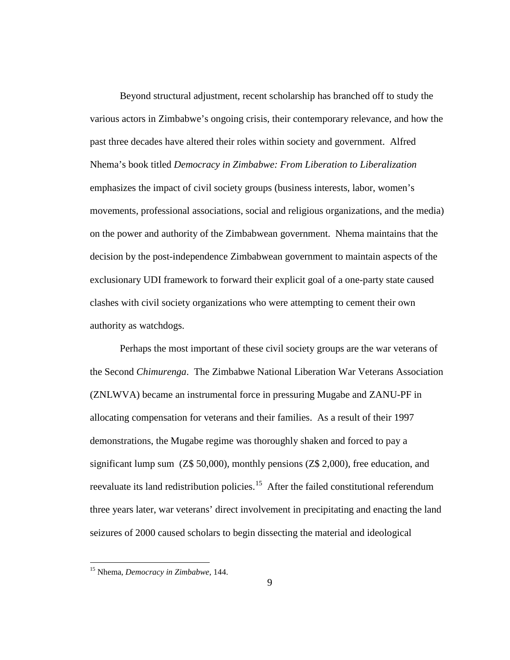Beyond structural adjustment, recent scholarship has branched off to study the various actors in Zimbabwe's ongoing crisis, their contemporary relevance, and how the past three decades have altered their roles within society and government. Alfred Nhema's book titled *Democracy in Zimbabwe: From Liberation to Liberalization* emphasizes the impact of civil society groups (business interests, labor, women's movements, professional associations, social and religious organizations, and the media) on the power and authority of the Zimbabwean government. Nhema maintains that the decision by the post-independence Zimbabwean government to maintain aspects of the exclusionary UDI framework to forward their explicit goal of a one-party state caused clashes with civil society organizations who were attempting to cement their own authority as watchdogs.

Perhaps the most important of these civil society groups are the war veterans of the Second *Chimurenga*. The Zimbabwe National Liberation War Veterans Association (ZNLWVA) became an instrumental force in pressuring Mugabe and ZANU-PF in allocating compensation for veterans and their families. As a result of their 1997 demonstrations, the Mugabe regime was thoroughly shaken and forced to pay a significant lump sum (Z\$ 50,000), monthly pensions (Z\$ 2,000), free education, and reevaluate its land redistribution policies.<sup>[15](#page-18-0)</sup> After the failed constitutional referendum three years later, war veterans' direct involvement in precipitating and enacting the land seizures of 2000 caused scholars to begin dissecting the material and ideological

<span id="page-18-0"></span> <sup>15</sup> Nhema, *Democracy in Zimbabwe*, 144.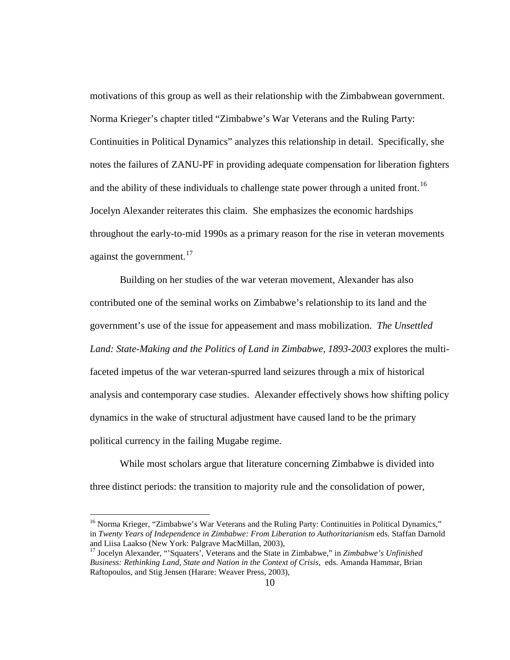motivations of this group as well as their relationship with the Zimbabwean government. Norma Krieger's chapter titled "Zimbabwe's War Veterans and the Ruling Party: Continuities in Political Dynamics" analyzes this relationship in detail. Specifically, she notes the failures of ZANU-PF in providing adequate compensation for liberation fighters and the ability of these individuals to challenge state power through a united front.<sup>16</sup> Jocelyn Alexander reiterates this claim. She emphasizes the economic hardships throughout the early-to-mid 1990s as a primary reason for the rise in veteran movements against the government. $17$ 

Building on her studies of the war veteran movement, Alexander has also contributed one of the seminal works on Zimbabwe's relationship to its land and the government's use of the issue for appeasement and mass mobilization. *The Unsettled Land: State-Making and the Politics of Land in Zimbabwe, 1893-2003* explores the multifaceted impetus of the war veteran-spurred land seizures through a mix of historical analysis and contemporary case studies. Alexander effectively shows how shifting policy dynamics in the wake of structural adjustment have caused land to be the primary political currency in the failing Mugabe regime.

While most scholars argue that literature concerning Zimbabwe is divided into three distinct periods: the transition to majority rule and the consolidation of power,

<span id="page-19-0"></span><sup>&</sup>lt;sup>16</sup> Norma Krieger, "Zimbabwe's War Veterans and the Ruling Party: Continuities in Political Dynamics," in *Twenty Years of Independence in Zimbabwe: From Liberation to Authoritarianism* eds. Staffan Darnold

<span id="page-19-1"></span><sup>&</sup>lt;sup>17</sup> Jocelyn Alexander, "'Squaters', Veterans and the State in Zimbabwe," in *Zimbabwe's Unfinished Business: Rethinking Land, State and Nation in the Context of Crisis*, eds. Amanda Hammar, Brian Raftopoulos, and Stig Jensen (Harare: Weaver Press, 2003),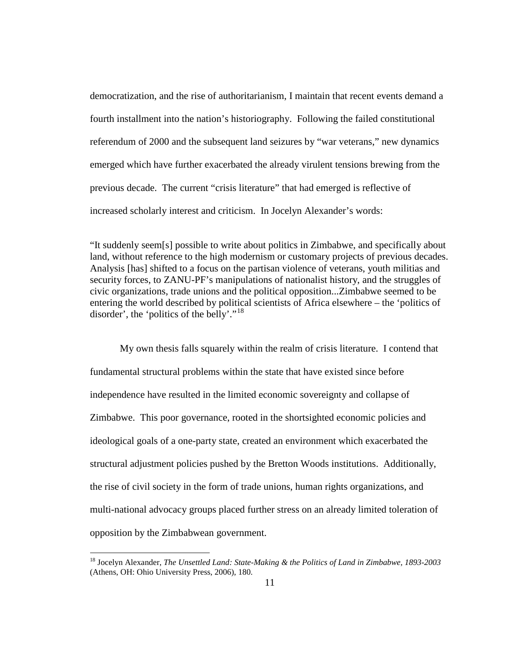democratization, and the rise of authoritarianism, I maintain that recent events demand a fourth installment into the nation's historiography. Following the failed constitutional referendum of 2000 and the subsequent land seizures by "war veterans," new dynamics emerged which have further exacerbated the already virulent tensions brewing from the previous decade. The current "crisis literature" that had emerged is reflective of increased scholarly interest and criticism. In Jocelyn Alexander's words:

"It suddenly seem[s] possible to write about politics in Zimbabwe, and specifically about land, without reference to the high modernism or customary projects of previous decades. Analysis [has] shifted to a focus on the partisan violence of veterans, youth militias and security forces, to ZANU-PF's manipulations of nationalist history, and the struggles of civic organizations, trade unions and the political opposition...Zimbabwe seemed to be entering the world described by political scientists of Africa elsewhere – the 'politics of disorder', the 'politics of the belly'."<sup>[18](#page-20-0)</sup>

My own thesis falls squarely within the realm of crisis literature. I contend that fundamental structural problems within the state that have existed since before independence have resulted in the limited economic sovereignty and collapse of Zimbabwe. This poor governance, rooted in the shortsighted economic policies and ideological goals of a one-party state, created an environment which exacerbated the structural adjustment policies pushed by the Bretton Woods institutions. Additionally, the rise of civil society in the form of trade unions, human rights organizations, and multi-national advocacy groups placed further stress on an already limited toleration of opposition by the Zimbabwean government.

<span id="page-20-0"></span> <sup>18</sup> Jocelyn Alexander, *The Unsettled Land: State-Making & the Politics of Land in Zimbabwe, 1893-2003* (Athens, OH: Ohio University Press, 2006), 180.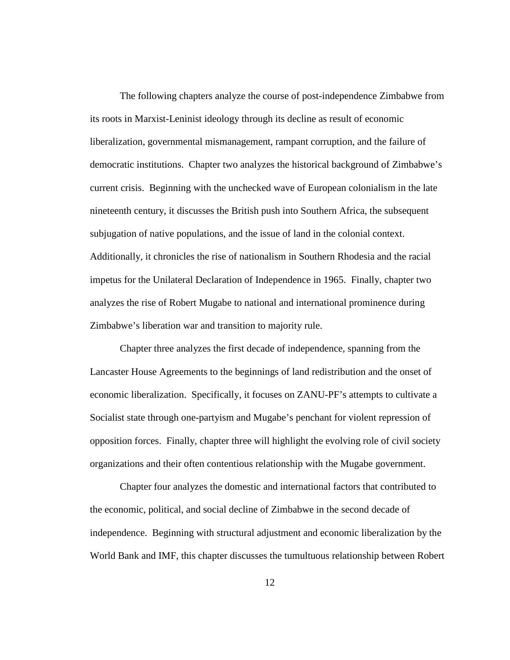The following chapters analyze the course of post-independence Zimbabwe from its roots in Marxist-Leninist ideology through its decline as result of economic liberalization, governmental mismanagement, rampant corruption, and the failure of democratic institutions. Chapter two analyzes the historical background of Zimbabwe's current crisis. Beginning with the unchecked wave of European colonialism in the late nineteenth century, it discusses the British push into Southern Africa, the subsequent subjugation of native populations, and the issue of land in the colonial context. Additionally, it chronicles the rise of nationalism in Southern Rhodesia and the racial impetus for the Unilateral Declaration of Independence in 1965. Finally, chapter two analyzes the rise of Robert Mugabe to national and international prominence during Zimbabwe's liberation war and transition to majority rule.

Chapter three analyzes the first decade of independence, spanning from the Lancaster House Agreements to the beginnings of land redistribution and the onset of economic liberalization. Specifically, it focuses on ZANU-PF's attempts to cultivate a Socialist state through one-partyism and Mugabe's penchant for violent repression of opposition forces. Finally, chapter three will highlight the evolving role of civil society organizations and their often contentious relationship with the Mugabe government.

Chapter four analyzes the domestic and international factors that contributed to the economic, political, and social decline of Zimbabwe in the second decade of independence. Beginning with structural adjustment and economic liberalization by the World Bank and IMF, this chapter discusses the tumultuous relationship between Robert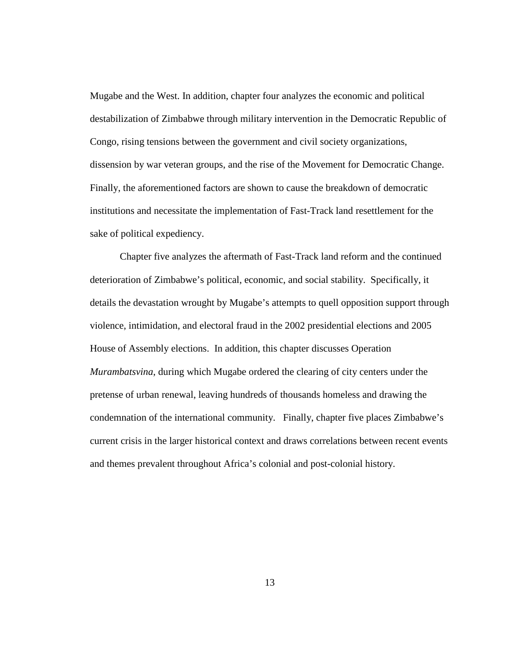Mugabe and the West. In addition, chapter four analyzes the economic and political destabilization of Zimbabwe through military intervention in the Democratic Republic of Congo, rising tensions between the government and civil society organizations, dissension by war veteran groups, and the rise of the Movement for Democratic Change. Finally, the aforementioned factors are shown to cause the breakdown of democratic institutions and necessitate the implementation of Fast-Track land resettlement for the sake of political expediency.

Chapter five analyzes the aftermath of Fast-Track land reform and the continued deterioration of Zimbabwe's political, economic, and social stability. Specifically, it details the devastation wrought by Mugabe's attempts to quell opposition support through violence, intimidation, and electoral fraud in the 2002 presidential elections and 2005 House of Assembly elections. In addition, this chapter discusses Operation *Murambatsvina*, during which Mugabe ordered the clearing of city centers under the pretense of urban renewal, leaving hundreds of thousands homeless and drawing the condemnation of the international community. Finally, chapter five places Zimbabwe's current crisis in the larger historical context and draws correlations between recent events and themes prevalent throughout Africa's colonial and post-colonial history.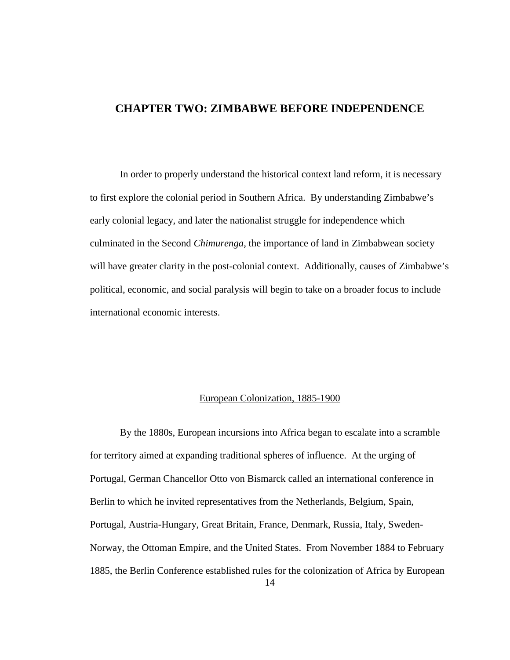### <span id="page-23-0"></span>**CHAPTER TWO: ZIMBABWE BEFORE INDEPENDENCE**

In order to properly understand the historical context land reform, it is necessary to first explore the colonial period in Southern Africa. By understanding Zimbabwe's early colonial legacy, and later the nationalist struggle for independence which culminated in the Second *Chimurenga*, the importance of land in Zimbabwean society will have greater clarity in the post-colonial context. Additionally, causes of Zimbabwe's political, economic, and social paralysis will begin to take on a broader focus to include international economic interests.

#### European Colonization, 1885-1900

<span id="page-23-1"></span>By the 1880s, European incursions into Africa began to escalate into a scramble for territory aimed at expanding traditional spheres of influence. At the urging of Portugal, German Chancellor Otto von Bismarck called an international conference in Berlin to which he invited representatives from the Netherlands, Belgium, Spain, Portugal, Austria-Hungary, Great Britain, France, Denmark, Russia, Italy, Sweden-Norway, the Ottoman Empire, and the United States. From November 1884 to February 1885, the Berlin Conference established rules for the colonization of Africa by European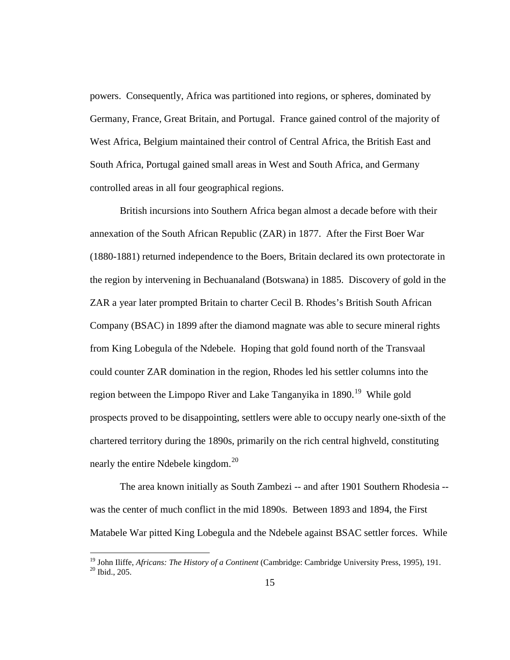powers. Consequently, Africa was partitioned into regions, or spheres, dominated by Germany, France, Great Britain, and Portugal. France gained control of the majority of West Africa, Belgium maintained their control of Central Africa, the British East and South Africa, Portugal gained small areas in West and South Africa, and Germany controlled areas in all four geographical regions.

British incursions into Southern Africa began almost a decade before with their annexation of the South African Republic (ZAR) in 1877. After the First Boer War (1880-1881) returned independence to the Boers, Britain declared its own protectorate in the region by intervening in Bechuanaland (Botswana) in 1885. Discovery of gold in the ZAR a year later prompted Britain to charter Cecil B. Rhodes's British South African Company (BSAC) in 1899 after the diamond magnate was able to secure mineral rights from King Lobegula of the Ndebele. Hoping that gold found north of the Transvaal could counter ZAR domination in the region, Rhodes led his settler columns into the region between the Limpopo River and Lake Tanganyika in 1890.<sup>[19](#page-24-0)</sup> While gold prospects proved to be disappointing, settlers were able to occupy nearly one-sixth of the chartered territory during the 1890s, primarily on the rich central highveld, constituting nearly the entire Ndebele kingdom.<sup>[20](#page-24-1)</sup>

The area known initially as South Zambezi -- and after 1901 Southern Rhodesia - was the center of much conflict in the mid 1890s. Between 1893 and 1894, the First Matabele War pitted King Lobegula and the Ndebele against BSAC settler forces. While

<span id="page-24-1"></span><span id="page-24-0"></span><sup>&</sup>lt;sup>19</sup> John Iliffe, *Africans: The History of a Continent* (Cambridge: Cambridge University Press, 1995), 191.<br><sup>20</sup> Ibid., 205.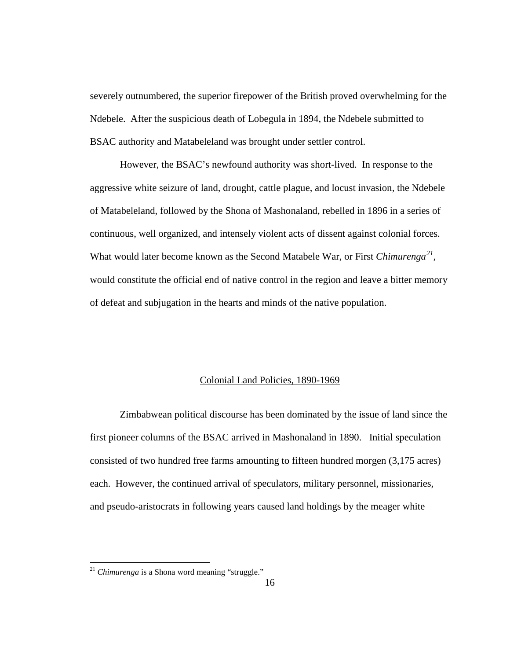severely outnumbered, the superior firepower of the British proved overwhelming for the Ndebele. After the suspicious death of Lobegula in 1894, the Ndebele submitted to BSAC authority and Matabeleland was brought under settler control.

However, the BSAC's newfound authority was short-lived. In response to the aggressive white seizure of land, drought, cattle plague, and locust invasion, the Ndebele of Matabeleland, followed by the Shona of Mashonaland, rebelled in 1896 in a series of continuous, well organized, and intensely violent acts of dissent against colonial forces. What would later become known as the Second Matabele War, or First *Chimurenga[21](#page-25-1)* , would constitute the official end of native control in the region and leave a bitter memory of defeat and subjugation in the hearts and minds of the native population.

#### Colonial Land Policies, 1890-1969

<span id="page-25-0"></span>Zimbabwean political discourse has been dominated by the issue of land since the first pioneer columns of the BSAC arrived in Mashonaland in 1890. Initial speculation consisted of two hundred free farms amounting to fifteen hundred morgen (3,175 acres) each. However, the continued arrival of speculators, military personnel, missionaries, and pseudo-aristocrats in following years caused land holdings by the meager white

<span id="page-25-1"></span><sup>&</sup>lt;sup>21</sup> *Chimurenga* is a Shona word meaning "struggle."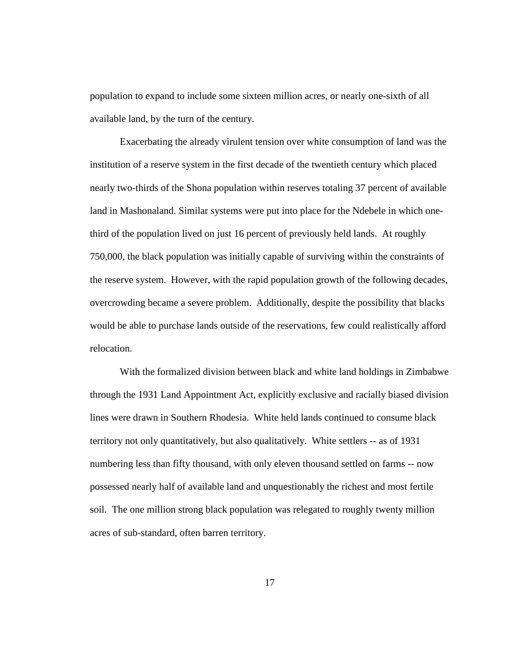population to expand to include some sixteen million acres, or nearly one-sixth of all available land, by the turn of the century.

Exacerbating the already virulent tension over white consumption of land was the institution of a reserve system in the first decade of the twentieth century which placed nearly two-thirds of the Shona population within reserves totaling 37 percent of available land in Mashonaland. Similar systems were put into place for the Ndebele in which onethird of the population lived on just 16 percent of previously held lands. At roughly 750,000, the black population was initially capable of surviving within the constraints of the reserve system. However, with the rapid population growth of the following decades, overcrowding became a severe problem. Additionally, despite the possibility that blacks would be able to purchase lands outside of the reservations, few could realistically afford relocation.

With the formalized division between black and white land holdings in Zimbabwe through the 1931 Land Appointment Act, explicitly exclusive and racially biased division lines were drawn in Southern Rhodesia. White held lands continued to consume black territory not only quantitatively, but also qualitatively. White settlers -- as of 1931 numbering less than fifty thousand, with only eleven thousand settled on farms -- now possessed nearly half of available land and unquestionably the richest and most fertile soil. The one million strong black population was relegated to roughly twenty million acres of sub-standard, often barren territory.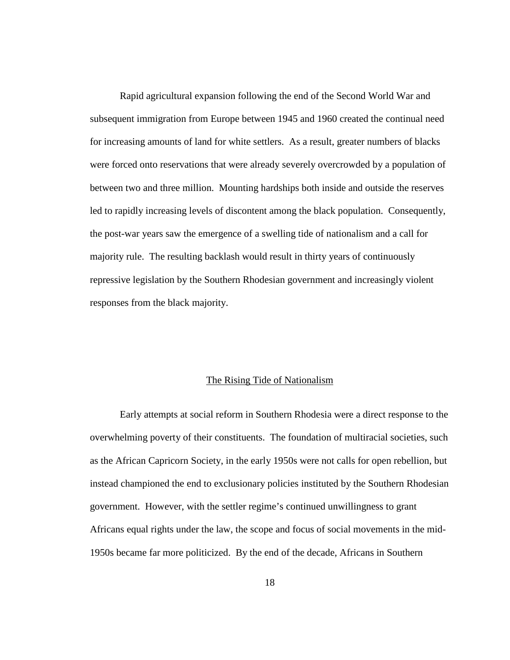Rapid agricultural expansion following the end of the Second World War and subsequent immigration from Europe between 1945 and 1960 created the continual need for increasing amounts of land for white settlers. As a result, greater numbers of blacks were forced onto reservations that were already severely overcrowded by a population of between two and three million. Mounting hardships both inside and outside the reserves led to rapidly increasing levels of discontent among the black population. Consequently, the post-war years saw the emergence of a swelling tide of nationalism and a call for majority rule. The resulting backlash would result in thirty years of continuously repressive legislation by the Southern Rhodesian government and increasingly violent responses from the black majority.

#### The Rising Tide of Nationalism

<span id="page-27-0"></span>Early attempts at social reform in Southern Rhodesia were a direct response to the overwhelming poverty of their constituents. The foundation of multiracial societies, such as the African Capricorn Society, in the early 1950s were not calls for open rebellion, but instead championed the end to exclusionary policies instituted by the Southern Rhodesian government. However, with the settler regime's continued unwillingness to grant Africans equal rights under the law, the scope and focus of social movements in the mid-1950s became far more politicized. By the end of the decade, Africans in Southern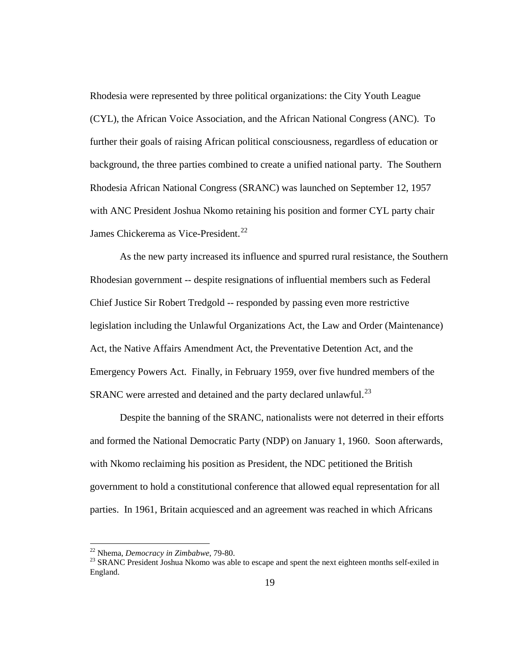Rhodesia were represented by three political organizations: the City Youth League (CYL), the African Voice Association, and the African National Congress (ANC). To further their goals of raising African political consciousness, regardless of education or background, the three parties combined to create a unified national party. The Southern Rhodesia African National Congress (SRANC) was launched on September 12, 1957 with ANC President Joshua Nkomo retaining his position and former CYL party chair James Chickerema as Vice-President.<sup>[22](#page-28-0)</sup>

As the new party increased its influence and spurred rural resistance, the Southern Rhodesian government -- despite resignations of influential members such as Federal Chief Justice Sir Robert Tredgold -- responded by passing even more restrictive legislation including the Unlawful Organizations Act, the Law and Order (Maintenance) Act, the Native Affairs Amendment Act, the Preventative Detention Act, and the Emergency Powers Act. Finally, in February 1959, over five hundred members of the SRANC were arrested and detained and the party declared unlawful.<sup>[23](#page-28-1)</sup>

Despite the banning of the SRANC, nationalists were not deterred in their efforts and formed the National Democratic Party (NDP) on January 1, 1960. Soon afterwards, with Nkomo reclaiming his position as President, the NDC petitioned the British government to hold a constitutional conference that allowed equal representation for all parties. In 1961, Britain acquiesced and an agreement was reached in which Africans

<span id="page-28-1"></span><span id="page-28-0"></span><sup>&</sup>lt;sup>22</sup> Nhema, *Democracy in Zimbabwe*, 79-80.<br><sup>23</sup> SRANC President Joshua Nkomo was able to escape and spent the next eighteen months self-exiled in England.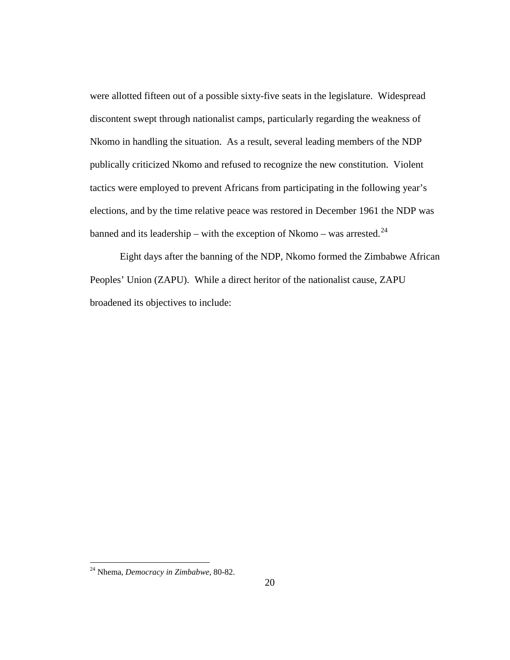were allotted fifteen out of a possible sixty-five seats in the legislature. Widespread discontent swept through nationalist camps, particularly regarding the weakness of Nkomo in handling the situation. As a result, several leading members of the NDP publically criticized Nkomo and refused to recognize the new constitution. Violent tactics were employed to prevent Africans from participating in the following year's elections, and by the time relative peace was restored in December 1961 the NDP was banned and its leadership – with the exception of Nkomo – was arrested.<sup>[24](#page-29-0)</sup>

Eight days after the banning of the NDP, Nkomo formed the Zimbabwe African Peoples' Union (ZAPU). While a direct heritor of the nationalist cause, ZAPU broadened its objectives to include:

<span id="page-29-0"></span> <sup>24</sup> Nhema, *Democracy in Zimbabwe*, 80-82.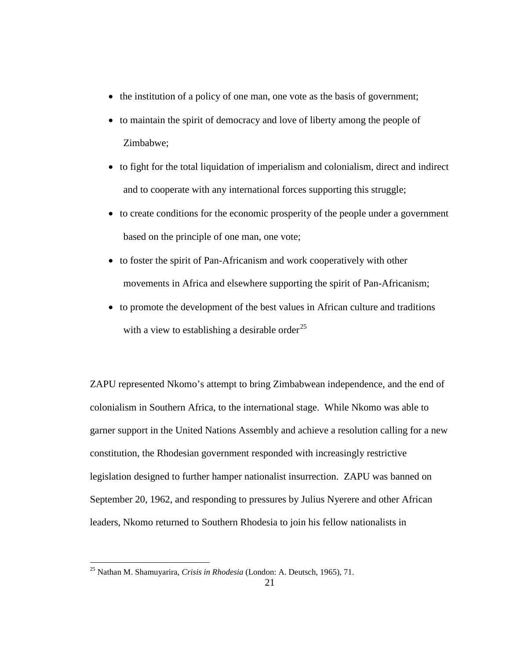- the institution of a policy of one man, one vote as the basis of government;
- to maintain the spirit of democracy and love of liberty among the people of Zimbabwe;
- to fight for the total liquidation of imperialism and colonialism, direct and indirect and to cooperate with any international forces supporting this struggle;
- to create conditions for the economic prosperity of the people under a government based on the principle of one man, one vote;
- to foster the spirit of Pan-Africanism and work cooperatively with other movements in Africa and elsewhere supporting the spirit of Pan-Africanism;
- to promote the development of the best values in African culture and traditions with a view to establishing a desirable order<sup>[25](#page-30-0)</sup>

ZAPU represented Nkomo's attempt to bring Zimbabwean independence, and the end of colonialism in Southern Africa, to the international stage. While Nkomo was able to garner support in the United Nations Assembly and achieve a resolution calling for a new constitution, the Rhodesian government responded with increasingly restrictive legislation designed to further hamper nationalist insurrection. ZAPU was banned on September 20, 1962, and responding to pressures by Julius Nyerere and other African leaders, Nkomo returned to Southern Rhodesia to join his fellow nationalists in

<span id="page-30-0"></span> <sup>25</sup> Nathan M. Shamuyarira, *Crisis in Rhodesia* (London: A. Deutsch, 1965), 71.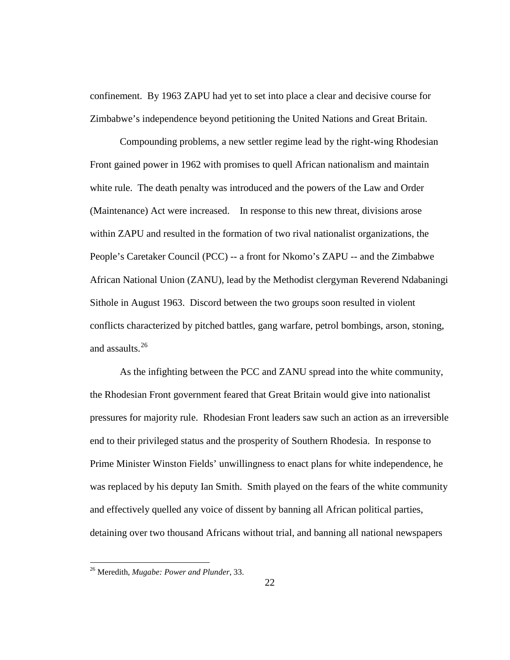confinement. By 1963 ZAPU had yet to set into place a clear and decisive course for Zimbabwe's independence beyond petitioning the United Nations and Great Britain.

Compounding problems, a new settler regime lead by the right-wing Rhodesian Front gained power in 1962 with promises to quell African nationalism and maintain white rule. The death penalty was introduced and the powers of the Law and Order (Maintenance) Act were increased. In response to this new threat, divisions arose within ZAPU and resulted in the formation of two rival nationalist organizations, the People's Caretaker Council (PCC) -- a front for Nkomo's ZAPU -- and the Zimbabwe African National Union (ZANU), lead by the Methodist clergyman Reverend Ndabaningi Sithole in August 1963. Discord between the two groups soon resulted in violent conflicts characterized by pitched battles, gang warfare, petrol bombings, arson, stoning, and assaults.<sup>[26](#page-31-0)</sup>

As the infighting between the PCC and ZANU spread into the white community, the Rhodesian Front government feared that Great Britain would give into nationalist pressures for majority rule. Rhodesian Front leaders saw such an action as an irreversible end to their privileged status and the prosperity of Southern Rhodesia. In response to Prime Minister Winston Fields' unwillingness to enact plans for white independence, he was replaced by his deputy Ian Smith. Smith played on the fears of the white community and effectively quelled any voice of dissent by banning all African political parties, detaining over two thousand Africans without trial, and banning all national newspapers

<span id="page-31-0"></span> <sup>26</sup> Meredith, *Mugabe: Power and Plunder*, 33.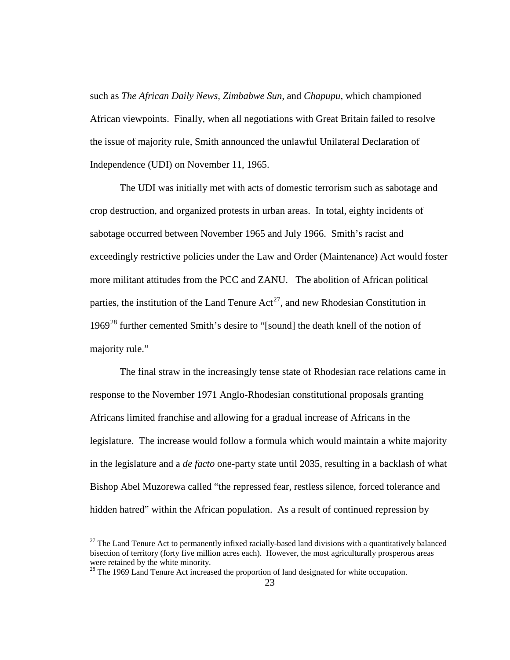such as *The African Daily News, Zimbabwe Sun,* and *Chapupu*, which championed African viewpoints. Finally, when all negotiations with Great Britain failed to resolve the issue of majority rule, Smith announced the unlawful Unilateral Declaration of Independence (UDI) on November 11, 1965.

The UDI was initially met with acts of domestic terrorism such as sabotage and crop destruction, and organized protests in urban areas. In total, eighty incidents of sabotage occurred between November 1965 and July 1966. Smith's racist and exceedingly restrictive policies under the Law and Order (Maintenance) Act would foster more militant attitudes from the PCC and ZANU. The abolition of African political parties, the institution of the Land Tenure  $Act^{27}$ , and new Rhodesian Constitution in 1969<sup>[28](#page-32-1)</sup> further cemented Smith's desire to "[sound] the death knell of the notion of majority rule."

The final straw in the increasingly tense state of Rhodesian race relations came in response to the November 1971 Anglo-Rhodesian constitutional proposals granting Africans limited franchise and allowing for a gradual increase of Africans in the legislature. The increase would follow a formula which would maintain a white majority in the legislature and a *de facto* one-party state until 2035, resulting in a backlash of what Bishop Abel Muzorewa called "the repressed fear, restless silence, forced tolerance and hidden hatred" within the African population. As a result of continued repression by

<span id="page-32-0"></span> $27$  The Land Tenure Act to permanently infixed racially-based land divisions with a quantitatively balanced bisection of territory (forty five million acres each). However, the most agriculturally prosperous areas were retained by the white minority.

<span id="page-32-1"></span> $28$  The 1969 Land Tenure Act increased the proportion of land designated for white occupation.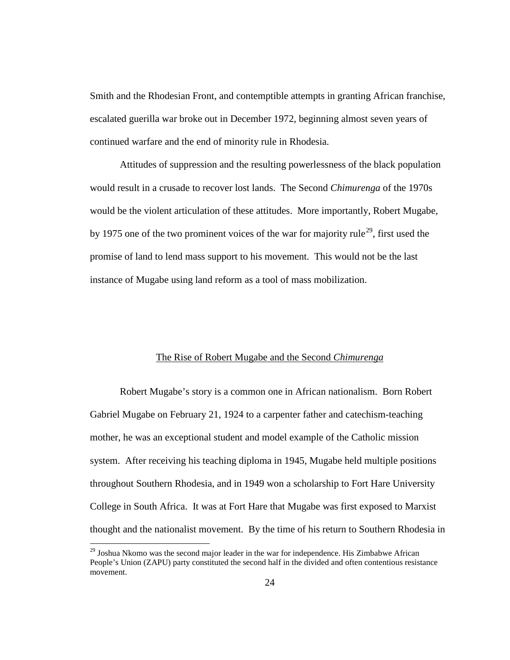Smith and the Rhodesian Front, and contemptible attempts in granting African franchise, escalated guerilla war broke out in December 1972, beginning almost seven years of continued warfare and the end of minority rule in Rhodesia.

Attitudes of suppression and the resulting powerlessness of the black population would result in a crusade to recover lost lands. The Second *Chimurenga* of the 1970s would be the violent articulation of these attitudes. More importantly, Robert Mugabe, by 1975 one of the two prominent voices of the war for majority rule<sup>[29](#page-33-1)</sup>, first used the promise of land to lend mass support to his movement. This would not be the last instance of Mugabe using land reform as a tool of mass mobilization.

#### The Rise of Robert Mugabe and the Second *Chimurenga*

<span id="page-33-0"></span>Robert Mugabe's story is a common one in African nationalism. Born Robert Gabriel Mugabe on February 21, 1924 to a carpenter father and catechism-teaching mother, he was an exceptional student and model example of the Catholic mission system. After receiving his teaching diploma in 1945, Mugabe held multiple positions throughout Southern Rhodesia, and in 1949 won a scholarship to Fort Hare University College in South Africa. It was at Fort Hare that Mugabe was first exposed to Marxist thought and the nationalist movement. By the time of his return to Southern Rhodesia in

<span id="page-33-1"></span><sup>&</sup>lt;sup>29</sup> Joshua Nkomo was the second major leader in the war for independence. His Zimbabwe African People's Union (ZAPU) party constituted the second half in the divided and often contentious resistance movement.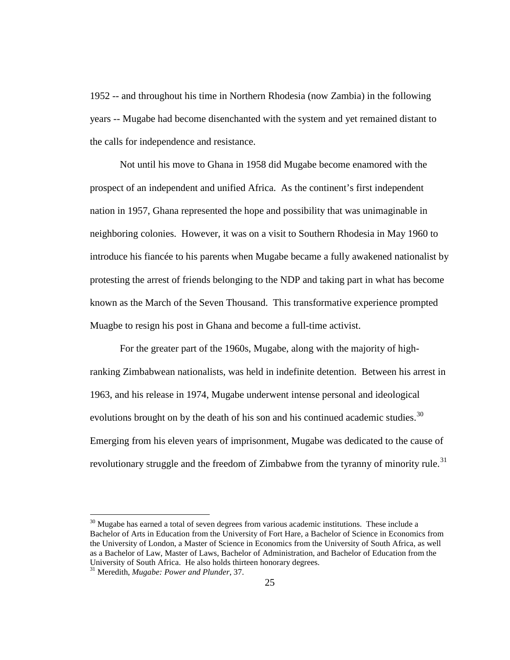1952 -- and throughout his time in Northern Rhodesia (now Zambia) in the following years -- Mugabe had become disenchanted with the system and yet remained distant to the calls for independence and resistance.

Not until his move to Ghana in 1958 did Mugabe become enamored with the prospect of an independent and unified Africa. As the continent's first independent nation in 1957, Ghana represented the hope and possibility that was unimaginable in neighboring colonies. However, it was on a visit to Southern Rhodesia in May 1960 to introduce his fiancée to his parents when Mugabe became a fully awakened nationalist by protesting the arrest of friends belonging to the NDP and taking part in what has become known as the March of the Seven Thousand. This transformative experience prompted Muagbe to resign his post in Ghana and become a full-time activist.

For the greater part of the 1960s, Mugabe, along with the majority of highranking Zimbabwean nationalists, was held in indefinite detention. Between his arrest in 1963, and his release in 1974, Mugabe underwent intense personal and ideological evolutions brought on by the death of his son and his continued academic studies.<sup>30</sup> Emerging from his eleven years of imprisonment, Mugabe was dedicated to the cause of revolutionary struggle and the freedom of Zimbabwe from the tyranny of minority rule.<sup>[31](#page-34-1)</sup>

<span id="page-34-0"></span> $30$  Mugabe has earned a total of seven degrees from various academic institutions. These include a Bachelor of Arts in Education from the University of Fort Hare, a Bachelor of Science in Economics from the University of London, a Master of Science in Economics from the University of South Africa, as well as a Bachelor of Law, Master of Laws, Bachelor of Administration, and Bachelor of Education from the University of South Africa. He also holds thirteen honorary degrees.

<span id="page-34-1"></span><sup>31</sup> Meredith, *Mugabe: Power and Plunder*, 37.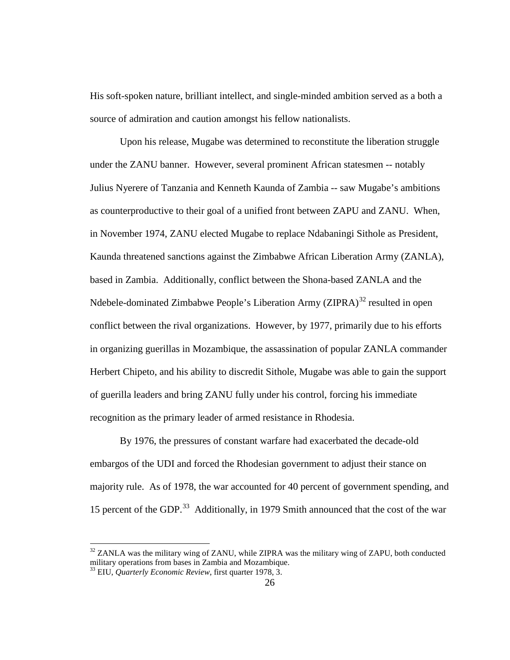His soft-spoken nature, brilliant intellect, and single-minded ambition served as a both a source of admiration and caution amongst his fellow nationalists.

Upon his release, Mugabe was determined to reconstitute the liberation struggle under the ZANU banner. However, several prominent African statesmen -- notably Julius Nyerere of Tanzania and Kenneth Kaunda of Zambia -- saw Mugabe's ambitions as counterproductive to their goal of a unified front between ZAPU and ZANU. When, in November 1974, ZANU elected Mugabe to replace Ndabaningi Sithole as President, Kaunda threatened sanctions against the Zimbabwe African Liberation Army (ZANLA), based in Zambia. Additionally, conflict between the Shona-based ZANLA and the Ndebele-dominated Zimbabwe People's Liberation Army (ZIPRA) $^{32}$  $^{32}$  $^{32}$  resulted in open conflict between the rival organizations. However, by 1977, primarily due to his efforts in organizing guerillas in Mozambique, the assassination of popular ZANLA commander Herbert Chipeto, and his ability to discredit Sithole, Mugabe was able to gain the support of guerilla leaders and bring ZANU fully under his control, forcing his immediate recognition as the primary leader of armed resistance in Rhodesia.

By 1976, the pressures of constant warfare had exacerbated the decade-old embargos of the UDI and forced the Rhodesian government to adjust their stance on majority rule. As of 1978, the war accounted for 40 percent of government spending, and 15 percent of the GDP.<sup>[33](#page-35-1)</sup> Additionally, in 1979 Smith announced that the cost of the war

<span id="page-35-0"></span> $32$  ZANLA was the military wing of ZANU, while ZIPRA was the military wing of ZAPU, both conducted military operations from bases in Zambia and Mozambique.

<span id="page-35-1"></span><sup>33</sup> EIU, *Quarterly Economic Review*, first quarter 1978, 3.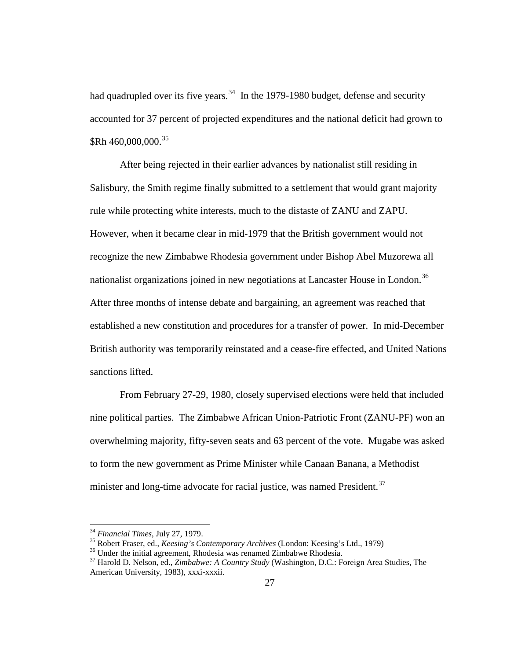had quadrupled over its five years.  $34$  In the 1979-1980 budget, defense and security accounted for 37 percent of projected expenditures and the national deficit had grown to  $$Rh 460,000,000.<sup>35</sup>$  $$Rh 460,000,000.<sup>35</sup>$  $$Rh 460,000,000.<sup>35</sup>$ 

After being rejected in their earlier advances by nationalist still residing in Salisbury, the Smith regime finally submitted to a settlement that would grant majority rule while protecting white interests, much to the distaste of ZANU and ZAPU. However, when it became clear in mid-1979 that the British government would not recognize the new Zimbabwe Rhodesia government under Bishop Abel Muzorewa all nationalist organizations joined in new negotiations at Lancaster House in London.<sup>[36](#page-36-2)</sup> After three months of intense debate and bargaining, an agreement was reached that established a new constitution and procedures for a transfer of power. In mid-December British authority was temporarily reinstated and a cease-fire effected, and United Nations sanctions lifted.

From February 27-29, 1980, closely supervised elections were held that included nine political parties. The Zimbabwe African Union-Patriotic Front (ZANU-PF) won an overwhelming majority, fifty-seven seats and 63 percent of the vote. Mugabe was asked to form the new government as Prime Minister while Canaan Banana, a Methodist minister and long-time advocate for racial justice, was named President.<sup>37</sup>

<span id="page-36-1"></span><span id="page-36-0"></span>

<sup>&</sup>lt;sup>34</sup> Financial Times, July 27, 1979.<br><sup>35</sup> Robert Fraser, ed., *Keesing's Contemporary Archives* (London: Keesing's Ltd., 1979)<br><sup>36</sup> Under the initial agreement, Rhodesia was renamed Zimbabwe Rhodesia.<br><sup>37</sup> Harold D. Nelson

<span id="page-36-3"></span><span id="page-36-2"></span>American University, 1983), xxxi-xxxii.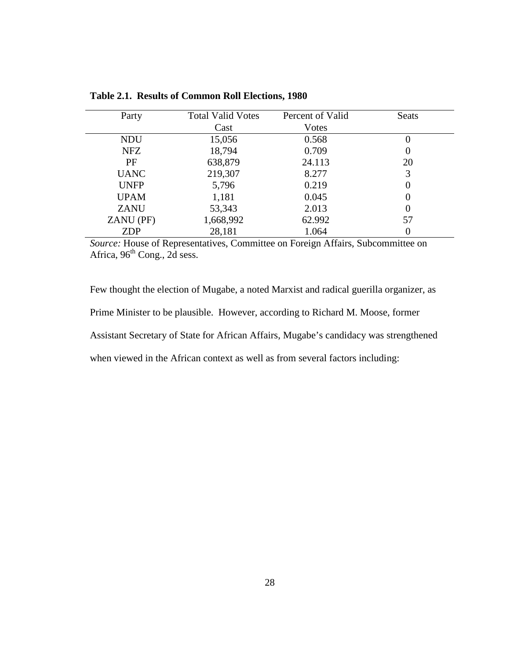| Party       | <b>Total Valid Votes</b> | Percent of Valid | Seats    |  |
|-------------|--------------------------|------------------|----------|--|
|             | Cast                     | Votes            |          |  |
| NDU         | 15,056                   | 0.568            | $\theta$ |  |
| <b>NFZ</b>  | 18,794                   | 0.709            | $\theta$ |  |
| PF          | 638,879                  | 24.113           | 20       |  |
| <b>UANC</b> | 219,307                  | 8.277            | 3        |  |
| <b>UNFP</b> | 5,796                    | 0.219            | $\Omega$ |  |
| <b>UPAM</b> | 1,181                    | 0.045            | $\Omega$ |  |
| <b>ZANU</b> | 53,343                   | 2.013            | $\Omega$ |  |
| ZANU (PF)   | 1,668,992                | 62.992           | 57       |  |
| <b>ZDP</b>  | 28,181                   | 1.064            |          |  |

**Table 2.1. Results of Common Roll Elections, 1980**

*Source:* House of Representatives, Committee on Foreign Affairs, Subcommittee on Africa,  $96<sup>th</sup>$  Cong., 2d sess.

Few thought the election of Mugabe, a noted Marxist and radical guerilla organizer, as Prime Minister to be plausible. However, according to Richard M. Moose, former Assistant Secretary of State for African Affairs, Mugabe's candidacy was strengthened when viewed in the African context as well as from several factors including: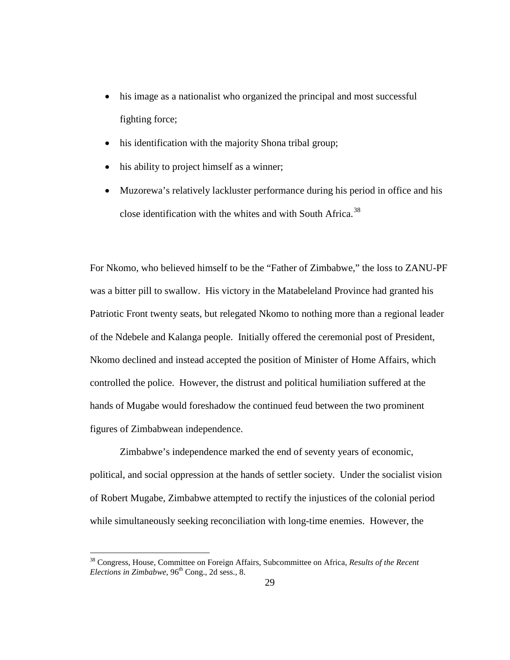- his image as a nationalist who organized the principal and most successful fighting force;
- his identification with the majority Shona tribal group;
- his ability to project himself as a winner;
- Muzorewa's relatively lackluster performance during his period in office and his close identification with the whites and with South Africa.<sup>[38](#page-38-0)</sup>

For Nkomo, who believed himself to be the "Father of Zimbabwe," the loss to ZANU-PF was a bitter pill to swallow. His victory in the Matabeleland Province had granted his Patriotic Front twenty seats, but relegated Nkomo to nothing more than a regional leader of the Ndebele and Kalanga people. Initially offered the ceremonial post of President, Nkomo declined and instead accepted the position of Minister of Home Affairs, which controlled the police. However, the distrust and political humiliation suffered at the hands of Mugabe would foreshadow the continued feud between the two prominent figures of Zimbabwean independence.

Zimbabwe's independence marked the end of seventy years of economic, political, and social oppression at the hands of settler society. Under the socialist vision of Robert Mugabe, Zimbabwe attempted to rectify the injustices of the colonial period while simultaneously seeking reconciliation with long-time enemies. However, the

<span id="page-38-0"></span> <sup>38</sup> Congress, House, Committee on Foreign Affairs, Subcommittee on Africa, *Results of the Recent Elections in Zimbabwe*,  $96<sup>th</sup>$  Cong., 2d sess., 8.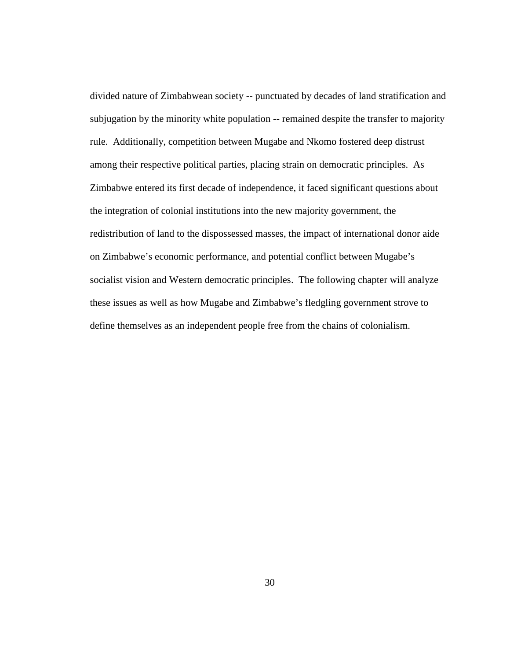divided nature of Zimbabwean society -- punctuated by decades of land stratification and subjugation by the minority white population -- remained despite the transfer to majority rule. Additionally, competition between Mugabe and Nkomo fostered deep distrust among their respective political parties, placing strain on democratic principles. As Zimbabwe entered its first decade of independence, it faced significant questions about the integration of colonial institutions into the new majority government, the redistribution of land to the dispossessed masses, the impact of international donor aide on Zimbabwe's economic performance, and potential conflict between Mugabe's socialist vision and Western democratic principles. The following chapter will analyze these issues as well as how Mugabe and Zimbabwe's fledgling government strove to define themselves as an independent people free from the chains of colonialism.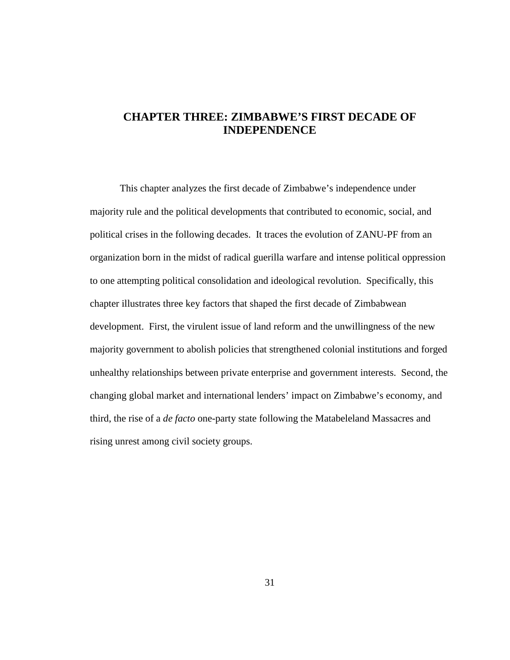# **CHAPTER THREE: ZIMBABWE'S FIRST DECADE OF INDEPENDENCE**

This chapter analyzes the first decade of Zimbabwe's independence under majority rule and the political developments that contributed to economic, social, and political crises in the following decades. It traces the evolution of ZANU-PF from an organization born in the midst of radical guerilla warfare and intense political oppression to one attempting political consolidation and ideological revolution. Specifically, this chapter illustrates three key factors that shaped the first decade of Zimbabwean development. First, the virulent issue of land reform and the unwillingness of the new majority government to abolish policies that strengthened colonial institutions and forged unhealthy relationships between private enterprise and government interests. Second, the changing global market and international lenders' impact on Zimbabwe's economy, and third, the rise of a *de facto* one-party state following the Matabeleland Massacres and rising unrest among civil society groups.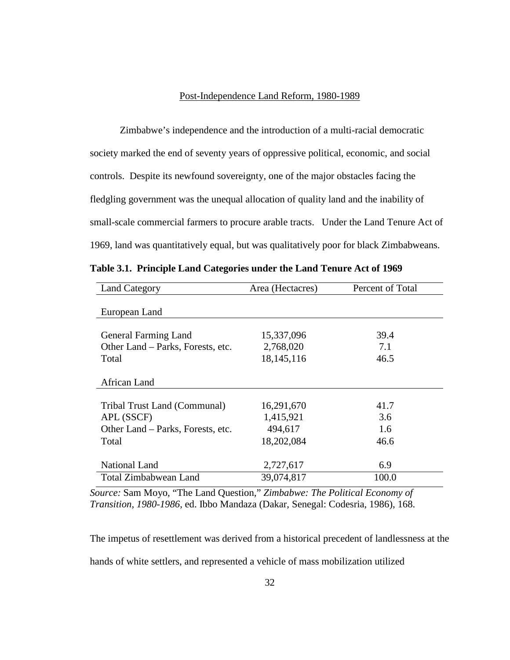### Post-Independence Land Reform, 1980-1989

Zimbabwe's independence and the introduction of a multi-racial democratic society marked the end of seventy years of oppressive political, economic, and social controls. Despite its newfound sovereignty, one of the major obstacles facing the fledgling government was the unequal allocation of quality land and the inability of small-scale commercial farmers to procure arable tracts. Under the Land Tenure Act of 1969, land was quantitatively equal, but was qualitatively poor for black Zimbabweans.

| <b>Land Category</b>              | Area (Hectacres) | Percent of Total |
|-----------------------------------|------------------|------------------|
| European Land                     |                  |                  |
| <b>General Farming Land</b>       | 15,337,096       | 39.4             |
| Other Land – Parks, Forests, etc. | 2,768,020        | 7.1              |
| Total                             | 18,145,116       | 46.5             |
| African Land                      |                  |                  |
| Tribal Trust Land (Communal)      | 16,291,670       | 41.7             |
| APL (SSCF)                        | 1,415,921        | 3.6              |
| Other Land – Parks, Forests, etc. | 494,617          | 1.6              |
| Total                             | 18,202,084       | 46.6             |
| National Land                     | 2,727,617        | 6.9              |
| <b>Total Zimbabwean Land</b>      | 39,074,817       | 100.0            |

**Table 3.1. Principle Land Categories under the Land Tenure Act of 1969**

*Source:* Sam Moyo, "The Land Question," *Zimbabwe: The Political Economy of Transition, 1980-1986*, ed. Ibbo Mandaza (Dakar, Senegal: Codesria, 1986), 168.

The impetus of resettlement was derived from a historical precedent of landlessness at the hands of white settlers, and represented a vehicle of mass mobilization utilized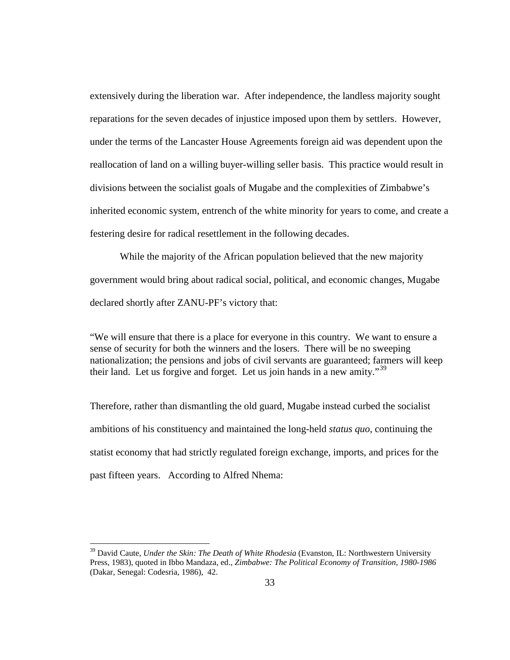extensively during the liberation war. After independence, the landless majority sought reparations for the seven decades of injustice imposed upon them by settlers. However, under the terms of the Lancaster House Agreements foreign aid was dependent upon the reallocation of land on a willing buyer-willing seller basis. This practice would result in divisions between the socialist goals of Mugabe and the complexities of Zimbabwe's inherited economic system, entrench of the white minority for years to come, and create a festering desire for radical resettlement in the following decades.

While the majority of the African population believed that the new majority government would bring about radical social, political, and economic changes, Mugabe declared shortly after ZANU-PF's victory that:

"We will ensure that there is a place for everyone in this country. We want to ensure a sense of security for both the winners and the losers. There will be no sweeping nationalization; the pensions and jobs of civil servants are guaranteed; farmers will keep their land. Let us forgive and forget. Let us join hands in a new amity.<sup>[39](#page-42-0)</sup>

Therefore, rather than dismantling the old guard, Mugabe instead curbed the socialist ambitions of his constituency and maintained the long-held *status quo*, continuing the statist economy that had strictly regulated foreign exchange, imports, and prices for the past fifteen years. According to Alfred Nhema:

<span id="page-42-0"></span><sup>&</sup>lt;sup>39</sup> David Caute, *Under the Skin: The Death of White Rhodesia* (Evanston, IL: Northwestern University Press, 1983), quoted in Ibbo Mandaza, ed., *Zimbabwe: The Political Economy of Transition, 1980-1986* (Dakar, Senegal: Codesria, 1986), 42.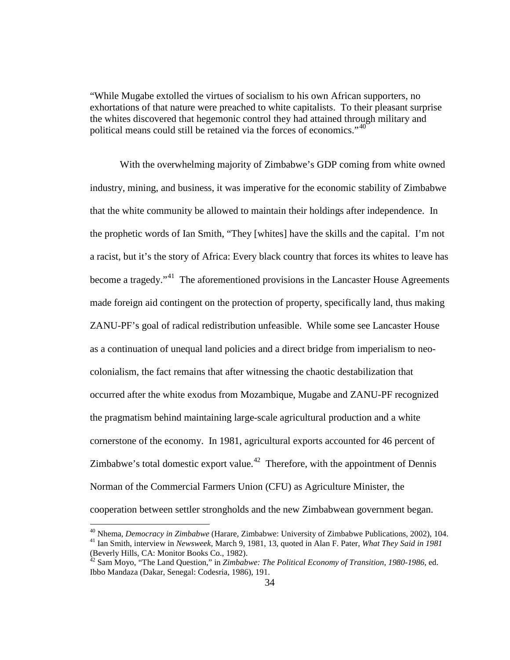"While Mugabe extolled the virtues of socialism to his own African supporters, no exhortations of that nature were preached to white capitalists. To their pleasant surprise the whites discovered that hegemonic control they had attained through military and political means could still be retained via the forces of economics."<sup>[40](#page-43-0)</sup>

With the overwhelming majority of Zimbabwe's GDP coming from white owned industry, mining, and business, it was imperative for the economic stability of Zimbabwe that the white community be allowed to maintain their holdings after independence. In the prophetic words of Ian Smith, "They [whites] have the skills and the capital. I'm not a racist, but it's the story of Africa: Every black country that forces its whites to leave has become a tragedy."<sup>41</sup> The aforementioned provisions in the Lancaster House Agreements made foreign aid contingent on the protection of property, specifically land, thus making ZANU-PF's goal of radical redistribution unfeasible. While some see Lancaster House as a continuation of unequal land policies and a direct bridge from imperialism to neocolonialism, the fact remains that after witnessing the chaotic destabilization that occurred after the white exodus from Mozambique, Mugabe and ZANU-PF recognized the pragmatism behind maintaining large-scale agricultural production and a white cornerstone of the economy. In 1981, agricultural exports accounted for 46 percent of Zimbabwe's total domestic export value.<sup>[42](#page-43-2)</sup> Therefore, with the appointment of Dennis Norman of the Commercial Farmers Union (CFU) as Agriculture Minister, the cooperation between settler strongholds and the new Zimbabwean government began.

<span id="page-43-1"></span><span id="page-43-0"></span><sup>&</sup>lt;sup>40</sup> Nhema, *Democracy in Zimbabwe* (Harare, Zimbabwe: University of Zimbabwe Publications, 2002), 104.<br><sup>41</sup> Ian Smith, interview in *Newsweek*, March 9, 1981, 13, quoted in Alan F. Pater, *What They Said in 1981* (Beverly Hills, CA: Monitor Books Co., 1982).

<span id="page-43-2"></span> $^{22}$  Sam Moyo, "The Land Question," in *Zimbabwe: The Political Economy of Transition, 1980-1986*, ed. Ibbo Mandaza (Dakar, Senegal: Codesria, 1986), 191.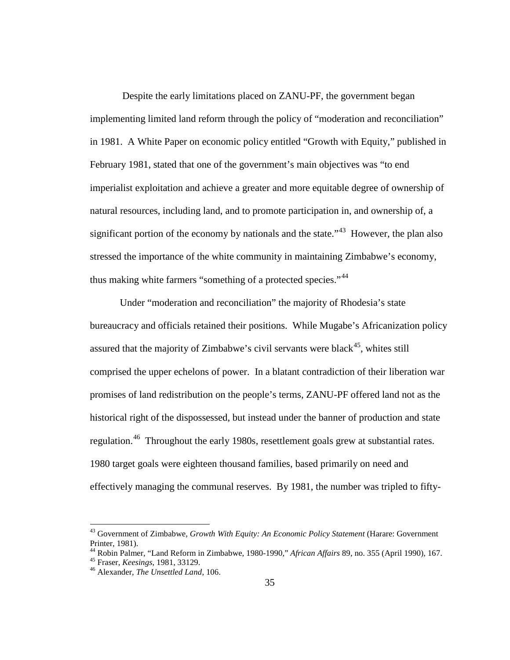Despite the early limitations placed on ZANU-PF, the government began implementing limited land reform through the policy of "moderation and reconciliation" in 1981. A White Paper on economic policy entitled "Growth with Equity," published in February 1981, stated that one of the government's main objectives was "to end imperialist exploitation and achieve a greater and more equitable degree of ownership of natural resources, including land, and to promote participation in, and ownership of, a significant portion of the economy by nationals and the state.<sup> $34$ </sup> However, the plan also stressed the importance of the white community in maintaining Zimbabwe's economy, thus making white farmers "something of a protected species."<sup>[44](#page-44-1)</sup>

Under "moderation and reconciliation" the majority of Rhodesia's state bureaucracy and officials retained their positions. While Mugabe's Africanization policy assured that the majority of Zimbabwe's civil servants were black<sup>45</sup>, whites still comprised the upper echelons of power. In a blatant contradiction of their liberation war promises of land redistribution on the people's terms, ZANU-PF offered land not as the historical right of the dispossessed, but instead under the banner of production and state regulation.<sup>[46](#page-44-3)</sup> Throughout the early 1980s, resettlement goals grew at substantial rates. 1980 target goals were eighteen thousand families, based primarily on need and effectively managing the communal reserves. By 1981, the number was tripled to fifty-

<span id="page-44-0"></span> <sup>43</sup> Government of Zimbabwe, *Growth With Equity: An Economic Policy Statement* (Harare: Government

<span id="page-44-2"></span><span id="page-44-1"></span>Printer, 1981). 44 Robin Palmer, "Land Reform in Zimbabwe, 1980-1990," *African Affairs* 89, no. 355 (April 1990), 167. <sup>45</sup> Fraser, *Keesings*, 1981, 33129. <sup>46</sup> Alexander, *The Unsettled Land*, 106.

<span id="page-44-3"></span>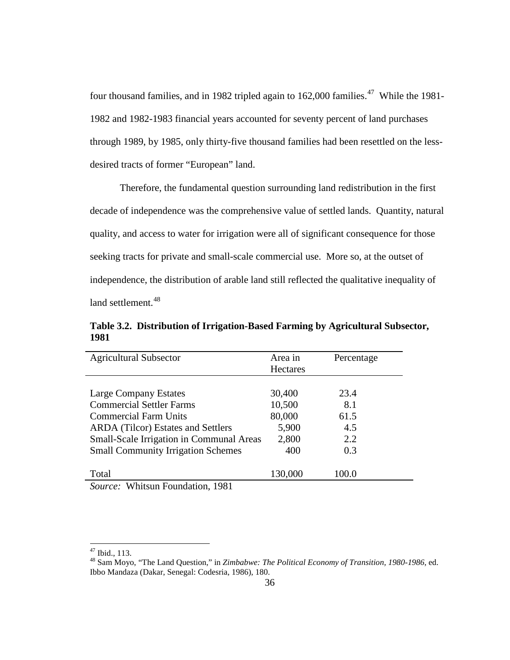four thousand families, and in 1982 tripled again to 162,000 families.<sup>[47](#page-45-0)</sup> While the 1981-1982 and 1982-1983 financial years accounted for seventy percent of land purchases through 1989, by 1985, only thirty-five thousand families had been resettled on the lessdesired tracts of former "European" land.

Therefore, the fundamental question surrounding land redistribution in the first decade of independence was the comprehensive value of settled lands. Quantity, natural quality, and access to water for irrigation were all of significant consequence for those seeking tracts for private and small-scale commercial use. More so, at the outset of independence, the distribution of arable land still reflected the qualitative inequality of land settlement.<sup>[48](#page-45-1)</sup>

**Table 3.2. Distribution of Irrigation-Based Farming by Agricultural Subsector, 1981**

| Area in          |
|------------------|
| Percentage       |
| <b>Hectares</b>  |
|                  |
| 30,400<br>23.4   |
| 10,500<br>8.1    |
| 80,000<br>61.5   |
| 5,900<br>4.5     |
| 2,800<br>2.2     |
| 400<br>0.3       |
| 130,000<br>100.0 |
|                  |

<span id="page-45-1"></span><span id="page-45-0"></span><sup>&</sup>lt;sup>47</sup> Ibid., 113.<br><sup>48</sup> Sam Moyo, "The Land Question," in *Zimbabwe: The Political Economy of Transition, 1980-1986*, ed. Ibbo Mandaza (Dakar, Senegal: Codesria, 1986), 180.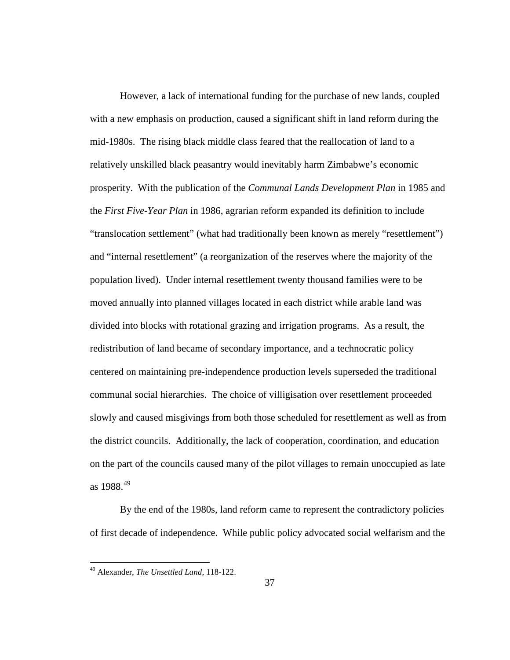However, a lack of international funding for the purchase of new lands, coupled with a new emphasis on production, caused a significant shift in land reform during the mid-1980s. The rising black middle class feared that the reallocation of land to a relatively unskilled black peasantry would inevitably harm Zimbabwe's economic prosperity. With the publication of the *Communal Lands Development Plan* in 1985 and the *First Five-Year Plan* in 1986, agrarian reform expanded its definition to include "translocation settlement" (what had traditionally been known as merely "resettlement") and "internal resettlement" (a reorganization of the reserves where the majority of the population lived). Under internal resettlement twenty thousand families were to be moved annually into planned villages located in each district while arable land was divided into blocks with rotational grazing and irrigation programs. As a result, the redistribution of land became of secondary importance, and a technocratic policy centered on maintaining pre-independence production levels superseded the traditional communal social hierarchies. The choice of villigisation over resettlement proceeded slowly and caused misgivings from both those scheduled for resettlement as well as from the district councils. Additionally, the lack of cooperation, coordination, and education on the part of the councils caused many of the pilot villages to remain unoccupied as late as  $1988^{49}$  $1988^{49}$  $1988^{49}$ 

By the end of the 1980s, land reform came to represent the contradictory policies of first decade of independence. While public policy advocated social welfarism and the

<span id="page-46-0"></span> <sup>49</sup> Alexander, *The Unsettled Land*, 118-122.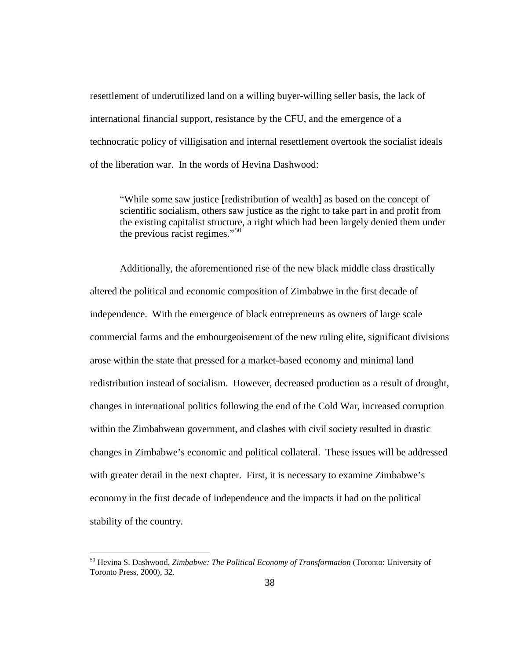resettlement of underutilized land on a willing buyer-willing seller basis, the lack of international financial support, resistance by the CFU, and the emergence of a technocratic policy of villigisation and internal resettlement overtook the socialist ideals of the liberation war. In the words of Hevina Dashwood:

"While some saw justice [redistribution of wealth] as based on the concept of scientific socialism, others saw justice as the right to take part in and profit from the existing capitalist structure, a right which had been largely denied them under the previous racist regimes."[50](#page-47-0)

Additionally, the aforementioned rise of the new black middle class drastically altered the political and economic composition of Zimbabwe in the first decade of independence. With the emergence of black entrepreneurs as owners of large scale commercial farms and the embourgeoisement of the new ruling elite, significant divisions arose within the state that pressed for a market-based economy and minimal land redistribution instead of socialism. However, decreased production as a result of drought, changes in international politics following the end of the Cold War, increased corruption within the Zimbabwean government, and clashes with civil society resulted in drastic changes in Zimbabwe's economic and political collateral. These issues will be addressed with greater detail in the next chapter. First, it is necessary to examine Zimbabwe's economy in the first decade of independence and the impacts it had on the political stability of the country.

<span id="page-47-0"></span> <sup>50</sup> Hevina S. Dashwood, *Zimbabwe: The Political Economy of Transformation* (Toronto: University of Toronto Press, 2000), 32.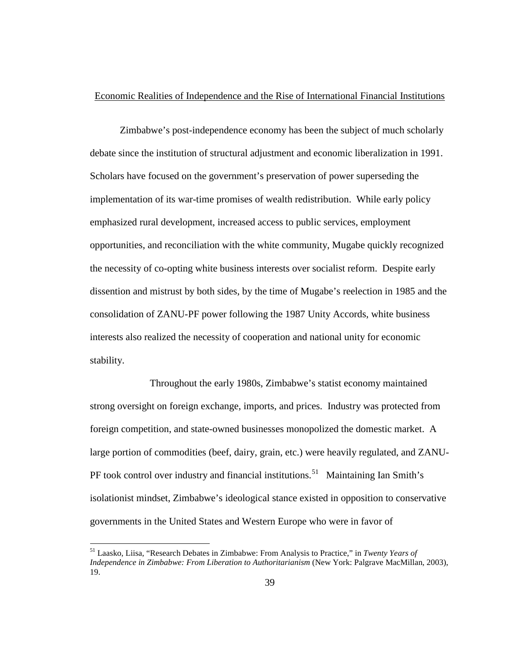## Economic Realities of Independence and the Rise of International Financial Institutions

Zimbabwe's post-independence economy has been the subject of much scholarly debate since the institution of structural adjustment and economic liberalization in 1991. Scholars have focused on the government's preservation of power superseding the implementation of its war-time promises of wealth redistribution. While early policy emphasized rural development, increased access to public services, employment opportunities, and reconciliation with the white community, Mugabe quickly recognized the necessity of co-opting white business interests over socialist reform. Despite early dissention and mistrust by both sides, by the time of Mugabe's reelection in 1985 and the consolidation of ZANU-PF power following the 1987 Unity Accords, white business interests also realized the necessity of cooperation and national unity for economic stability.

Throughout the early 1980s, Zimbabwe's statist economy maintained strong oversight on foreign exchange, imports, and prices. Industry was protected from foreign competition, and state-owned businesses monopolized the domestic market. A large portion of commodities (beef, dairy, grain, etc.) were heavily regulated, and ZANU-PF took control over industry and financial institutions.<sup>[51](#page-48-0)</sup> Maintaining Ian Smith's isolationist mindset, Zimbabwe's ideological stance existed in opposition to conservative governments in the United States and Western Europe who were in favor of

<span id="page-48-0"></span> <sup>51</sup> Laasko, Liisa, "Research Debates in Zimbabwe: From Analysis to Practice," in *Twenty Years of Independence in Zimbabwe: From Liberation to Authoritarianism* (New York: Palgrave MacMillan, 2003), 19.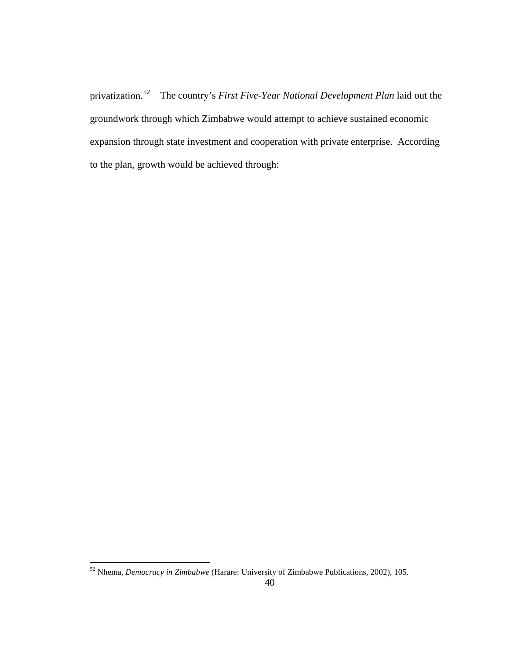privatization.[52](#page-49-0) The country's *First Five-Year National Development Plan* laid out the groundwork through which Zimbabwe would attempt to achieve sustained economic expansion through state investment and cooperation with private enterprise. According to the plan, growth would be achieved through:

<span id="page-49-0"></span> <sup>52</sup> Nhema, *Democracy in Zimbabwe* (Harare: University of Zimbabwe Publications, 2002), 105.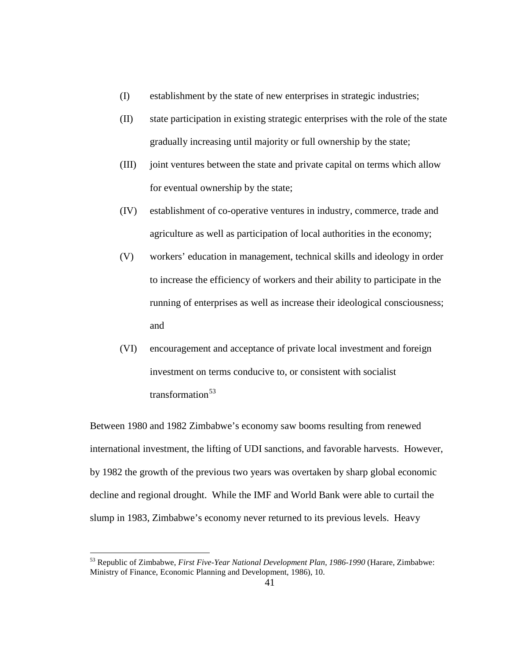- (I) establishment by the state of new enterprises in strategic industries;
- (II) state participation in existing strategic enterprises with the role of the state gradually increasing until majority or full ownership by the state;
- (III) joint ventures between the state and private capital on terms which allow for eventual ownership by the state;
- (IV) establishment of co-operative ventures in industry, commerce, trade and agriculture as well as participation of local authorities in the economy;
- (V) workers' education in management, technical skills and ideology in order to increase the efficiency of workers and their ability to participate in the running of enterprises as well as increase their ideological consciousness; and
- (VI) encouragement and acceptance of private local investment and foreign investment on terms conducive to, or consistent with socialist transformation $^{53}$  $^{53}$  $^{53}$

Between 1980 and 1982 Zimbabwe's economy saw booms resulting from renewed international investment, the lifting of UDI sanctions, and favorable harvests. However, by 1982 the growth of the previous two years was overtaken by sharp global economic decline and regional drought. While the IMF and World Bank were able to curtail the slump in 1983, Zimbabwe's economy never returned to its previous levels. Heavy

<span id="page-50-0"></span> <sup>53</sup> Republic of Zimbabwe, *First Five-Year National Development Plan*, *1986-1990* (Harare, Zimbabwe: Ministry of Finance, Economic Planning and Development, 1986), 10.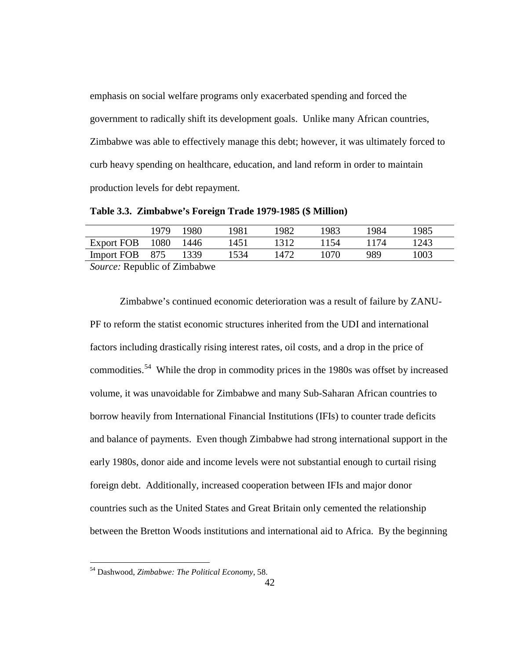emphasis on social welfare programs only exacerbated spending and forced the government to radically shift its development goals. Unlike many African countries, Zimbabwe was able to effectively manage this debt; however, it was ultimately forced to curb heavy spending on healthcare, education, and land reform in order to maintain production levels for debt repayment.

**Table 3.3. Zimbabwe's Foreign Trade 1979-1985 (\$ Million)**

|                                                      | 1979 | 1980   | 1981 | 1982 | 1983 | 1984 | 1985 |  |  |  |
|------------------------------------------------------|------|--------|------|------|------|------|------|--|--|--|
| Export FOB                                           | 1080 | - 1446 | 1451 | 1312 | 1154 | 1174 | 1243 |  |  |  |
| Import FOB 875                                       |      | 1339   | 1534 | 1472 | 1070 | 989  | 1003 |  |  |  |
| $\mathcal{C}_{\text{source}}$ Depublic of Timbels of |      |        |      |      |      |      |      |  |  |  |

*Source:* Republic of Zimbabwe

Zimbabwe's continued economic deterioration was a result of failure by ZANU-PF to reform the statist economic structures inherited from the UDI and international factors including drastically rising interest rates, oil costs, and a drop in the price of commodities.<sup>[54](#page-51-0)</sup> While the drop in commodity prices in the 1980s was offset by increased volume, it was unavoidable for Zimbabwe and many Sub-Saharan African countries to borrow heavily from International Financial Institutions (IFIs) to counter trade deficits and balance of payments. Even though Zimbabwe had strong international support in the early 1980s, donor aide and income levels were not substantial enough to curtail rising foreign debt. Additionally, increased cooperation between IFIs and major donor countries such as the United States and Great Britain only cemented the relationship between the Bretton Woods institutions and international aid to Africa. By the beginning

<span id="page-51-0"></span> <sup>54</sup> Dashwood, *Zimbabwe: The Political Economy*, 58.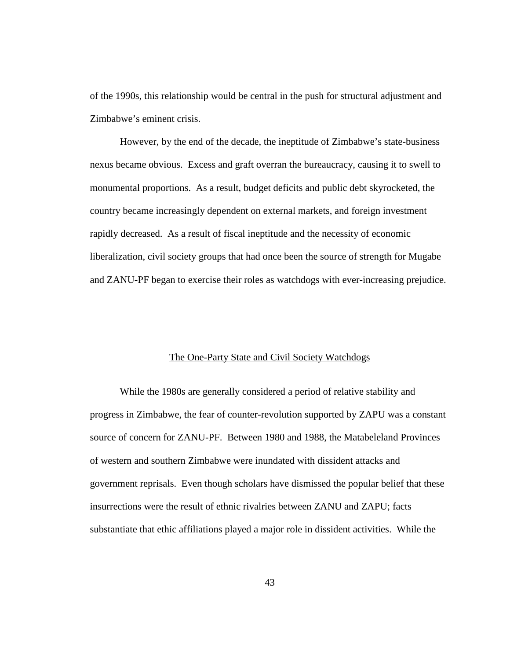of the 1990s, this relationship would be central in the push for structural adjustment and Zimbabwe's eminent crisis.

However, by the end of the decade, the ineptitude of Zimbabwe's state-business nexus became obvious. Excess and graft overran the bureaucracy, causing it to swell to monumental proportions. As a result, budget deficits and public debt skyrocketed, the country became increasingly dependent on external markets, and foreign investment rapidly decreased. As a result of fiscal ineptitude and the necessity of economic liberalization, civil society groups that had once been the source of strength for Mugabe and ZANU-PF began to exercise their roles as watchdogs with ever-increasing prejudice.

## The One-Party State and Civil Society Watchdogs

While the 1980s are generally considered a period of relative stability and progress in Zimbabwe, the fear of counter-revolution supported by ZAPU was a constant source of concern for ZANU-PF. Between 1980 and 1988, the Matabeleland Provinces of western and southern Zimbabwe were inundated with dissident attacks and government reprisals. Even though scholars have dismissed the popular belief that these insurrections were the result of ethnic rivalries between ZANU and ZAPU; facts substantiate that ethic affiliations played a major role in dissident activities. While the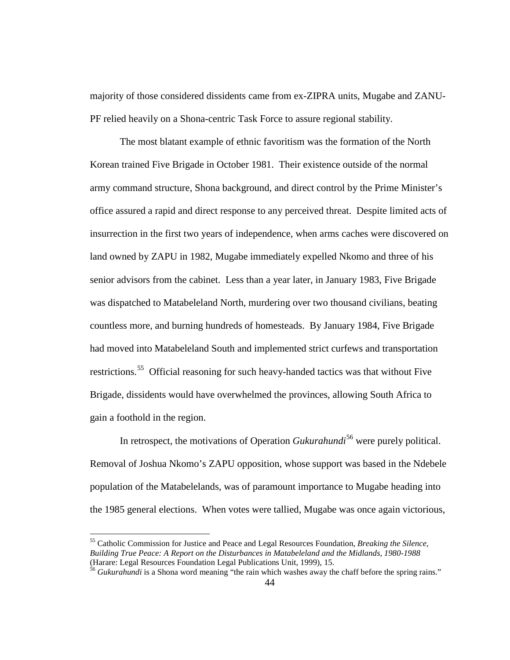majority of those considered dissidents came from ex-ZIPRA units, Mugabe and ZANU-PF relied heavily on a Shona-centric Task Force to assure regional stability.

The most blatant example of ethnic favoritism was the formation of the North Korean trained Five Brigade in October 1981. Their existence outside of the normal army command structure, Shona background, and direct control by the Prime Minister's office assured a rapid and direct response to any perceived threat. Despite limited acts of insurrection in the first two years of independence, when arms caches were discovered on land owned by ZAPU in 1982, Mugabe immediately expelled Nkomo and three of his senior advisors from the cabinet. Less than a year later, in January 1983, Five Brigade was dispatched to Matabeleland North, murdering over two thousand civilians, beating countless more, and burning hundreds of homesteads. By January 1984, Five Brigade had moved into Matabeleland South and implemented strict curfews and transportation restrictions.<sup>[55](#page-53-0)</sup> Official reasoning for such heavy-handed tactics was that without Five Brigade, dissidents would have overwhelmed the provinces, allowing South Africa to gain a foothold in the region.

In retrospect, the motivations of Operation *Gukurahundi* [56](#page-53-1) were purely political. Removal of Joshua Nkomo's ZAPU opposition, whose support was based in the Ndebele population of the Matabelelands, was of paramount importance to Mugabe heading into the 1985 general elections. When votes were tallied, Mugabe was once again victorious,

<span id="page-53-0"></span> <sup>55</sup> Catholic Commission for Justice and Peace and Legal Resources Foundation, *Breaking the Silence, Building True Peace: A Report on the Disturbances in Matabeleland and the Midlands, 1980-1988*

<span id="page-53-1"></span><sup>&</sup>lt;sup>56</sup> Gukurahundi is a Shona word meaning "the rain which washes away the chaff before the spring rains."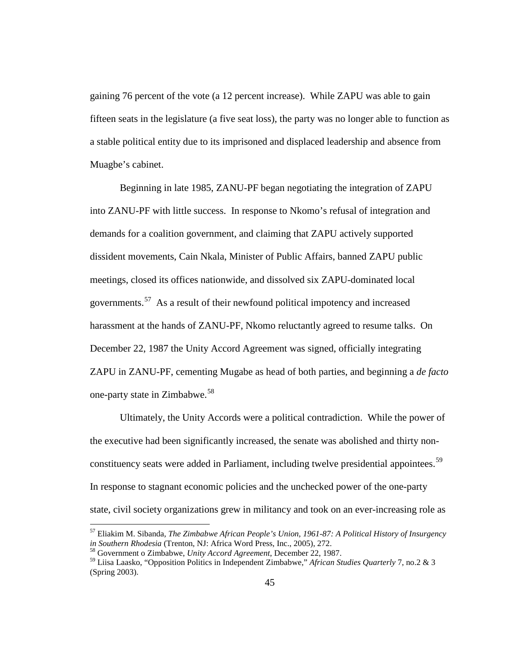gaining 76 percent of the vote (a 12 percent increase). While ZAPU was able to gain fifteen seats in the legislature (a five seat loss), the party was no longer able to function as a stable political entity due to its imprisoned and displaced leadership and absence from Muagbe's cabinet.

Beginning in late 1985, ZANU-PF began negotiating the integration of ZAPU into ZANU-PF with little success. In response to Nkomo's refusal of integration and demands for a coalition government, and claiming that ZAPU actively supported dissident movements, Cain Nkala, Minister of Public Affairs, banned ZAPU public meetings, closed its offices nationwide, and dissolved six ZAPU-dominated local governments.<sup>57</sup> As a result of their newfound political impotency and increased harassment at the hands of ZANU-PF, Nkomo reluctantly agreed to resume talks. On December 22, 1987 the Unity Accord Agreement was signed, officially integrating ZAPU in ZANU-PF, cementing Mugabe as head of both parties, and beginning a *de facto* one-party state in Zimbabwe.[58](#page-54-1)

Ultimately, the Unity Accords were a political contradiction. While the power of the executive had been significantly increased, the senate was abolished and thirty non-constituency seats were added in Parliament, including twelve presidential appointees.<sup>[59](#page-54-2)</sup> In response to stagnant economic policies and the unchecked power of the one-party state, civil society organizations grew in militancy and took on an ever-increasing role as

<span id="page-54-0"></span> <sup>57</sup> Eliakim M. Sibanda, *The Zimbabwe African People's Union, 1961-87: A Political History of Insurgency in Southern Rhodesia* (Trenton, NJ: Africa Word Press, Inc., 2005), 272. <sup>58</sup> Government o Zimbabwe, *Unity Accord Agreement*, December 22, 1987.

<span id="page-54-1"></span>

<span id="page-54-2"></span><sup>59</sup> Liisa Laasko, "Opposition Politics in Independent Zimbabwe," *African Studies Quarterly* 7, no.2 & 3 (Spring 2003).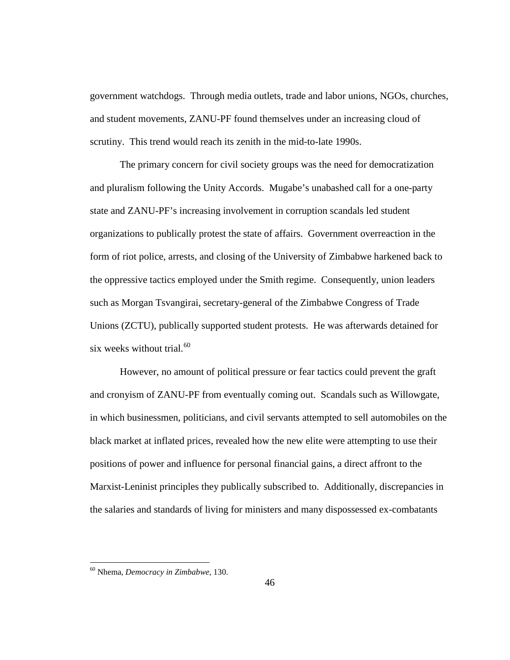government watchdogs. Through media outlets, trade and labor unions, NGOs, churches, and student movements, ZANU-PF found themselves under an increasing cloud of scrutiny. This trend would reach its zenith in the mid-to-late 1990s.

The primary concern for civil society groups was the need for democratization and pluralism following the Unity Accords. Mugabe's unabashed call for a one-party state and ZANU-PF's increasing involvement in corruption scandals led student organizations to publically protest the state of affairs. Government overreaction in the form of riot police, arrests, and closing of the University of Zimbabwe harkened back to the oppressive tactics employed under the Smith regime. Consequently, union leaders such as Morgan Tsvangirai, secretary-general of the Zimbabwe Congress of Trade Unions (ZCTU), publically supported student protests. He was afterwards detained for six weeks without trial. $60$ 

However, no amount of political pressure or fear tactics could prevent the graft and cronyism of ZANU-PF from eventually coming out. Scandals such as Willowgate, in which businessmen, politicians, and civil servants attempted to sell automobiles on the black market at inflated prices, revealed how the new elite were attempting to use their positions of power and influence for personal financial gains, a direct affront to the Marxist-Leninist principles they publically subscribed to. Additionally, discrepancies in the salaries and standards of living for ministers and many dispossessed ex-combatants

<span id="page-55-0"></span> <sup>60</sup> Nhema, *Democracy in Zimbabwe*, 130.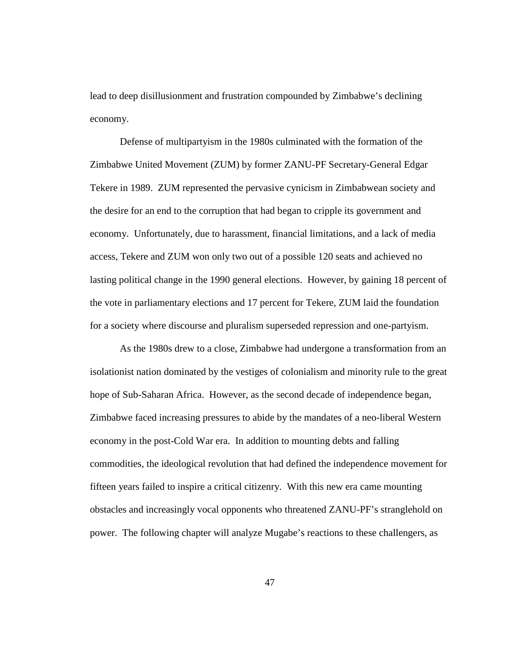lead to deep disillusionment and frustration compounded by Zimbabwe's declining economy.

Defense of multipartyism in the 1980s culminated with the formation of the Zimbabwe United Movement (ZUM) by former ZANU-PF Secretary-General Edgar Tekere in 1989. ZUM represented the pervasive cynicism in Zimbabwean society and the desire for an end to the corruption that had began to cripple its government and economy. Unfortunately, due to harassment, financial limitations, and a lack of media access, Tekere and ZUM won only two out of a possible 120 seats and achieved no lasting political change in the 1990 general elections. However, by gaining 18 percent of the vote in parliamentary elections and 17 percent for Tekere, ZUM laid the foundation for a society where discourse and pluralism superseded repression and one-partyism.

As the 1980s drew to a close, Zimbabwe had undergone a transformation from an isolationist nation dominated by the vestiges of colonialism and minority rule to the great hope of Sub-Saharan Africa. However, as the second decade of independence began, Zimbabwe faced increasing pressures to abide by the mandates of a neo-liberal Western economy in the post-Cold War era. In addition to mounting debts and falling commodities, the ideological revolution that had defined the independence movement for fifteen years failed to inspire a critical citizenry. With this new era came mounting obstacles and increasingly vocal opponents who threatened ZANU-PF's stranglehold on power. The following chapter will analyze Mugabe's reactions to these challengers, as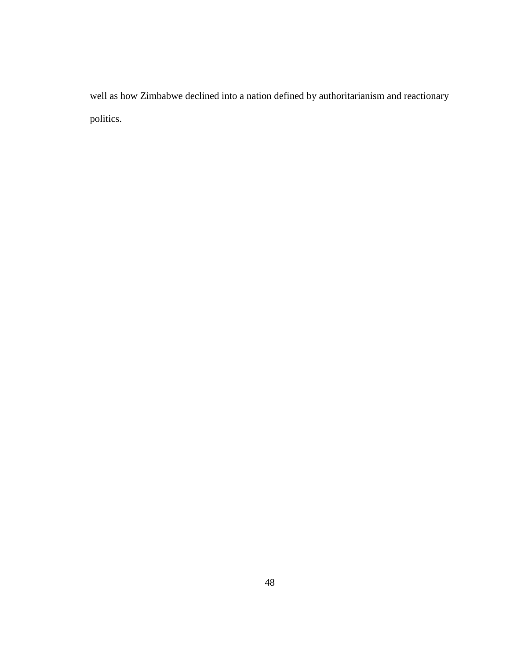well as how Zimbabwe declined into a nation defined by authoritarianism and reactionary politics.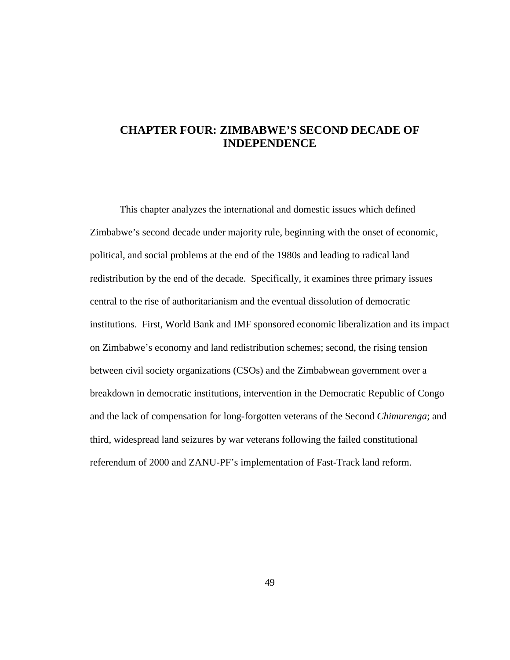# **CHAPTER FOUR: ZIMBABWE'S SECOND DECADE OF INDEPENDENCE**

This chapter analyzes the international and domestic issues which defined Zimbabwe's second decade under majority rule, beginning with the onset of economic, political, and social problems at the end of the 1980s and leading to radical land redistribution by the end of the decade. Specifically, it examines three primary issues central to the rise of authoritarianism and the eventual dissolution of democratic institutions. First, World Bank and IMF sponsored economic liberalization and its impact on Zimbabwe's economy and land redistribution schemes; second, the rising tension between civil society organizations (CSOs) and the Zimbabwean government over a breakdown in democratic institutions, intervention in the Democratic Republic of Congo and the lack of compensation for long-forgotten veterans of the Second *Chimurenga*; and third, widespread land seizures by war veterans following the failed constitutional referendum of 2000 and ZANU-PF's implementation of Fast-Track land reform.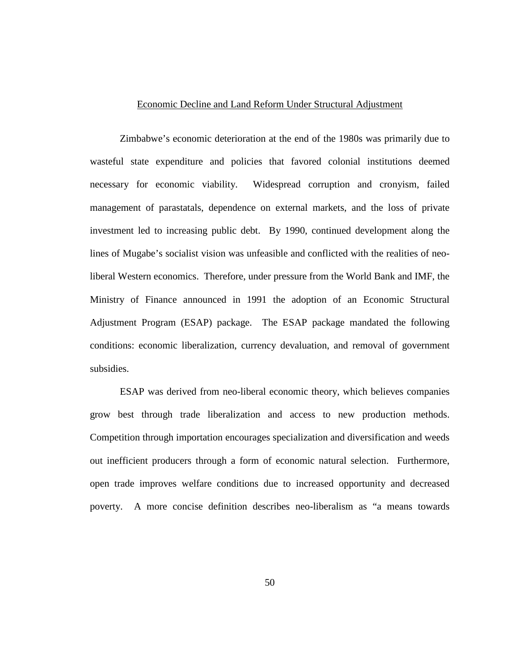#### Economic Decline and Land Reform Under Structural Adjustment

Zimbabwe's economic deterioration at the end of the 1980s was primarily due to wasteful state expenditure and policies that favored colonial institutions deemed necessary for economic viability. Widespread corruption and cronyism, failed management of parastatals, dependence on external markets, and the loss of private investment led to increasing public debt. By 1990, continued development along the lines of Mugabe's socialist vision was unfeasible and conflicted with the realities of neoliberal Western economics. Therefore, under pressure from the World Bank and IMF, the Ministry of Finance announced in 1991 the adoption of an Economic Structural Adjustment Program (ESAP) package. The ESAP package mandated the following conditions: economic liberalization, currency devaluation, and removal of government subsidies.

ESAP was derived from neo-liberal economic theory, which believes companies grow best through trade liberalization and access to new production methods. Competition through importation encourages specialization and diversification and weeds out inefficient producers through a form of economic natural selection. Furthermore, open trade improves welfare conditions due to increased opportunity and decreased poverty. A more concise definition describes neo-liberalism as "a means towards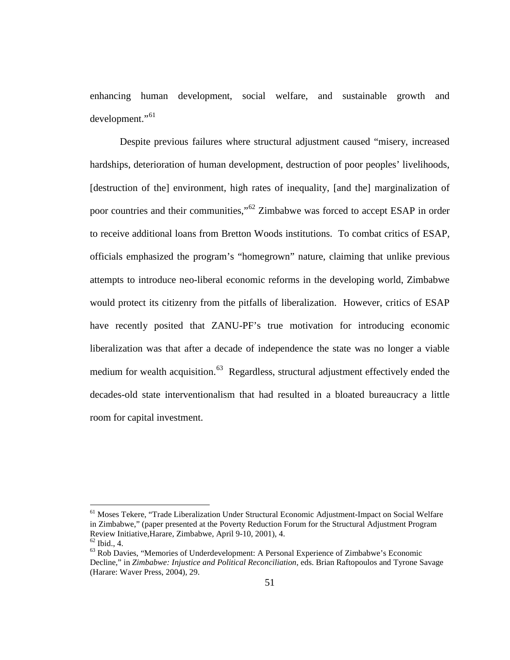enhancing human development, social welfare, and sustainable growth and development."<sup>[61](#page-60-0)</sup>

Despite previous failures where structural adjustment caused "misery, increased hardships, deterioration of human development, destruction of poor peoples' livelihoods, [destruction of the] environment, high rates of inequality, [and the] marginalization of poor countries and their communities,"<sup>[62](#page-60-1)</sup> Zimbabwe was forced to accept ESAP in order to receive additional loans from Bretton Woods institutions. To combat critics of ESAP, officials emphasized the program's "homegrown" nature, claiming that unlike previous attempts to introduce neo-liberal economic reforms in the developing world, Zimbabwe would protect its citizenry from the pitfalls of liberalization. However, critics of ESAP have recently posited that ZANU-PF's true motivation for introducing economic liberalization was that after a decade of independence the state was no longer a viable medium for wealth acquisition.<sup>[63](#page-60-2)</sup> Regardless, structural adjustment effectively ended the decades-old state interventionalism that had resulted in a bloated bureaucracy a little room for capital investment.

<span id="page-60-0"></span><sup>&</sup>lt;sup>61</sup> Moses Tekere, "Trade Liberalization Under Structural Economic Adjustment-Impact on Social Welfare in Zimbabwe," (paper presented at the Poverty Reduction Forum for the Structural Adjustment Program Review Initiative, Harare, Zimbabwe, April 9-10, 2001), 4.<br>
<sup>62</sup> Ibid., 4.<br>
<sup>63</sup> Rob Davies, "Memories of Underdevelopment: A Personal Experience of Zimbabwe's Economic

<span id="page-60-2"></span><span id="page-60-1"></span>Decline," in *Zimbabwe: Injustice and Political Reconciliation*, eds. Brian Raftopoulos and Tyrone Savage (Harare: Waver Press, 2004), 29.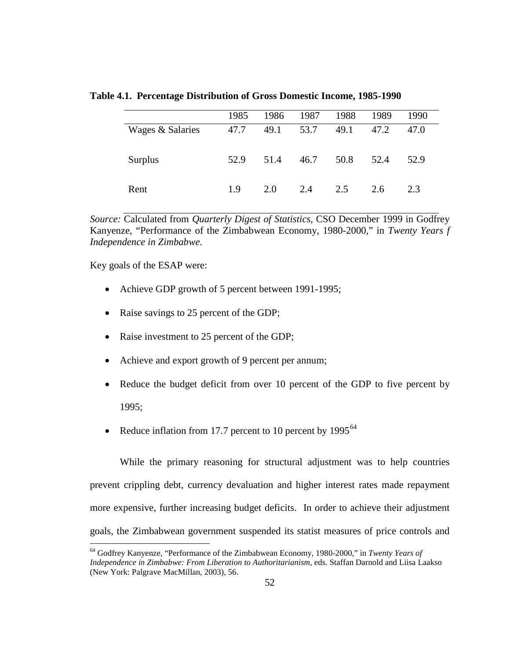**Table 4.1. Percentage Distribution of Gross Domestic Income, 1985-1990**

|                  | 1985 | 1986 | 1987 | 1988 | 1989 | 1990 |  |
|------------------|------|------|------|------|------|------|--|
| Wages & Salaries | 47.7 | 49.1 | 53.7 | 49.1 | 47.2 | 47.0 |  |
| Surplus          | 52.9 | 51.4 | 46.7 | 50.8 | 52.4 | 52.9 |  |
| Rent             | 1.9  | 2.0  | 2.4  | 2.5  | 2.6  | 2.3  |  |

*Source:* Calculated from *Quarterly Digest of Statistics*, CSO December 1999 in Godfrey Kanyenze, "Performance of the Zimbabwean Economy, 1980-2000," in *Twenty Years f Independence in Zimbabwe*.

Key goals of the ESAP were:

- Achieve GDP growth of 5 percent between 1991-1995;
- Raise savings to 25 percent of the GDP;
- Raise investment to 25 percent of the GDP;
- Achieve and export growth of 9 percent per annum;
- Reduce the budget deficit from over 10 percent of the GDP to five percent by 1995;
- Reduce inflation from 17.7 percent to 10 percent by  $1995^{64}$  $1995^{64}$  $1995^{64}$

While the primary reasoning for structural adjustment was to help countries prevent crippling debt, currency devaluation and higher interest rates made repayment more expensive, further increasing budget deficits. In order to achieve their adjustment goals, the Zimbabwean government suspended its statist measures of price controls and

<span id="page-61-0"></span> <sup>64</sup> Godfrey Kanyenze, "Performance of the Zimbabwean Economy, 1980-2000," in *Twenty Years of Independence in Zimbabwe: From Liberation to Authoritarianism*, eds. Staffan Darnold and Liisa Laakso (New York: Palgrave MacMillan, 2003), 56.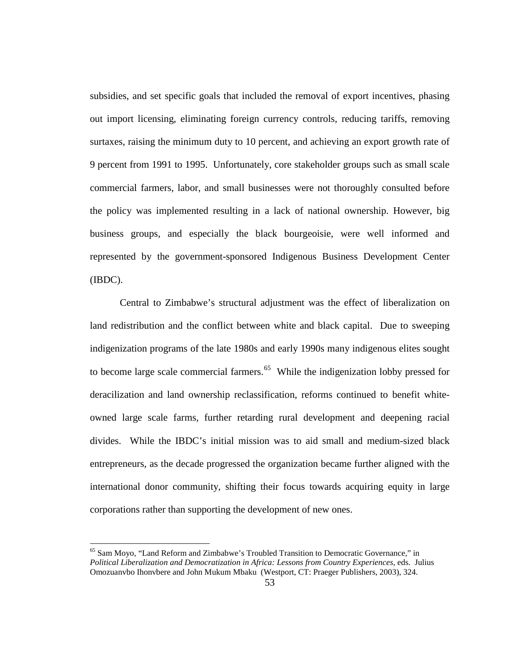subsidies, and set specific goals that included the removal of export incentives, phasing out import licensing, eliminating foreign currency controls, reducing tariffs, removing surtaxes, raising the minimum duty to 10 percent, and achieving an export growth rate of 9 percent from 1991 to 1995. Unfortunately, core stakeholder groups such as small scale commercial farmers, labor, and small businesses were not thoroughly consulted before the policy was implemented resulting in a lack of national ownership. However, big business groups, and especially the black bourgeoisie, were well informed and represented by the government-sponsored Indigenous Business Development Center (IBDC).

Central to Zimbabwe's structural adjustment was the effect of liberalization on land redistribution and the conflict between white and black capital. Due to sweeping indigenization programs of the late 1980s and early 1990s many indigenous elites sought to become large scale commercial farmers.<sup>[65](#page-62-0)</sup> While the indigenization lobby pressed for deracilization and land ownership reclassification, reforms continued to benefit whiteowned large scale farms, further retarding rural development and deepening racial divides. While the IBDC's initial mission was to aid small and medium-sized black entrepreneurs, as the decade progressed the organization became further aligned with the international donor community, shifting their focus towards acquiring equity in large corporations rather than supporting the development of new ones.

<span id="page-62-0"></span> $<sup>65</sup>$  Sam Moyo, "Land Reform and Zimbabwe's Troubled Transition to Democratic Governance," in</sup> *Political Liberalization and Democratization in Africa: Lessons from Country Experiences*, eds. Julius Omozuanvbo Ihonvbere and John Mukum Mbaku (Westport, CT: Praeger Publishers, 2003), 324.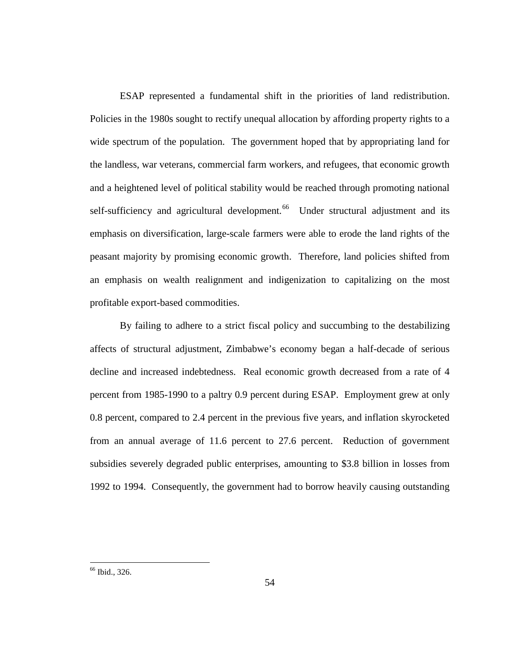ESAP represented a fundamental shift in the priorities of land redistribution. Policies in the 1980s sought to rectify unequal allocation by affording property rights to a wide spectrum of the population. The government hoped that by appropriating land for the landless, war veterans, commercial farm workers, and refugees, that economic growth and a heightened level of political stability would be reached through promoting national self-sufficiency and agricultural development.<sup>[66](#page-63-0)</sup> Under structural adjustment and its emphasis on diversification, large-scale farmers were able to erode the land rights of the peasant majority by promising economic growth. Therefore, land policies shifted from an emphasis on wealth realignment and indigenization to capitalizing on the most profitable export-based commodities.

By failing to adhere to a strict fiscal policy and succumbing to the destabilizing affects of structural adjustment, Zimbabwe's economy began a half-decade of serious decline and increased indebtedness. Real economic growth decreased from a rate of 4 percent from 1985-1990 to a paltry 0.9 percent during ESAP. Employment grew at only 0.8 percent, compared to 2.4 percent in the previous five years, and inflation skyrocketed from an annual average of 11.6 percent to 27.6 percent. Reduction of government subsidies severely degraded public enterprises, amounting to \$3.8 billion in losses from 1992 to 1994. Consequently, the government had to borrow heavily causing outstanding

<span id="page-63-0"></span> <sup>66</sup> Ibid., 326.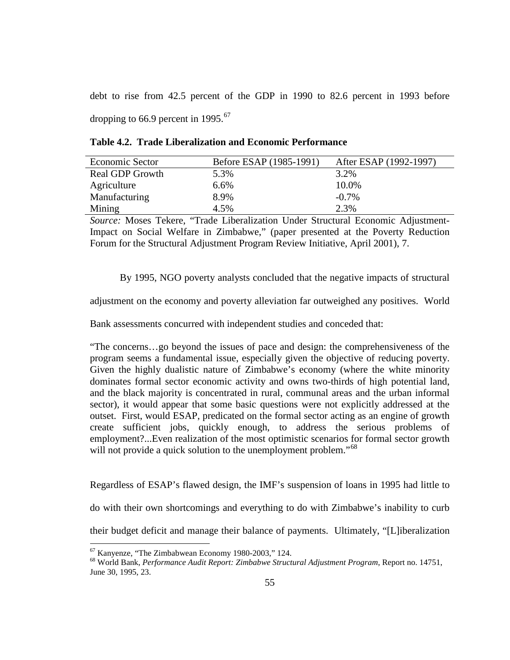debt to rise from 42.5 percent of the GDP in 1990 to 82.6 percent in 1993 before dropping to 66.9 percent in 1995. $67$ 

| Economic Sector | Before ESAP (1985-1991) | After ESAP (1992-1997) |
|-----------------|-------------------------|------------------------|
| Real GDP Growth | 5.3%                    | 3.2%                   |
| Agriculture     | 6.6%                    | 10.0%                  |
| Manufacturing   | 8.9%                    | $-0.7\%$               |
| Mining          | 4.5%                    | 2.3%                   |

**Table 4.2. Trade Liberalization and Economic Performance**

*Source:* Moses Tekere, "Trade Liberalization Under Structural Economic Adjustment-Impact on Social Welfare in Zimbabwe," (paper presented at the Poverty Reduction Forum for the Structural Adjustment Program Review Initiative, April 2001), 7.

By 1995, NGO poverty analysts concluded that the negative impacts of structural

adjustment on the economy and poverty alleviation far outweighed any positives. World

Bank assessments concurred with independent studies and conceded that:

"The concerns…go beyond the issues of pace and design: the comprehensiveness of the program seems a fundamental issue, especially given the objective of reducing poverty. Given the highly dualistic nature of Zimbabwe's economy (where the white minority dominates formal sector economic activity and owns two-thirds of high potential land, and the black majority is concentrated in rural, communal areas and the urban informal sector), it would appear that some basic questions were not explicitly addressed at the outset. First, would ESAP, predicated on the formal sector acting as an engine of growth create sufficient jobs, quickly enough, to address the serious problems of employment?...Even realization of the most optimistic scenarios for formal sector growth will not provide a quick solution to the unemployment problem."<sup>[68](#page-64-1)</sup>

Regardless of ESAP's flawed design, the IMF's suspension of loans in 1995 had little to

do with their own shortcomings and everything to do with Zimbabwe's inability to curb

their budget deficit and manage their balance of payments. Ultimately, "[L]iberalization

<span id="page-64-1"></span><span id="page-64-0"></span><sup>67</sup> Kanyenze, "The Zimbabwean Economy 1980-2003," 124. 68 World Bank, *Performance Audit Report: Zimbabwe Structural Adjustment Program*, Report no. 14751, June 30, 1995, 23.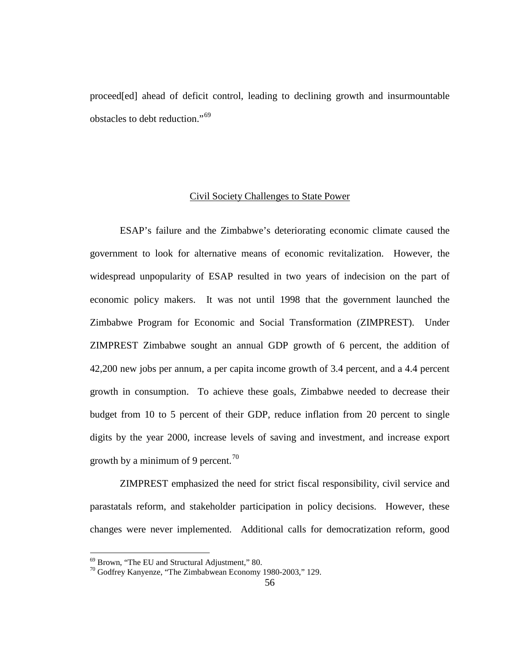proceed[ed] ahead of deficit control, leading to declining growth and insurmountable obstacles to debt reduction."[69](#page-65-0)

#### Civil Society Challenges to State Power

ESAP's failure and the Zimbabwe's deteriorating economic climate caused the government to look for alternative means of economic revitalization. However, the widespread unpopularity of ESAP resulted in two years of indecision on the part of economic policy makers. It was not until 1998 that the government launched the Zimbabwe Program for Economic and Social Transformation (ZIMPREST). Under ZIMPREST Zimbabwe sought an annual GDP growth of 6 percent, the addition of 42,200 new jobs per annum, a per capita income growth of 3.4 percent, and a 4.4 percent growth in consumption. To achieve these goals, Zimbabwe needed to decrease their budget from 10 to 5 percent of their GDP, reduce inflation from 20 percent to single digits by the year 2000, increase levels of saving and investment, and increase export growth by a minimum of 9 percent.<sup>[70](#page-65-1)</sup>

ZIMPREST emphasized the need for strict fiscal responsibility, civil service and parastatals reform, and stakeholder participation in policy decisions. However, these changes were never implemented. Additional calls for democratization reform, good

<span id="page-65-1"></span><span id="page-65-0"></span>

 $^{69}$  Brown, "The EU and Structural Adjustment," 80.<br><sup>70</sup> Godfrey Kanyenze, "The Zimbabwean Economy 1980-2003," 129.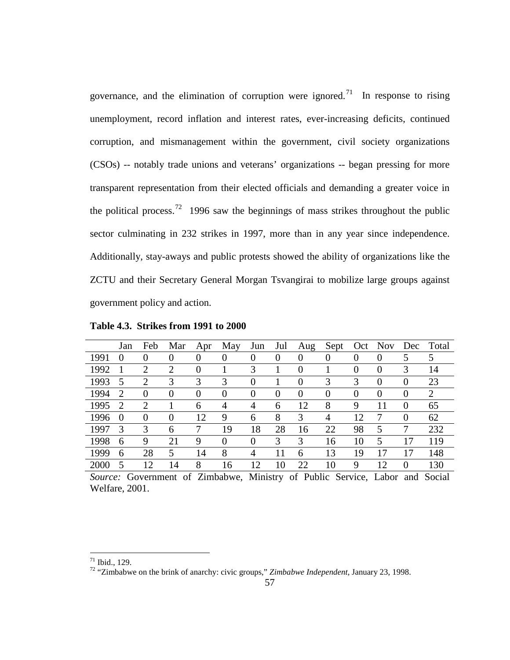governance, and the elimination of corruption were ignored.<sup>71</sup> In response to rising unemployment, record inflation and interest rates, ever-increasing deficits, continued corruption, and mismanagement within the government, civil society organizations (CSOs) -- notably trade unions and veterans' organizations -- began pressing for more transparent representation from their elected officials and demanding a greater voice in the political process.<sup>[72](#page-66-1)</sup> 1996 saw the beginnings of mass strikes throughout the public sector culminating in 232 strikes in 1997, more than in any year since independence. Additionally, stay-aways and public protests showed the ability of organizations like the ZCTU and their Secretary General Morgan Tsvangirai to mobilize large groups against government policy and action.

|      | Jan            | Feb      | Mar      | Apr      | May            | Jun      | Jul      | Aug            | Sept     |          | Oct Nov  | Dec            | Total |
|------|----------------|----------|----------|----------|----------------|----------|----------|----------------|----------|----------|----------|----------------|-------|
| 1991 | $\theta$       | $\theta$ | $\theta$ | $\theta$ | $\overline{0}$ | $\theta$ | $\theta$ | $\overline{0}$ | O        | $\theta$ | $\theta$ | 5              | 5     |
| 1992 |                | 2        | 2        | 0        |                | 3        |          | $\theta$       |          |          | 0        | 3              | 14    |
| 1993 | 5              | 2        | 3        | 3        | 3              | $\theta$ |          | $\Omega$       | 3        | 3        | $\theta$ | $\theta$       | 23    |
| 1994 | 2              | $\Omega$ | $\Omega$ | $\theta$ | $\Omega$       | $\Omega$ | $\theta$ | $\Omega$       | $\theta$ | $\theta$ | $\theta$ | $\theta$       | 2     |
| 1995 | $\overline{2}$ | 2        |          | 6        | 4              | 4        | 6        | 12             | 8        | 9        | 11       | $\Omega$       | 65    |
| 1996 | $\theta$       | $\theta$ | $\theta$ | 12       | 9              | 6        | 8        | 3              | 4        | 12       |          | $\theta$       | 62    |
| 1997 | 3              | 3        | 6        | 7        | 19             | 18       | 28       | 16             | 22       | 98       | 5        | 7              | 232   |
| 1998 | 6              | 9        | 21       | 9        | $\Omega$       | $\Omega$ | 3        | 3              | 16       | 10       | 5        | 17             | 119   |
| 1999 | 6              | 28       | 5        | 14       | 8              | 4        | 11       | 6              | 13       | 19       | 17       | 17             | 148   |
| 2000 | 5              | 12       | 14       | 8        | 16             | 12       | 10       | 22             | 10       | 9        | 12       | $\overline{0}$ | 130   |

**Table 4.3. Strikes from 1991 to 2000**

*Source:* Government of Zimbabwe, Ministry of Public Service, Labor and Social Welfare, 2001.

<span id="page-66-1"></span><span id="page-66-0"></span><sup>71</sup> Ibid., 129. <sup>72</sup> "Zimbabwe on the brink of anarchy: civic groups," *Zimbabwe Independent*, January 23, 1998.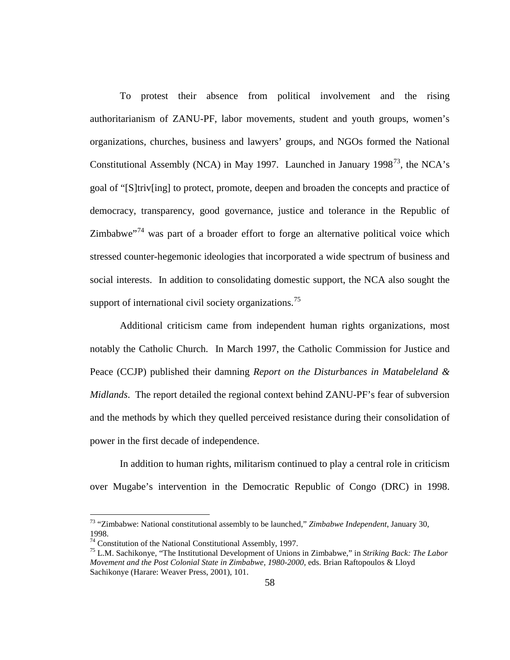To protest their absence from political involvement and the rising authoritarianism of ZANU-PF, labor movements, student and youth groups, women's organizations, churches, business and lawyers' groups, and NGOs formed the National Constitutional Assembly (NCA) in May 1997. Launched in January 1998<sup>73</sup>, the NCA's goal of "[S]triv[ing] to protect, promote, deepen and broaden the concepts and practice of democracy, transparency, good governance, justice and tolerance in the Republic of Zimbabwe $174$  $174$  was part of a broader effort to forge an alternative political voice which stressed counter-hegemonic ideologies that incorporated a wide spectrum of business and social interests. In addition to consolidating domestic support, the NCA also sought the support of international civil society organizations.<sup>[75](#page-67-2)</sup>

Additional criticism came from independent human rights organizations, most notably the Catholic Church. In March 1997, the Catholic Commission for Justice and Peace (CCJP) published their damning *Report on the Disturbances in Matabeleland & Midlands*. The report detailed the regional context behind ZANU-PF's fear of subversion and the methods by which they quelled perceived resistance during their consolidation of power in the first decade of independence.

In addition to human rights, militarism continued to play a central role in criticism over Mugabe's intervention in the Democratic Republic of Congo (DRC) in 1998.

<span id="page-67-0"></span> <sup>73</sup> "Zimbabwe: National constitutional assembly to be launched," *Zimbabwe Independent*, January 30, 1998.<br><sup>74</sup> Constitution of the National Constitutional Assembly, 1997.

<span id="page-67-2"></span><span id="page-67-1"></span><sup>&</sup>lt;sup>75</sup> L.M. Sachikonye, "The Institutional Development of Unions in Zimbabwe," in *Striking Back: The Labor Movement and the Post Colonial State in Zimbabwe, 1980-2000*, eds. Brian Raftopoulos & Lloyd Sachikonye (Harare: Weaver Press, 2001), 101.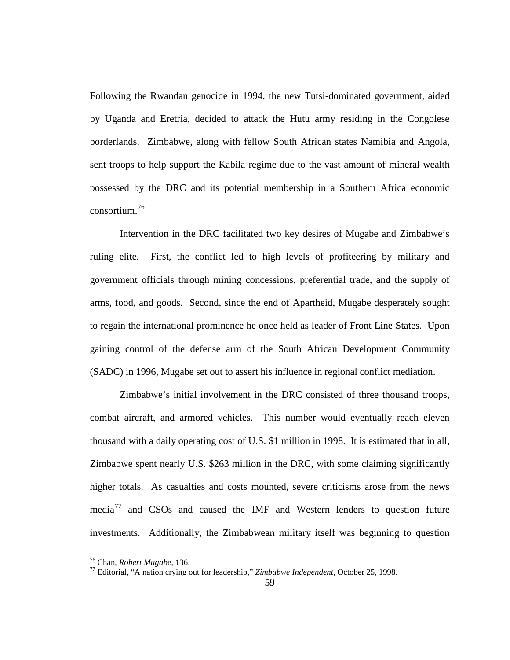Following the Rwandan genocide in 1994, the new Tutsi-dominated government, aided by Uganda and Eretria, decided to attack the Hutu army residing in the Congolese borderlands. Zimbabwe, along with fellow South African states Namibia and Angola, sent troops to help support the Kabila regime due to the vast amount of mineral wealth possessed by the DRC and its potential membership in a Southern Africa economic consortium.[76](#page-68-0)

Intervention in the DRC facilitated two key desires of Mugabe and Zimbabwe's ruling elite. First, the conflict led to high levels of profiteering by military and government officials through mining concessions, preferential trade, and the supply of arms, food, and goods. Second, since the end of Apartheid, Mugabe desperately sought to regain the international prominence he once held as leader of Front Line States. Upon gaining control of the defense arm of the South African Development Community (SADC) in 1996, Mugabe set out to assert his influence in regional conflict mediation.

Zimbabwe's initial involvement in the DRC consisted of three thousand troops, combat aircraft, and armored vehicles. This number would eventually reach eleven thousand with a daily operating cost of U.S. \$1 million in 1998. It is estimated that in all, Zimbabwe spent nearly U.S. \$263 million in the DRC, with some claiming significantly higher totals. As casualties and costs mounted, severe criticisms arose from the news media<sup>[77](#page-68-1)</sup> and CSOs and caused the IMF and Western lenders to question future investments. Additionally, the Zimbabwean military itself was beginning to question

<span id="page-68-1"></span>

<span id="page-68-0"></span><sup>&</sup>lt;sup>76</sup> Chan, *Robert Mugabe*, 136.<br><sup>77</sup> Editorial, "A nation crying out for leadership," *Zimbabwe Independent*, October 25, 1998.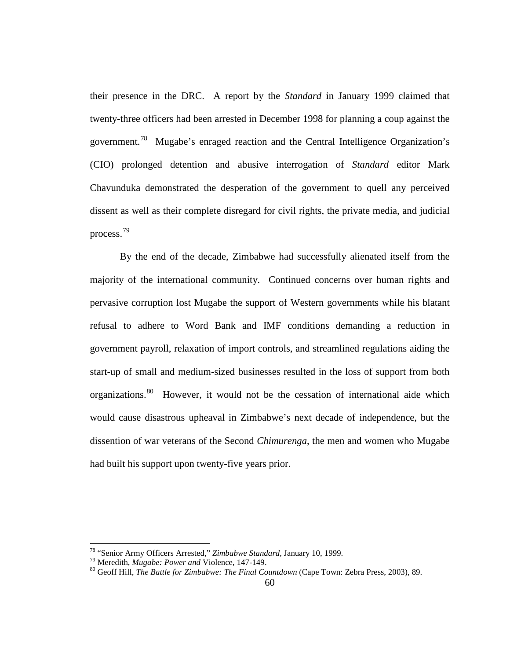their presence in the DRC. A report by the *Standard* in January 1999 claimed that twenty-three officers had been arrested in December 1998 for planning a coup against the government.<sup>[78](#page-69-0)</sup> Mugabe's enraged reaction and the Central Intelligence Organization's (CIO) prolonged detention and abusive interrogation of *Standard* editor Mark Chavunduka demonstrated the desperation of the government to quell any perceived dissent as well as their complete disregard for civil rights, the private media, and judicial process.[79](#page-69-1)

By the end of the decade, Zimbabwe had successfully alienated itself from the majority of the international community. Continued concerns over human rights and pervasive corruption lost Mugabe the support of Western governments while his blatant refusal to adhere to Word Bank and IMF conditions demanding a reduction in government payroll, relaxation of import controls, and streamlined regulations aiding the start-up of small and medium-sized businesses resulted in the loss of support from both organizations.<sup>[80](#page-69-2)</sup> However, it would not be the cessation of international aide which would cause disastrous upheaval in Zimbabwe's next decade of independence, but the dissention of war veterans of the Second *Chimurenga*, the men and women who Mugabe had built his support upon twenty-five years prior.

<span id="page-69-2"></span><span id="page-69-1"></span>

<span id="page-69-0"></span><sup>&</sup>lt;sup>78</sup> "Senior Army Officers Arrested," *Zimbabwe Standard*, January 10, 1999.<br><sup>79</sup> Meredith, *Mugabe: Power and* Violence, 147-149.<br><sup>80</sup> Geoff Hill, *The Battle for Zimbabwe: The Final Countdown* (Cape Town: Zebra Press, 2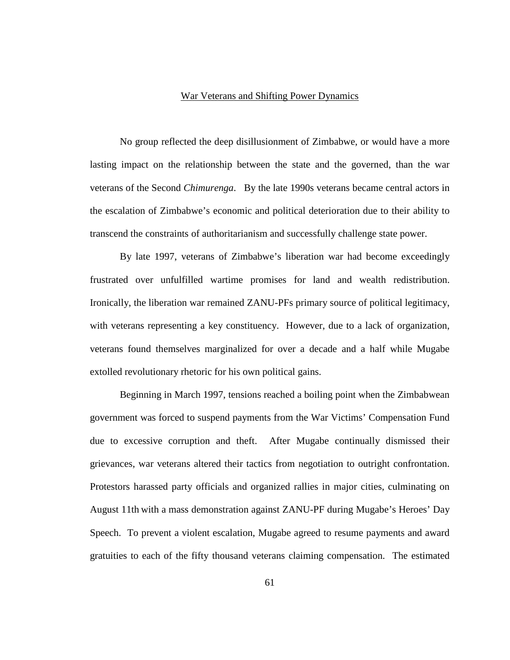### War Veterans and Shifting Power Dynamics

No group reflected the deep disillusionment of Zimbabwe, or would have a more lasting impact on the relationship between the state and the governed, than the war veterans of the Second *Chimurenga*. By the late 1990s veterans became central actors in the escalation of Zimbabwe's economic and political deterioration due to their ability to transcend the constraints of authoritarianism and successfully challenge state power.

By late 1997, veterans of Zimbabwe's liberation war had become exceedingly frustrated over unfulfilled wartime promises for land and wealth redistribution. Ironically, the liberation war remained ZANU-PFs primary source of political legitimacy, with veterans representing a key constituency. However, due to a lack of organization, veterans found themselves marginalized for over a decade and a half while Mugabe extolled revolutionary rhetoric for his own political gains.

Beginning in March 1997, tensions reached a boiling point when the Zimbabwean government was forced to suspend payments from the War Victims' Compensation Fund due to excessive corruption and theft. After Mugabe continually dismissed their grievances, war veterans altered their tactics from negotiation to outright confrontation. Protestors harassed party officials and organized rallies in major cities, culminating on August 11th with a mass demonstration against ZANU-PF during Mugabe's Heroes' Day Speech. To prevent a violent escalation, Mugabe agreed to resume payments and award gratuities to each of the fifty thousand veterans claiming compensation. The estimated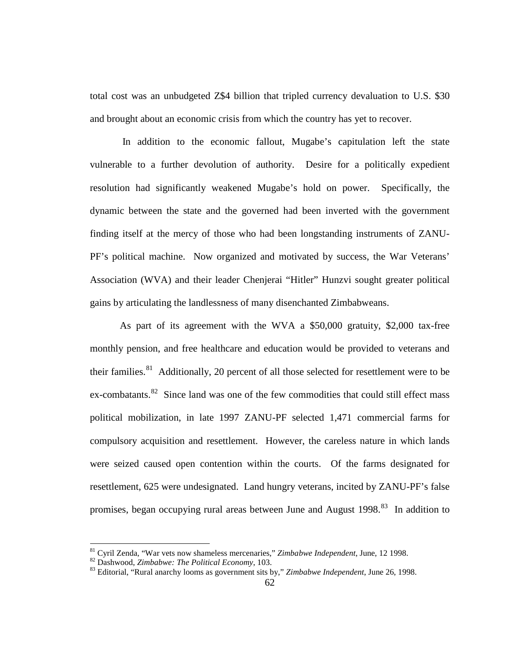total cost was an unbudgeted Z\$4 billion that tripled currency devaluation to U.S. \$30 and brought about an economic crisis from which the country has yet to recover.

In addition to the economic fallout, Mugabe's capitulation left the state vulnerable to a further devolution of authority. Desire for a politically expedient resolution had significantly weakened Mugabe's hold on power. Specifically, the dynamic between the state and the governed had been inverted with the government finding itself at the mercy of those who had been longstanding instruments of ZANU-PF's political machine. Now organized and motivated by success, the War Veterans' Association (WVA) and their leader Chenjerai "Hitler" Hunzvi sought greater political gains by articulating the landlessness of many disenchanted Zimbabweans.

As part of its agreement with the WVA a \$50,000 gratuity, \$2,000 tax-free monthly pension, and free healthcare and education would be provided to veterans and their families.<sup>81</sup> Additionally, 20 percent of all those selected for resettlement were to be ex-combatants.<sup>82</sup> Since land was one of the few commodities that could still effect mass political mobilization, in late 1997 ZANU-PF selected 1,471 commercial farms for compulsory acquisition and resettlement. However, the careless nature in which lands were seized caused open contention within the courts. Of the farms designated for resettlement, 625 were undesignated. Land hungry veterans, incited by ZANU-PF's false promises, began occupying rural areas between June and August 1998.<sup>[83](#page-71-2)</sup> In addition to

<sup>&</sup>lt;sup>81</sup> Cyril Zenda, "War vets now shameless mercenaries," Zimbabwe Independent, June, 12 1998.<br><sup>82</sup> Dashwood, *Zimbabwe: The Political Economy*, 103.<br><sup>83</sup> Editorial, "Rural anarchy looms as government sits by," *Zimbabwe In* 

<span id="page-71-1"></span><span id="page-71-0"></span>

<span id="page-71-2"></span>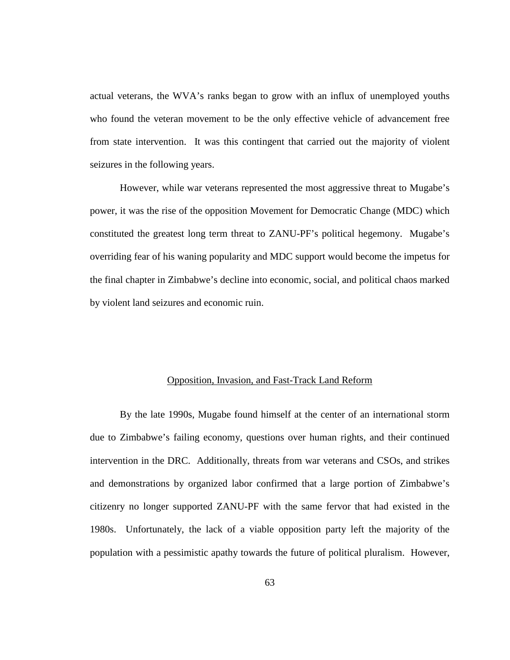actual veterans, the WVA's ranks began to grow with an influx of unemployed youths who found the veteran movement to be the only effective vehicle of advancement free from state intervention. It was this contingent that carried out the majority of violent seizures in the following years.

However, while war veterans represented the most aggressive threat to Mugabe's power, it was the rise of the opposition Movement for Democratic Change (MDC) which constituted the greatest long term threat to ZANU-PF's political hegemony. Mugabe's overriding fear of his waning popularity and MDC support would become the impetus for the final chapter in Zimbabwe's decline into economic, social, and political chaos marked by violent land seizures and economic ruin.

### Opposition, Invasion, and Fast-Track Land Reform

By the late 1990s, Mugabe found himself at the center of an international storm due to Zimbabwe's failing economy, questions over human rights, and their continued intervention in the DRC. Additionally, threats from war veterans and CSOs, and strikes and demonstrations by organized labor confirmed that a large portion of Zimbabwe's citizenry no longer supported ZANU-PF with the same fervor that had existed in the 1980s. Unfortunately, the lack of a viable opposition party left the majority of the population with a pessimistic apathy towards the future of political pluralism. However,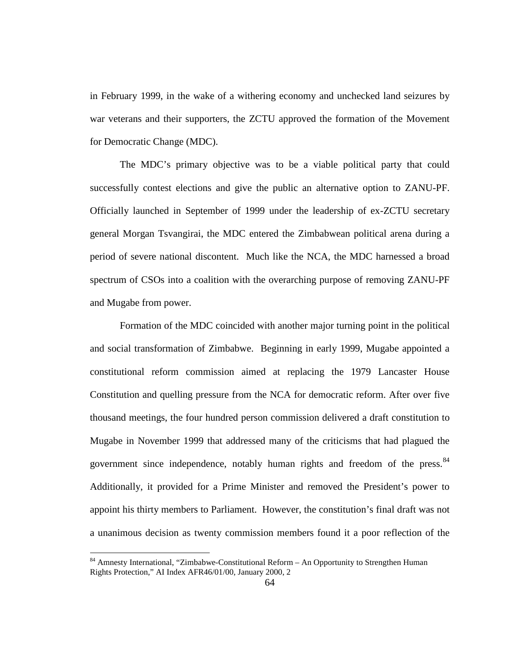in February 1999, in the wake of a withering economy and unchecked land seizures by war veterans and their supporters, the ZCTU approved the formation of the Movement for Democratic Change (MDC).

The MDC's primary objective was to be a viable political party that could successfully contest elections and give the public an alternative option to ZANU-PF. Officially launched in September of 1999 under the leadership of ex-ZCTU secretary general Morgan Tsvangirai, the MDC entered the Zimbabwean political arena during a period of severe national discontent. Much like the NCA, the MDC harnessed a broad spectrum of CSOs into a coalition with the overarching purpose of removing ZANU-PF and Mugabe from power.

Formation of the MDC coincided with another major turning point in the political and social transformation of Zimbabwe. Beginning in early 1999, Mugabe appointed a constitutional reform commission aimed at replacing the 1979 Lancaster House Constitution and quelling pressure from the NCA for democratic reform. After over five thousand meetings, the four hundred person commission delivered a draft constitution to Mugabe in November 1999 that addressed many of the criticisms that had plagued the government since independence, notably human rights and freedom of the press.<sup>[84](#page-73-0)</sup> Additionally, it provided for a Prime Minister and removed the President's power to appoint his thirty members to Parliament. However, the constitution's final draft was not a unanimous decision as twenty commission members found it a poor reflection of the

<span id="page-73-0"></span><sup>&</sup>lt;sup>84</sup> Amnesty International, "Zimbabwe-Constitutional Reform – An Opportunity to Strengthen Human Rights Protection," AI Index AFR46/01/00, January 2000, 2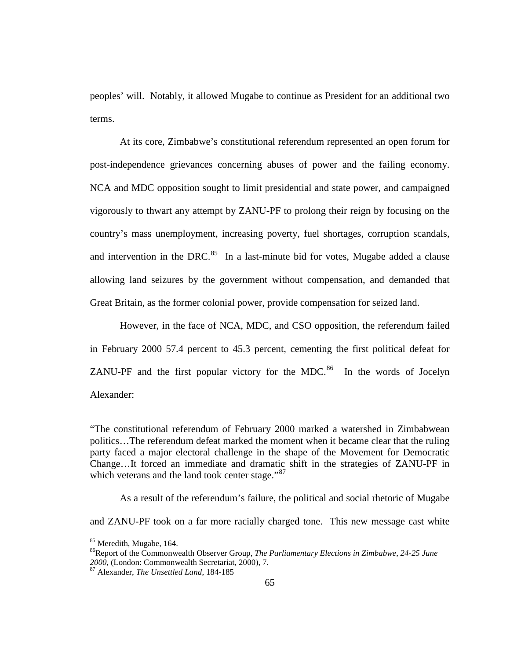peoples' will. Notably, it allowed Mugabe to continue as President for an additional two terms.

At its core, Zimbabwe's constitutional referendum represented an open forum for post-independence grievances concerning abuses of power and the failing economy. NCA and MDC opposition sought to limit presidential and state power, and campaigned vigorously to thwart any attempt by ZANU-PF to prolong their reign by focusing on the country's mass unemployment, increasing poverty, fuel shortages, corruption scandals, and intervention in the DRC. $85$  In a last-minute bid for votes, Mugabe added a clause allowing land seizures by the government without compensation, and demanded that Great Britain, as the former colonial power, provide compensation for seized land.

However, in the face of NCA, MDC, and CSO opposition, the referendum failed in February 2000 57.4 percent to 45.3 percent, cementing the first political defeat for ZANU-PF and the first popular victory for the MDC.<sup>[86](#page-74-1)</sup> In the words of Jocelyn Alexander:

"The constitutional referendum of February 2000 marked a watershed in Zimbabwean politics…The referendum defeat marked the moment when it became clear that the ruling party faced a major electoral challenge in the shape of the Movement for Democratic Change…It forced an immediate and dramatic shift in the strategies of ZANU-PF in which veterans and the land took center stage."<sup>[87](#page-74-2)</sup>

As a result of the referendum's failure, the political and social rhetoric of Mugabe

and ZANU-PF took on a far more racially charged tone. This new message cast white

<span id="page-74-1"></span><span id="page-74-0"></span><sup>&</sup>lt;sup>85</sup> Meredith, Mugabe, 164.<br><sup>86</sup>Report of the Commonwealth Observer Group, *The Parliamentary Elections in Zimbabwe, 24-25 June 2000*, (London: Commonwealth Secretariat, 2000), 7.

<span id="page-74-2"></span><sup>&</sup>lt;sup>87</sup> Alexander, *The Unsettled Land*, 184-185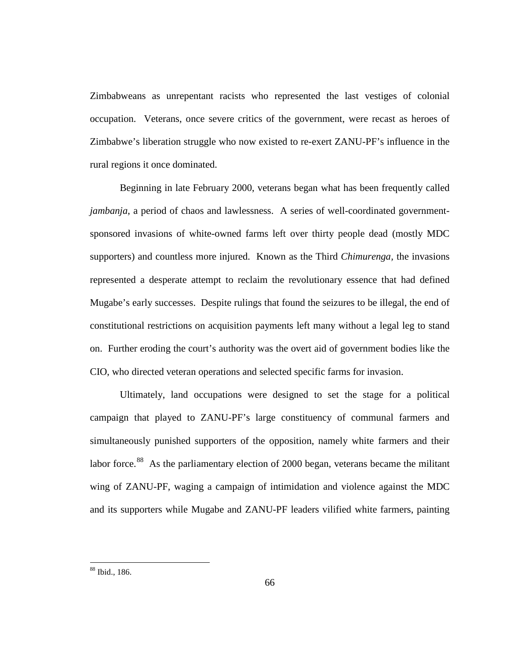Zimbabweans as unrepentant racists who represented the last vestiges of colonial occupation. Veterans, once severe critics of the government, were recast as heroes of Zimbabwe's liberation struggle who now existed to re-exert ZANU-PF's influence in the rural regions it once dominated.

Beginning in late February 2000, veterans began what has been frequently called *jambanja*, a period of chaos and lawlessness. A series of well-coordinated governmentsponsored invasions of white-owned farms left over thirty people dead (mostly MDC supporters) and countless more injured. Known as the Third *Chimurenga,* the invasions represented a desperate attempt to reclaim the revolutionary essence that had defined Mugabe's early successes. Despite rulings that found the seizures to be illegal, the end of constitutional restrictions on acquisition payments left many without a legal leg to stand on. Further eroding the court's authority was the overt aid of government bodies like the CIO, who directed veteran operations and selected specific farms for invasion.

Ultimately, land occupations were designed to set the stage for a political campaign that played to ZANU-PF's large constituency of communal farmers and simultaneously punished supporters of the opposition, namely white farmers and their labor force.<sup>[88](#page-75-0)</sup> As the parliamentary election of 2000 began, veterans became the militant wing of ZANU-PF, waging a campaign of intimidation and violence against the MDC and its supporters while Mugabe and ZANU-PF leaders vilified white farmers, painting

<span id="page-75-0"></span> <sup>88</sup> Ibid., 186.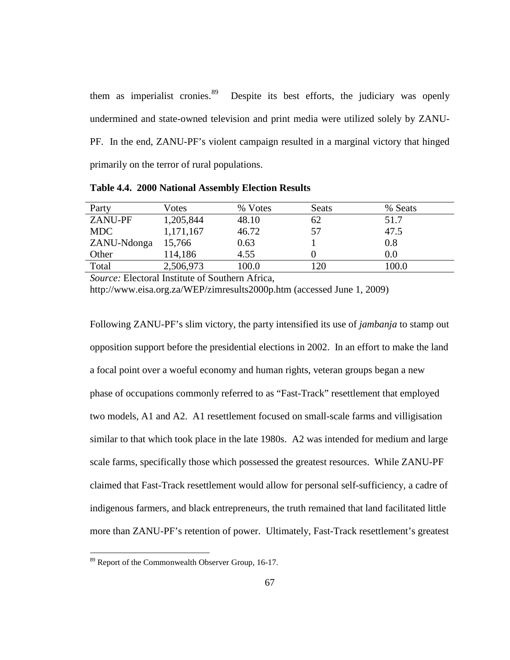them as imperialist cronies.<sup>[89](#page-76-0)</sup> Despite its best efforts, the judiciary was openly undermined and state-owned television and print media were utilized solely by ZANU-PF. In the end, ZANU-PF's violent campaign resulted in a marginal victory that hinged primarily on the terror of rural populations.

| Party          | Votes     | % Votes | <b>Seats</b> | % Seats |
|----------------|-----------|---------|--------------|---------|
| <b>ZANU-PF</b> | 1,205,844 | 48.10   | 62           | 51.7    |
| <b>MDC</b>     | 1,171,167 | 46.72   | 57           | 47.5    |
| ZANU-Ndonga    | 15,766    | 0.63    |              | 0.8     |
| Other          | 114,186   | 4.55    |              | 0.0     |
| Total          | 2,506,973 | 100.0   | 120          | 100.0   |

**Table 4.4. 2000 National Assembly Election Results**

*Source:* Electoral Institute of Southern Africa,

http://www.eisa.org.za/WEP/zimresults2000p.htm (accessed June 1, 2009)

Following ZANU-PF's slim victory, the party intensified its use of *jambanja* to stamp out opposition support before the presidential elections in 2002. In an effort to make the land a focal point over a woeful economy and human rights, veteran groups began a new phase of occupations commonly referred to as "Fast-Track" resettlement that employed two models, A1 and A2. A1 resettlement focused on small-scale farms and villigisation similar to that which took place in the late 1980s. A2 was intended for medium and large scale farms, specifically those which possessed the greatest resources. While ZANU-PF claimed that Fast-Track resettlement would allow for personal self-sufficiency, a cadre of indigenous farmers, and black entrepreneurs, the truth remained that land facilitated little more than ZANU-PF's retention of power. Ultimately, Fast-Track resettlement's greatest

<span id="page-76-0"></span><sup>&</sup>lt;sup>89</sup> Report of the Commonwealth Observer Group, 16-17.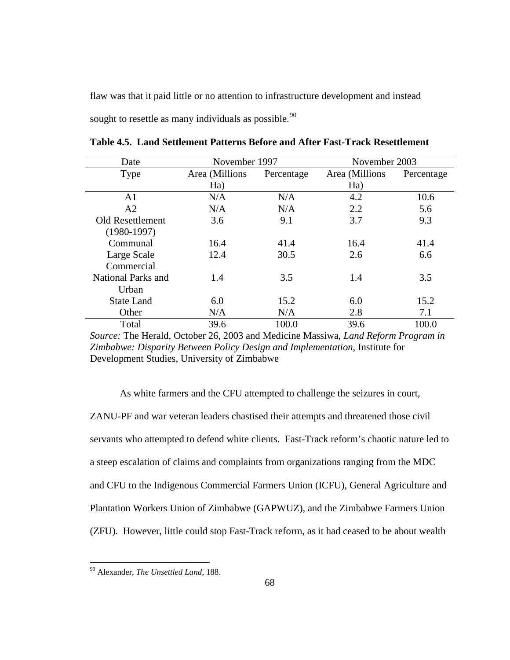flaw was that it paid little or no attention to infrastructure development and instead sought to resettle as many individuals as possible. $^{90}$  $^{90}$  $^{90}$ 

| Date               | November 1997  |            | November 2003  |            |
|--------------------|----------------|------------|----------------|------------|
| Type               | Area (Millions | Percentage | Area (Millions | Percentage |
|                    | Ha)            |            | Ha)            |            |
| A <sub>1</sub>     | N/A            | N/A        | 4.2            | 10.6       |
| A2                 | N/A            | N/A        | 2.2            | 5.6        |
| Old Resettlement   | 3.6            | 9.1        | 3.7            | 9.3        |
| $(1980-1997)$      |                |            |                |            |
| Communal           | 16.4           | 41.4       | 16.4           | 41.4       |
| Large Scale        | 12.4           | 30.5       | 2.6            | 6.6        |
| Commercial         |                |            |                |            |
| National Parks and | 1.4            | 3.5        | 1.4            | 3.5        |
| Urban              |                |            |                |            |
| <b>State Land</b>  | 6.0            | 15.2       | 6.0            | 15.2       |
| Other              | N/A            | N/A        | 2.8            | 7.1        |
| Total              | 39.6           | 100.0      | 39.6           | 100.0      |

**Table 4.5. Land Settlement Patterns Before and After Fast-Track Resettlement**

*Source:* The Herald, October 26, 2003 and Medicine Massiwa, *Land Reform Program in Zimbabwe: Disparity Between Policy Design and Implementation*, Institute for Development Studies, University of Zimbabwe

As white farmers and the CFU attempted to challenge the seizures in court, ZANU-PF and war veteran leaders chastised their attempts and threatened those civil servants who attempted to defend white clients. Fast-Track reform's chaotic nature led to a steep escalation of claims and complaints from organizations ranging from the MDC and CFU to the Indigenous Commercial Farmers Union (ICFU), General Agriculture and Plantation Workers Union of Zimbabwe (GAPWUZ), and the Zimbabwe Farmers Union (ZFU). However, little could stop Fast-Track reform, as it had ceased to be about wealth

<span id="page-77-0"></span> <sup>90</sup> Alexander, *The Unsettled Land*, 188.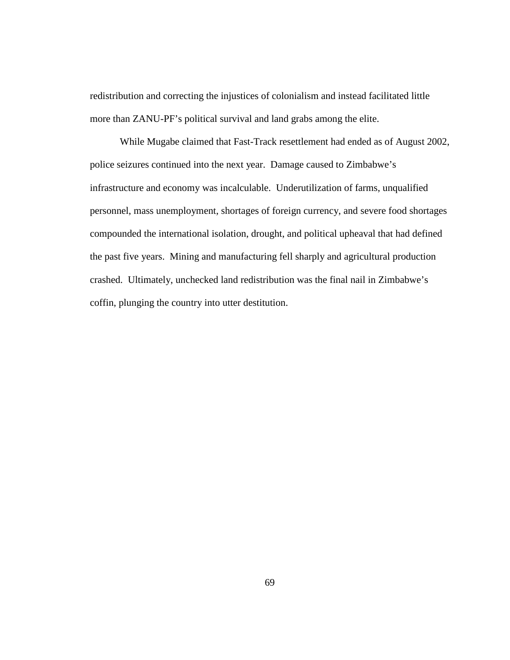redistribution and correcting the injustices of colonialism and instead facilitated little more than ZANU-PF's political survival and land grabs among the elite.

While Mugabe claimed that Fast-Track resettlement had ended as of August 2002, police seizures continued into the next year. Damage caused to Zimbabwe's infrastructure and economy was incalculable. Underutilization of farms, unqualified personnel, mass unemployment, shortages of foreign currency, and severe food shortages compounded the international isolation, drought, and political upheaval that had defined the past five years. Mining and manufacturing fell sharply and agricultural production crashed. Ultimately, unchecked land redistribution was the final nail in Zimbabwe's coffin, plunging the country into utter destitution.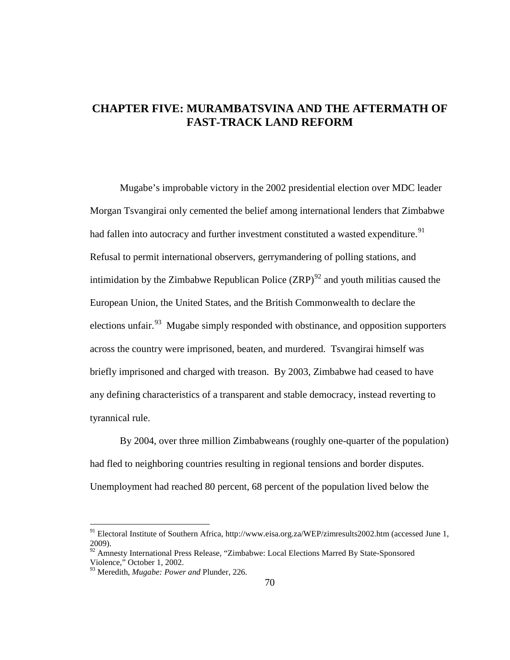# **CHAPTER FIVE: MURAMBATSVINA AND THE AFTERMATH OF FAST-TRACK LAND REFORM**

Mugabe's improbable victory in the 2002 presidential election over MDC leader Morgan Tsvangirai only cemented the belief among international lenders that Zimbabwe had fallen into autocracy and further investment constituted a wasted expenditure.<sup>[91](#page-79-0)</sup> Refusal to permit international observers, gerrymandering of polling stations, and intimidation by the Zimbabwe Republican Police  $(ZRP)^{92}$  $(ZRP)^{92}$  $(ZRP)^{92}$  and youth militias caused the European Union, the United States, and the British Commonwealth to declare the elections unfair.<sup>[93](#page-79-2)</sup> Mugabe simply responded with obstinance, and opposition supporters across the country were imprisoned, beaten, and murdered. Tsvangirai himself was briefly imprisoned and charged with treason. By 2003, Zimbabwe had ceased to have any defining characteristics of a transparent and stable democracy, instead reverting to tyrannical rule.

By 2004, over three million Zimbabweans (roughly one-quarter of the population) had fled to neighboring countries resulting in regional tensions and border disputes. Unemployment had reached 80 percent, 68 percent of the population lived below the

<span id="page-79-0"></span> <sup>91</sup> Electoral Institute of Southern Africa, http://www.eisa.org.za/WEP/zimresults2002.htm (accessed June 1, 2009).

<span id="page-79-1"></span><sup>&</sup>lt;sup>92</sup> Amnesty International Press Release, "Zimbabwe: Local Elections Marred By State-Sponsored Violence," October 1, 2002.

<span id="page-79-2"></span><sup>93</sup> Meredith, *Mugabe: Power and* Plunder, 226.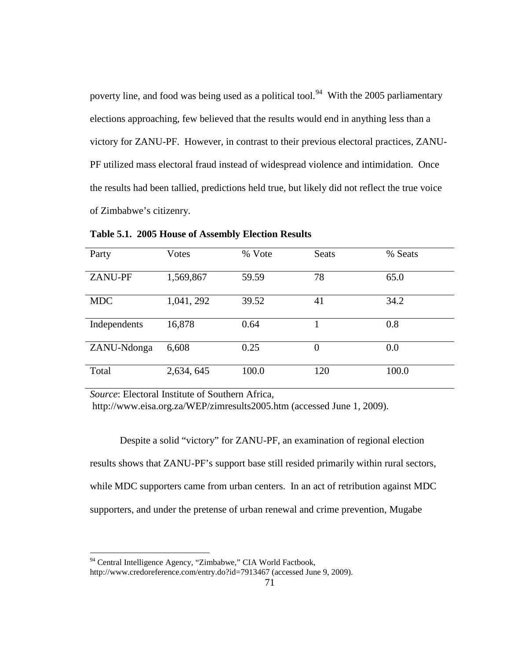poverty line, and food was being used as a political tool.<sup>[94](#page-80-0)</sup> With the 2005 parliamentary elections approaching, few believed that the results would end in anything less than a victory for ZANU-PF. However, in contrast to their previous electoral practices, ZANU-PF utilized mass electoral fraud instead of widespread violence and intimidation. Once the results had been tallied, predictions held true, but likely did not reflect the true voice of Zimbabwe's citizenry.

| Party          | Votes      | % Vote | <b>Seats</b>   | % Seats |
|----------------|------------|--------|----------------|---------|
| <b>ZANU-PF</b> | 1,569,867  | 59.59  | 78             | 65.0    |
| <b>MDC</b>     | 1,041, 292 | 39.52  | 41             | 34.2    |
| Independents   | 16,878     | 0.64   |                | 0.8     |
| ZANU-Ndonga    | 6,608      | 0.25   | $\overline{0}$ | 0.0     |
| Total          | 2,634, 645 | 100.0  | 120            | 100.0   |

**Table 5.1. 2005 House of Assembly Election Results**

*Source*: Electoral Institute of Southern Africa,

http://www.eisa.org.za/WEP/zimresults2005.htm (accessed June 1, 2009).

Despite a solid "victory" for ZANU-PF, an examination of regional election results shows that ZANU-PF's support base still resided primarily within rural sectors, while MDC supporters came from urban centers. In an act of retribution against MDC supporters, and under the pretense of urban renewal and crime prevention, Mugabe

<span id="page-80-0"></span><sup>&</sup>lt;sup>94</sup> Central Intelligence Agency, "Zimbabwe," CIA World Factbook,

http://www.credoreference.com/entry.do?id=7913467 (accessed June 9, 2009).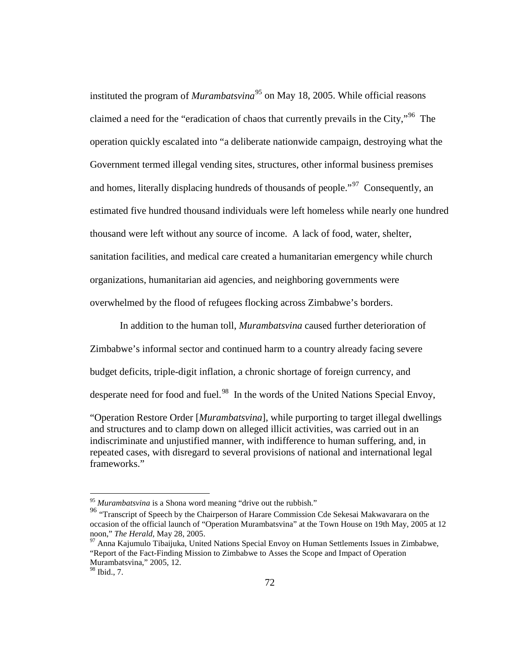instituted the program of *Murambatsvina*<sup>[95](#page-81-0)</sup> on May 18, 2005. While official reasons claimed a need for the "eradication of chaos that currently prevails in the City,"[96](#page-81-1) The operation quickly escalated into "a deliberate nationwide campaign, destroying what the Government termed illegal vending sites, structures, other informal business premises and homes, literally displacing hundreds of thousands of people."<sup>[97](#page-81-2)</sup> Consequently, an estimated five hundred thousand individuals were left homeless while nearly one hundred thousand were left without any source of income. A lack of food, water, shelter, sanitation facilities, and medical care created a humanitarian emergency while church organizations, humanitarian aid agencies, and neighboring governments were overwhelmed by the flood of refugees flocking across Zimbabwe's borders.

In addition to the human toll, *Murambatsvina* caused further deterioration of

Zimbabwe's informal sector and continued harm to a country already facing severe

budget deficits, triple-digit inflation, a chronic shortage of foreign currency, and

desperate need for food and fuel.<sup>[98](#page-81-3)</sup> In the words of the United Nations Special Envoy,

"Operation Restore Order [*Murambatsvina*], while purporting to target illegal dwellings and structures and to clamp down on alleged illicit activities, was carried out in an indiscriminate and unjustified manner, with indifference to human suffering, and, in repeated cases, with disregard to several provisions of national and international legal frameworks."

<sup>&</sup>lt;sup>95</sup> Murambatsvina is a Shona word meaning "drive out the rubbish."

<span id="page-81-1"></span><span id="page-81-0"></span><sup>&</sup>lt;sup>96</sup> "Transcript of Speech by the Chairperson of Harare Commission Cde Sekesai Makwavarara on the occasion of the official launch of "Operation Murambatsvina" at the Town House on 19th May, 2005 at 12 noon," The Herald, May 28, 2005.

<span id="page-81-2"></span><sup>&</sup>lt;sup>97</sup> Anna Kajumulo Tibaijuka, United Nations Special Envoy on Human Settlements Issues in Zimbabwe, "Report of the Fact-Finding Mission to Zimbabwe to Asses the Scope and Impact of Operation Murambatsvina," 2005, 12.

<span id="page-81-3"></span><sup>98</sup> Ibid., 7.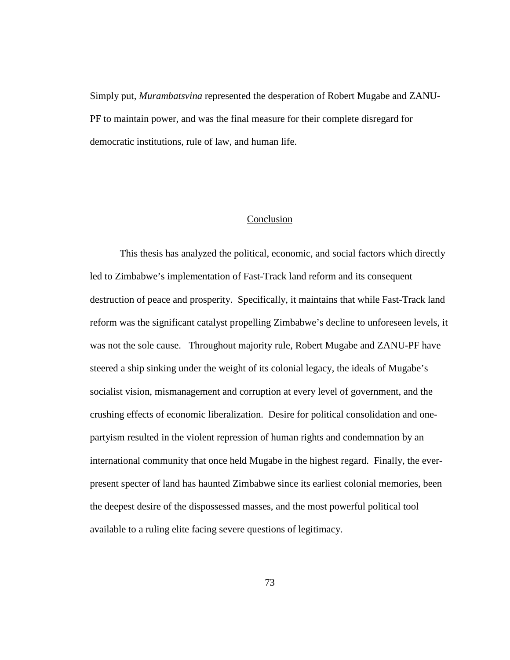Simply put, *Murambatsvina* represented the desperation of Robert Mugabe and ZANU-PF to maintain power, and was the final measure for their complete disregard for democratic institutions, rule of law, and human life.

## Conclusion

This thesis has analyzed the political, economic, and social factors which directly led to Zimbabwe's implementation of Fast-Track land reform and its consequent destruction of peace and prosperity. Specifically, it maintains that while Fast-Track land reform was the significant catalyst propelling Zimbabwe's decline to unforeseen levels, it was not the sole cause. Throughout majority rule, Robert Mugabe and ZANU-PF have steered a ship sinking under the weight of its colonial legacy, the ideals of Mugabe's socialist vision, mismanagement and corruption at every level of government, and the crushing effects of economic liberalization. Desire for political consolidation and onepartyism resulted in the violent repression of human rights and condemnation by an international community that once held Mugabe in the highest regard. Finally, the everpresent specter of land has haunted Zimbabwe since its earliest colonial memories, been the deepest desire of the dispossessed masses, and the most powerful political tool available to a ruling elite facing severe questions of legitimacy.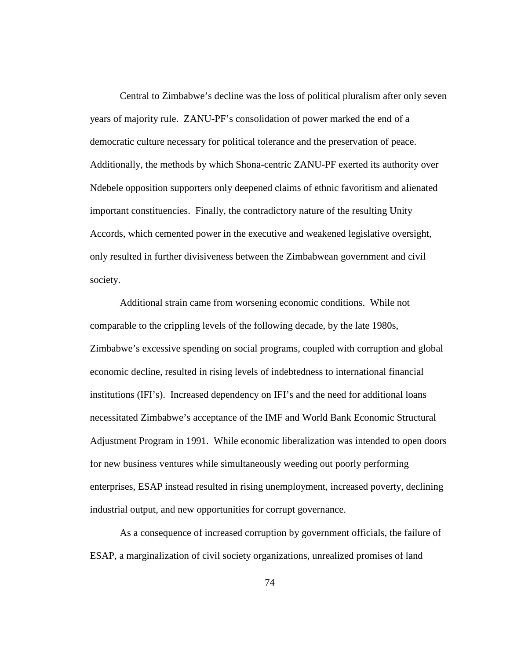Central to Zimbabwe's decline was the loss of political pluralism after only seven years of majority rule. ZANU-PF's consolidation of power marked the end of a democratic culture necessary for political tolerance and the preservation of peace. Additionally, the methods by which Shona-centric ZANU-PF exerted its authority over Ndebele opposition supporters only deepened claims of ethnic favoritism and alienated important constituencies. Finally, the contradictory nature of the resulting Unity Accords, which cemented power in the executive and weakened legislative oversight, only resulted in further divisiveness between the Zimbabwean government and civil society.

Additional strain came from worsening economic conditions. While not comparable to the crippling levels of the following decade, by the late 1980s, Zimbabwe's excessive spending on social programs, coupled with corruption and global economic decline, resulted in rising levels of indebtedness to international financial institutions (IFI's). Increased dependency on IFI's and the need for additional loans necessitated Zimbabwe's acceptance of the IMF and World Bank Economic Structural Adjustment Program in 1991. While economic liberalization was intended to open doors for new business ventures while simultaneously weeding out poorly performing enterprises, ESAP instead resulted in rising unemployment, increased poverty, declining industrial output, and new opportunities for corrupt governance.

As a consequence of increased corruption by government officials, the failure of ESAP, a marginalization of civil society organizations, unrealized promises of land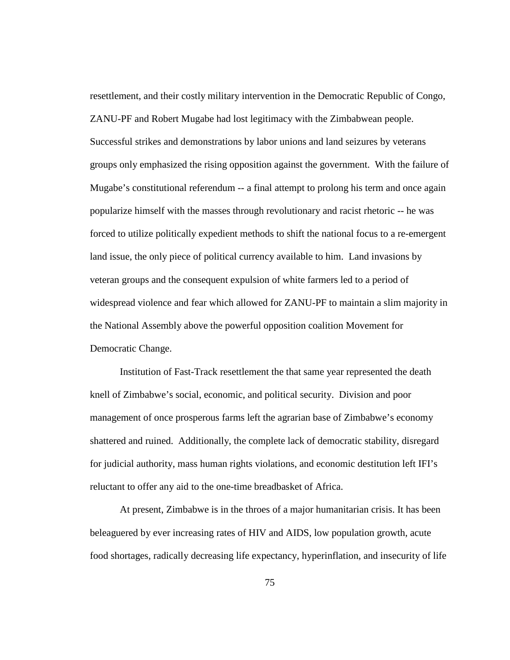resettlement, and their costly military intervention in the Democratic Republic of Congo, ZANU-PF and Robert Mugabe had lost legitimacy with the Zimbabwean people. Successful strikes and demonstrations by labor unions and land seizures by veterans groups only emphasized the rising opposition against the government. With the failure of Mugabe's constitutional referendum -- a final attempt to prolong his term and once again popularize himself with the masses through revolutionary and racist rhetoric -- he was forced to utilize politically expedient methods to shift the national focus to a re-emergent land issue, the only piece of political currency available to him. Land invasions by veteran groups and the consequent expulsion of white farmers led to a period of widespread violence and fear which allowed for ZANU-PF to maintain a slim majority in the National Assembly above the powerful opposition coalition Movement for Democratic Change.

Institution of Fast-Track resettlement the that same year represented the death knell of Zimbabwe's social, economic, and political security. Division and poor management of once prosperous farms left the agrarian base of Zimbabwe's economy shattered and ruined. Additionally, the complete lack of democratic stability, disregard for judicial authority, mass human rights violations, and economic destitution left IFI's reluctant to offer any aid to the one-time breadbasket of Africa.

At present, Zimbabwe is in the throes of a major humanitarian crisis. It has been beleaguered by ever increasing rates of HIV and AIDS, low population growth, acute food shortages, radically decreasing life expectancy, hyperinflation, and insecurity of life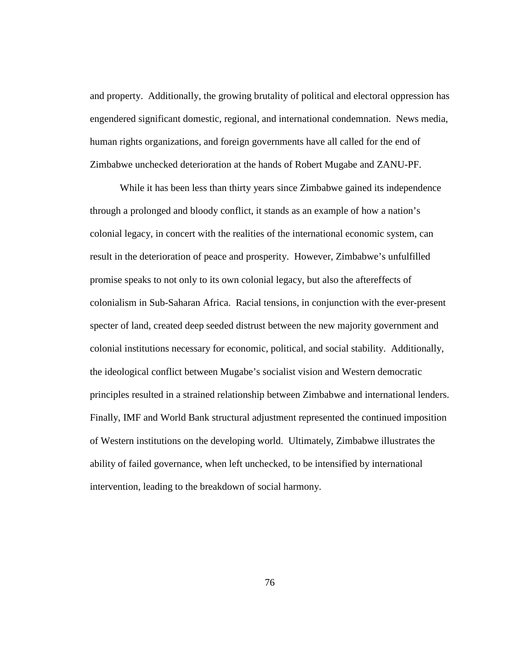and property. Additionally, the growing brutality of political and electoral oppression has engendered significant domestic, regional, and international condemnation. News media, human rights organizations, and foreign governments have all called for the end of Zimbabwe unchecked deterioration at the hands of Robert Mugabe and ZANU-PF.

While it has been less than thirty years since Zimbabwe gained its independence through a prolonged and bloody conflict, it stands as an example of how a nation's colonial legacy, in concert with the realities of the international economic system, can result in the deterioration of peace and prosperity. However, Zimbabwe's unfulfilled promise speaks to not only to its own colonial legacy, but also the aftereffects of colonialism in Sub-Saharan Africa. Racial tensions, in conjunction with the ever-present specter of land, created deep seeded distrust between the new majority government and colonial institutions necessary for economic, political, and social stability. Additionally, the ideological conflict between Mugabe's socialist vision and Western democratic principles resulted in a strained relationship between Zimbabwe and international lenders. Finally, IMF and World Bank structural adjustment represented the continued imposition of Western institutions on the developing world. Ultimately, Zimbabwe illustrates the ability of failed governance, when left unchecked, to be intensified by international intervention, leading to the breakdown of social harmony.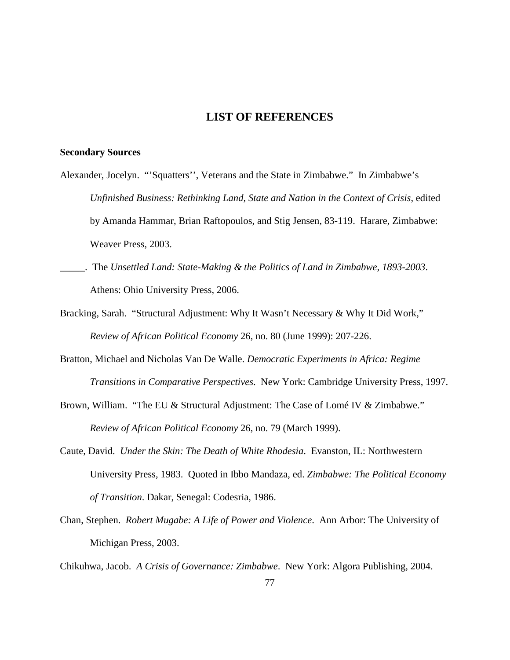# **LIST OF REFERENCES**

#### **Secondary Sources**

- Alexander, Jocelyn. "'Squatters'', Veterans and the State in Zimbabwe." In Zimbabwe's *Unfinished Business: Rethinking Land, State and Nation in the Context of Crisis*, edited by Amanda Hammar, Brian Raftopoulos, and Stig Jensen, 83-119. Harare, Zimbabwe: Weaver Press, 2003.
- \_\_\_\_\_. The *Unsettled Land: State-Making & the Politics of Land in Zimbabwe, 1893-2003*. Athens: Ohio University Press, 2006.
- Bracking, Sarah. "Structural Adjustment: Why It Wasn't Necessary & Why It Did Work," *Review of African Political Economy* 26, no. 80 (June 1999): 207-226.
- Bratton, Michael and Nicholas Van De Walle. *Democratic Experiments in Africa: Regime Transitions in Comparative Perspectives*. New York: Cambridge University Press, 1997.
- Brown, William. "The EU & Structural Adjustment: The Case of Lomé IV & Zimbabwe." *Review of African Political Economy* 26, no. 79 (March 1999).
- Caute, David. *Under the Skin: The Death of White Rhodesia*. Evanston, IL: Northwestern University Press, 1983. Quoted in Ibbo Mandaza, ed. *Zimbabwe: The Political Economy of Transition*. Dakar, Senegal: Codesria, 1986.
- Chan, Stephen. *Robert Mugabe: A Life of Power and Violence*. Ann Arbor: The University of Michigan Press, 2003.

Chikuhwa, Jacob. *A Crisis of Governance: Zimbabwe*. New York: Algora Publishing, 2004.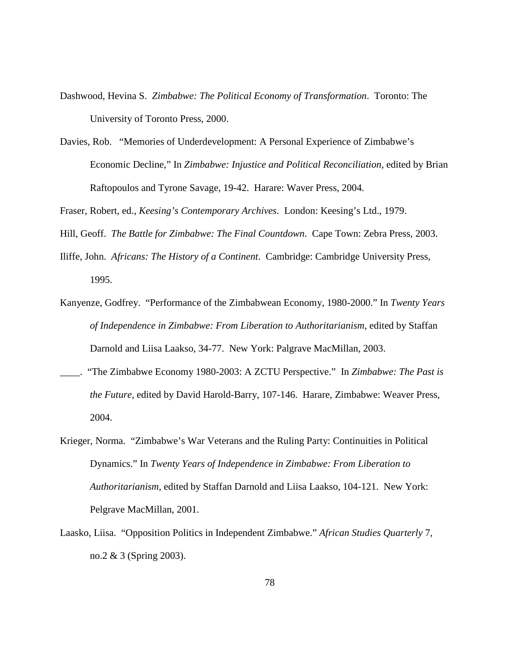- Dashwood, Hevina S. *Zimbabwe: The Political Economy of Transformation*. Toronto: The University of Toronto Press, 2000.
- Davies, Rob. "Memories of Underdevelopment: A Personal Experience of Zimbabwe's Economic Decline," In *Zimbabwe: Injustice and Political Reconciliation*, edited by Brian Raftopoulos and Tyrone Savage, 19-42. Harare: Waver Press, 2004.

Fraser, Robert, ed., *Keesing's Contemporary Archives*. London: Keesing's Ltd., 1979.

Hill, Geoff. *The Battle for Zimbabwe: The Final Countdown*. Cape Town: Zebra Press, 2003.

- Iliffe, John. *Africans: The History of a Continent*. Cambridge: Cambridge University Press, 1995.
- Kanyenze, Godfrey. "Performance of the Zimbabwean Economy, 1980-2000." In *Twenty Years of Independence in Zimbabwe: From Liberation to Authoritarianism*, edited by Staffan Darnold and Liisa Laakso, 34-77. New York: Palgrave MacMillan, 2003.
- \_\_\_\_. "The Zimbabwe Economy 1980-2003: A ZCTU Perspective." In *Zimbabwe: The Past is the Future*, edited by David Harold-Barry, 107-146. Harare, Zimbabwe: Weaver Press, 2004.
- Krieger, Norma. "Zimbabwe's War Veterans and the Ruling Party: Continuities in Political Dynamics." In *Twenty Years of Independence in Zimbabwe: From Liberation to Authoritarianism*, edited by Staffan Darnold and Liisa Laakso, 104-121. New York: Pelgrave MacMillan, 2001.
- Laasko, Liisa. "Opposition Politics in Independent Zimbabwe." *African Studies Quarterly* 7, no.2 & 3 (Spring 2003).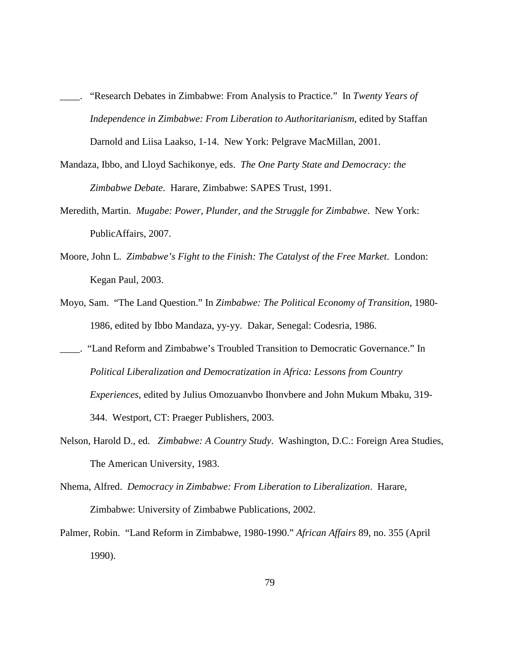- \_\_\_\_. "Research Debates in Zimbabwe: From Analysis to Practice." In *Twenty Years of Independence in Zimbabwe: From Liberation to Authoritarianism*, edited by Staffan Darnold and Liisa Laakso, 1-14. New York: Pelgrave MacMillan, 2001.
- Mandaza, Ibbo, and Lloyd Sachikonye, eds. *The One Party State and Democracy: the Zimbabwe Debate*. Harare, Zimbabwe: SAPES Trust, 1991.
- Meredith, Martin. *Mugabe: Power, Plunder, and the Struggle for Zimbabwe*. New York: PublicAffairs, 2007.
- Moore, John L. *Zimbabwe's Fight to the Finish: The Catalyst of the Free Market*. London: Kegan Paul, 2003.
- Moyo, Sam. "The Land Question." In *Zimbabwe: The Political Economy of Transition*, 1980- 1986, edited by Ibbo Mandaza, yy-yy. Dakar, Senegal: Codesria, 1986.
- \_\_\_\_. "Land Reform and Zimbabwe's Troubled Transition to Democratic Governance." In *Political Liberalization and Democratization in Africa: Lessons from Country Experiences*, edited by Julius Omozuanvbo Ihonvbere and John Mukum Mbaku, 319- 344. Westport, CT: Praeger Publishers, 2003.
- Nelson, Harold D., ed. *Zimbabwe: A Country Study*. Washington, D.C.: Foreign Area Studies, The American University, 1983.
- Nhema, Alfred. *Democracy in Zimbabwe: From Liberation to Liberalization*. Harare, Zimbabwe: University of Zimbabwe Publications, 2002.
- Palmer, Robin. "Land Reform in Zimbabwe, 1980-1990." *African Affairs* 89, no. 355 (April 1990).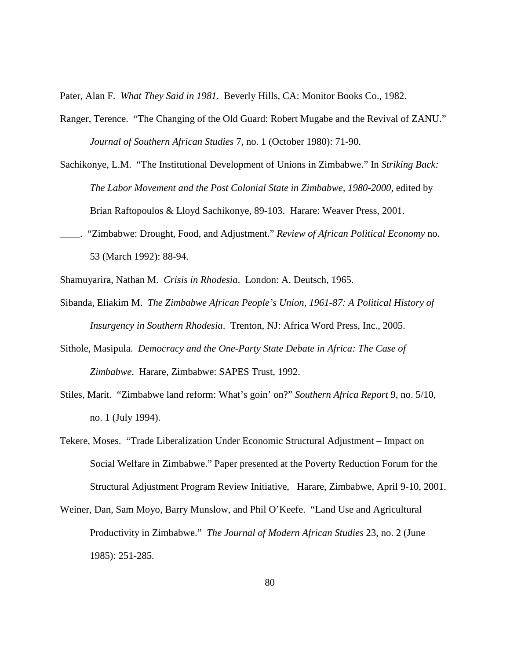Pater, Alan F. *What They Said in 1981*. Beverly Hills, CA: Monitor Books Co., 1982.

- Ranger, Terence. "The Changing of the Old Guard: Robert Mugabe and the Revival of ZANU." *Journal of Southern African Studies* 7, no. 1 (October 1980): 71-90.
- Sachikonye, L.M. "The Institutional Development of Unions in Zimbabwe." In *Striking Back: The Labor Movement and the Post Colonial State in Zimbabwe, 1980-2000*, edited by Brian Raftopoulos & Lloyd Sachikonye, 89-103. Harare: Weaver Press, 2001.
- \_\_\_\_. "Zimbabwe: Drought, Food, and Adjustment." *Review of African Political Economy* no. 53 (March 1992): 88-94.
- Shamuyarira, Nathan M. *Crisis in Rhodesia*. London: A. Deutsch, 1965.
- Sibanda, Eliakim M. *The Zimbabwe African People's Union, 1961-87: A Political History of Insurgency in Southern Rhodesia*. Trenton, NJ: Africa Word Press, Inc., 2005.
- Sithole, Masipula. *Democracy and the One-Party State Debate in Africa: The Case of Zimbabwe*. Harare, Zimbabwe: SAPES Trust, 1992.
- Stiles, Marit. "Zimbabwe land reform: What's goin' on?" *Southern Africa Report* 9, no. 5/10, no. 1 (July 1994).
- Tekere, Moses. "Trade Liberalization Under Economic Structural Adjustment Impact on Social Welfare in Zimbabwe." Paper presented at the Poverty Reduction Forum for the Structural Adjustment Program Review Initiative, Harare, Zimbabwe, April 9-10, 2001.
- Weiner, Dan, Sam Moyo, Barry Munslow, and Phil O'Keefe. "Land Use and Agricultural Productivity in Zimbabwe." *The Journal of Modern African Studies* 23, no. 2 (June 1985): 251-285.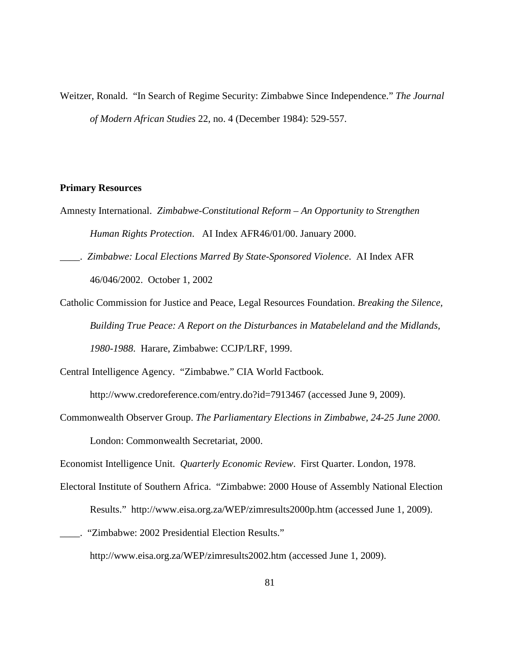Weitzer, Ronald. "In Search of Regime Security: Zimbabwe Since Independence." *The Journal of Modern African Studies* 22, no. 4 (December 1984): 529-557.

## **Primary Resources**

- Amnesty International. *Zimbabwe-Constitutional Reform – An Opportunity to Strengthen Human Rights Protection*. AI Index AFR46/01/00. January 2000.
- \_\_\_\_. *Zimbabwe: Local Elections Marred By State-Sponsored Violence*. AI Index AFR 46/046/2002. October 1, 2002
- Catholic Commission for Justice and Peace, Legal Resources Foundation. *Breaking the Silence, Building True Peace: A Report on the Disturbances in Matabeleland and the Midlands, 1980-1988*. Harare, Zimbabwe: CCJP/LRF, 1999.

Central Intelligence Agency. "Zimbabwe." CIA World Factbook*.* 

http://www.credoreference.com/entry.do?id=7913467 (accessed June 9, 2009).

Commonwealth Observer Group. *The Parliamentary Elections in Zimbabwe, 24-25 June 2000*. London: Commonwealth Secretariat, 2000.

Economist Intelligence Unit. *Quarterly Economic Review*. First Quarter. London, 1978.

- Electoral Institute of Southern Africa. "Zimbabwe: 2000 House of Assembly National Election Results." http://www.eisa.org.za/WEP/zimresults2000p.htm (accessed June 1, 2009).
- \_\_\_\_. "Zimbabwe: 2002 Presidential Election Results." http://www.eisa.org.za/WEP/zimresults2002.htm (accessed June 1, 2009).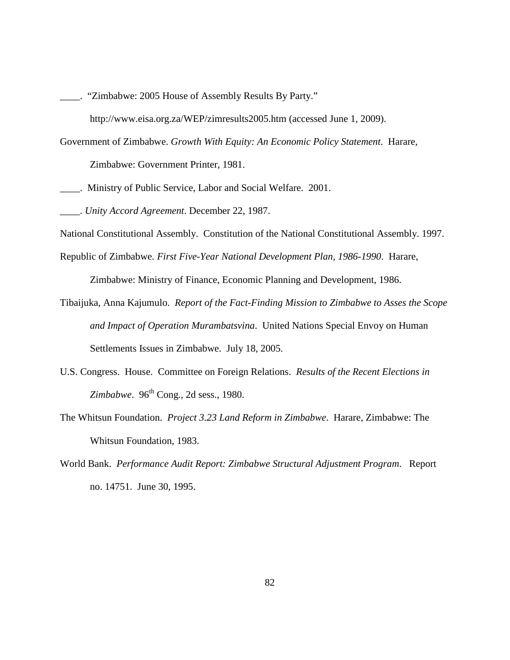- \_\_\_\_. "Zimbabwe: 2005 House of Assembly Results By Party."
	- http://www.eisa.org.za/WEP/zimresults2005.htm (accessed June 1, 2009).
- Government of Zimbabwe. *Growth With Equity: An Economic Policy Statement*. Harare,

Zimbabwe: Government Printer, 1981.

\_\_\_\_. Ministry of Public Service, Labor and Social Welfare. 2001.

\_\_\_\_. *Unity Accord Agreement*. December 22, 1987.

- National Constitutional Assembly. Constitution of the National Constitutional Assembly. 1997.
- Republic of Zimbabwe. *First Five-Year National Development Plan, 1986-1990*. Harare, Zimbabwe: Ministry of Finance, Economic Planning and Development, 1986.
- Tibaijuka, Anna Kajumulo. *Report of the Fact-Finding Mission to Zimbabwe to Asses the Scope and Impact of Operation Murambatsvina*. United Nations Special Envoy on Human Settlements Issues in Zimbabwe. July 18, 2005.
- U.S. Congress. House. Committee on Foreign Relations. *Results of the Recent Elections in Zimbabwe.* 96<sup>th</sup> Cong., 2d sess., 1980.
- The Whitsun Foundation. *Project 3.23 Land Reform in Zimbabwe*. Harare, Zimbabwe: The Whitsun Foundation, 1983.
- World Bank. *Performance Audit Report: Zimbabwe Structural Adjustment Program*. Report no. 14751. June 30, 1995.